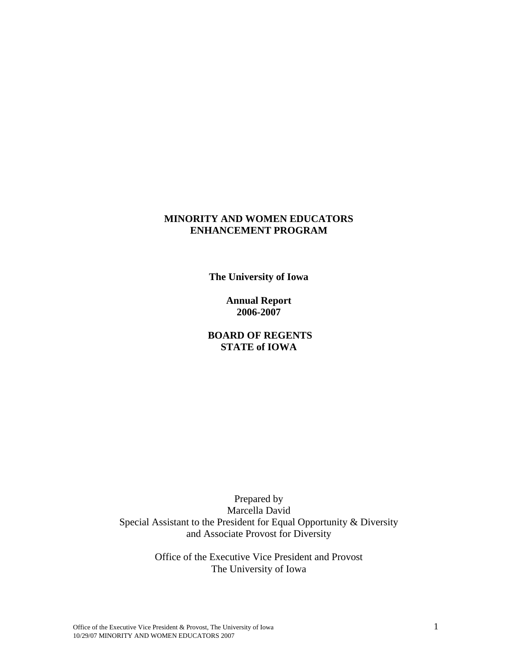### **MINORITY AND WOMEN EDUCATORS ENHANCEMENT PROGRAM**

**The University of Iowa** 

**Annual Report 2006-2007** 

 **BOARD OF REGENTS STATE of IOWA** 

Prepared by Marcella David Special Assistant to the President for Equal Opportunity & Diversity and Associate Provost for Diversity

> Office of the Executive Vice President and Provost The University of Iowa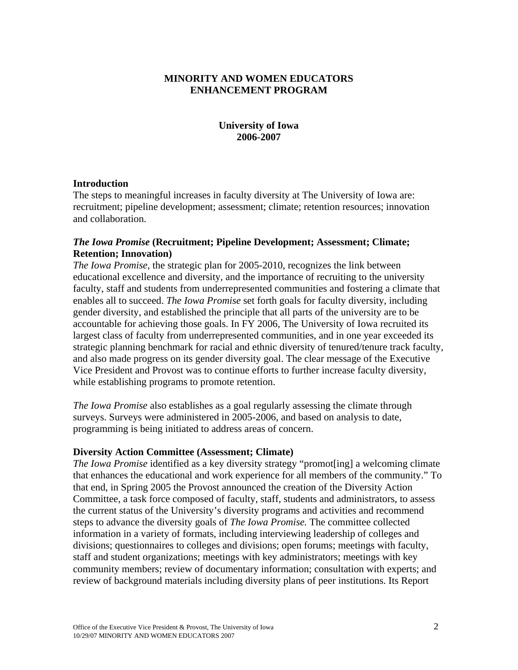# **MINORITY AND WOMEN EDUCATORS ENHANCEMENT PROGRAM**

### **University of Iowa 2006-2007**

### **Introduction**

The steps to meaningful increases in faculty diversity at The University of Iowa are: recruitment; pipeline development; assessment; climate; retention resources; innovation and collaboration.

### *The Iowa Promise* **(Recruitment; Pipeline Development; Assessment; Climate; Retention; Innovation)**

*The Iowa Promise*, the strategic plan for 2005-2010, recognizes the link between educational excellence and diversity, and the importance of recruiting to the university faculty, staff and students from underrepresented communities and fostering a climate that enables all to succeed. *The Iowa Promise* set forth goals for faculty diversity, including gender diversity, and established the principle that all parts of the university are to be accountable for achieving those goals. In FY 2006, The University of Iowa recruited its largest class of faculty from underrepresented communities, and in one year exceeded its strategic planning benchmark for racial and ethnic diversity of tenured/tenure track faculty, and also made progress on its gender diversity goal. The clear message of the Executive Vice President and Provost was to continue efforts to further increase faculty diversity, while establishing programs to promote retention.

*The Iowa Promise* also establishes as a goal regularly assessing the climate through surveys. Surveys were administered in 2005-2006, and based on analysis to date, programming is being initiated to address areas of concern.

### **Diversity Action Committee (Assessment; Climate)**

*The Iowa Promise* identified as a key diversity strategy "promot[ing] a welcoming climate that enhances the educational and work experience for all members of the community." To that end, in Spring 2005 the Provost announced the creation of the Diversity Action Committee, a task force composed of faculty, staff, students and administrators, to assess the current status of the University's diversity programs and activities and recommend steps to advance the diversity goals of *The Iowa Promise.* The committee collected information in a variety of formats, including interviewing leadership of colleges and divisions; questionnaires to colleges and divisions; open forums; meetings with faculty, staff and student organizations; meetings with key administrators; meetings with key community members; review of documentary information; consultation with experts; and review of background materials including diversity plans of peer institutions. Its Report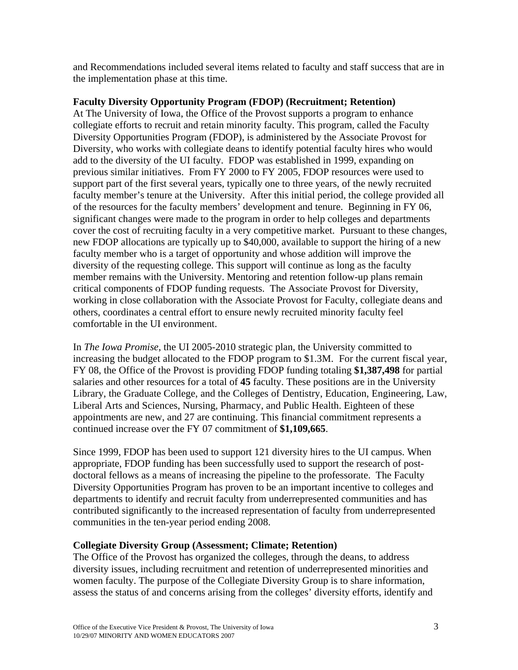and Recommendations included several items related to faculty and staff success that are in the implementation phase at this time.

## **Faculty Diversity Opportunity Program (FDOP) (Recruitment; Retention)**

At The University of Iowa, the Office of the Provost supports a program to enhance collegiate efforts to recruit and retain minority faculty. This program, called the Faculty Diversity Opportunities Program (FDOP), is administered by the Associate Provost for Diversity, who works with collegiate deans to identify potential faculty hires who would add to the diversity of the UI faculty. FDOP was established in 1999, expanding on previous similar initiatives. From FY 2000 to FY 2005, FDOP resources were used to support part of the first several years, typically one to three years, of the newly recruited faculty member's tenure at the University. After this initial period, the college provided all of the resources for the faculty members' development and tenure. Beginning in FY 06, significant changes were made to the program in order to help colleges and departments cover the cost of recruiting faculty in a very competitive market. Pursuant to these changes, new FDOP allocations are typically up to \$40,000, available to support the hiring of a new faculty member who is a target of opportunity and whose addition will improve the diversity of the requesting college. This support will continue as long as the faculty member remains with the University. Mentoring and retention follow-up plans remain critical components of FDOP funding requests. The Associate Provost for Diversity, working in close collaboration with the Associate Provost for Faculty, collegiate deans and others, coordinates a central effort to ensure newly recruited minority faculty feel comfortable in the UI environment.

In *The Iowa Promise*, the UI 2005-2010 strategic plan, the University committed to increasing the budget allocated to the FDOP program to \$1.3M. For the current fiscal year, FY 08, the Office of the Provost is providing FDOP funding totaling **\$1,387,498** for partial salaries and other resources for a total of **45** faculty. These positions are in the University Library, the Graduate College, and the Colleges of Dentistry, Education, Engineering, Law, Liberal Arts and Sciences, Nursing, Pharmacy, and Public Health. Eighteen of these appointments are new, and 27 are continuing. This financial commitment represents a continued increase over the FY 07 commitment of **\$1,109,665**.

Since 1999, FDOP has been used to support 121 diversity hires to the UI campus. When appropriate, FDOP funding has been successfully used to support the research of postdoctoral fellows as a means of increasing the pipeline to the professorate. The Faculty Diversity Opportunities Program has proven to be an important incentive to colleges and departments to identify and recruit faculty from underrepresented communities and has contributed significantly to the increased representation of faculty from underrepresented communities in the ten-year period ending 2008.

# **Collegiate Diversity Group (Assessment; Climate; Retention)**

The Office of the Provost has organized the colleges, through the deans, to address diversity issues, including recruitment and retention of underrepresented minorities and women faculty. The purpose of the Collegiate Diversity Group is to share information, assess the status of and concerns arising from the colleges' diversity efforts, identify and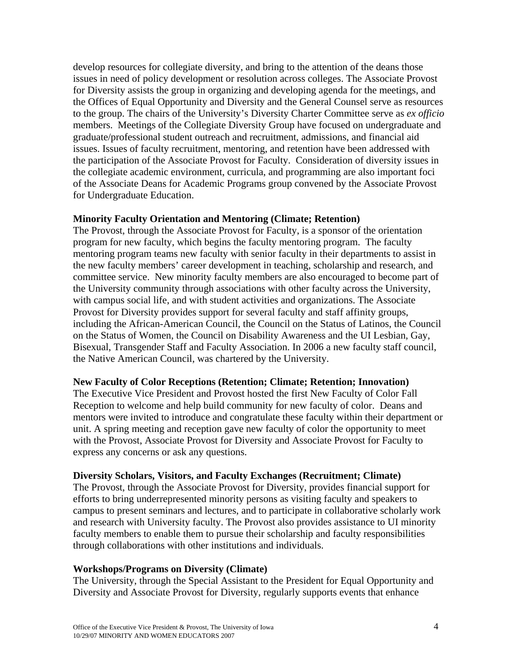develop resources for collegiate diversity, and bring to the attention of the deans those issues in need of policy development or resolution across colleges. The Associate Provost for Diversity assists the group in organizing and developing agenda for the meetings, and the Offices of Equal Opportunity and Diversity and the General Counsel serve as resources to the group. The chairs of the University's Diversity Charter Committee serve as *ex officio* members. Meetings of the Collegiate Diversity Group have focused on undergraduate and graduate/professional student outreach and recruitment, admissions, and financial aid issues. Issues of faculty recruitment, mentoring, and retention have been addressed with the participation of the Associate Provost for Faculty. Consideration of diversity issues in the collegiate academic environment, curricula, and programming are also important foci of the Associate Deans for Academic Programs group convened by the Associate Provost for Undergraduate Education.

### **Minority Faculty Orientation and Mentoring (Climate; Retention)**

The Provost, through the Associate Provost for Faculty, is a sponsor of the orientation program for new faculty, which begins the faculty mentoring program. The faculty mentoring program teams new faculty with senior faculty in their departments to assist in the new faculty members' career development in teaching, scholarship and research, and committee service. New minority faculty members are also encouraged to become part of the University community through associations with other faculty across the University, with campus social life, and with student activities and organizations. The Associate Provost for Diversity provides support for several faculty and staff affinity groups, including the African-American Council, the Council on the Status of Latinos, the Council on the Status of Women, the Council on Disability Awareness and the UI Lesbian, Gay, Bisexual, Transgender Staff and Faculty Association. In 2006 a new faculty staff council, the Native American Council, was chartered by the University.

#### **New Faculty of Color Receptions (Retention; Climate; Retention; Innovation)**

The Executive Vice President and Provost hosted the first New Faculty of Color Fall Reception to welcome and help build community for new faculty of color. Deans and mentors were invited to introduce and congratulate these faculty within their department or unit. A spring meeting and reception gave new faculty of color the opportunity to meet with the Provost, Associate Provost for Diversity and Associate Provost for Faculty to express any concerns or ask any questions.

#### **Diversity Scholars, Visitors, and Faculty Exchanges (Recruitment; Climate)**

The Provost, through the Associate Provost for Diversity, provides financial support for efforts to bring underrepresented minority persons as visiting faculty and speakers to campus to present seminars and lectures, and to participate in collaborative scholarly work and research with University faculty. The Provost also provides assistance to UI minority faculty members to enable them to pursue their scholarship and faculty responsibilities through collaborations with other institutions and individuals.

### **Workshops/Programs on Diversity (Climate)**

The University, through the Special Assistant to the President for Equal Opportunity and Diversity and Associate Provost for Diversity, regularly supports events that enhance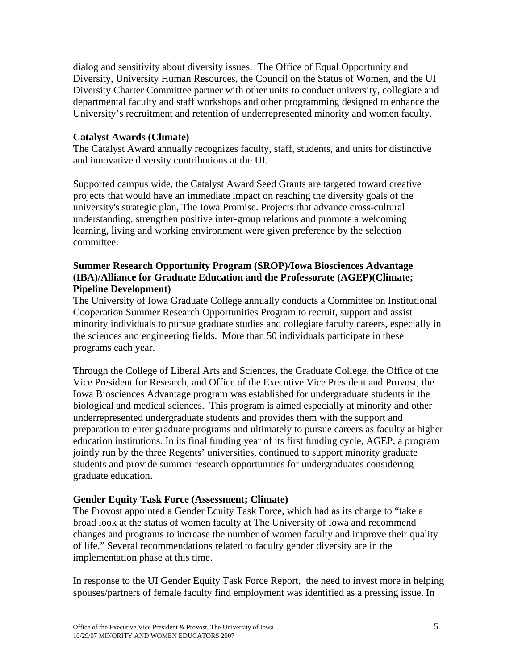dialog and sensitivity about diversity issues. The Office of Equal Opportunity and Diversity, University Human Resources, the Council on the Status of Women, and the UI Diversity Charter Committee partner with other units to conduct university, collegiate and departmental faculty and staff workshops and other programming designed to enhance the University's recruitment and retention of underrepresented minority and women faculty.

### **Catalyst Awards (Climate)**

The Catalyst Award annually recognizes faculty, staff, students, and units for distinctive and innovative diversity contributions at the UI.

Supported campus wide, the Catalyst Award Seed Grants are targeted toward creative projects that would have an immediate impact on reaching the diversity goals of the university's strategic plan, The Iowa Promise. Projects that advance cross-cultural understanding, strengthen positive inter-group relations and promote a welcoming learning, living and working environment were given preference by the selection committee.

### **Summer Research Opportunity Program (SROP)/Iowa Biosciences Advantage (IBA)/Alliance for Graduate Education and the Professorate (AGEP)(Climate; Pipeline Development)**

The University of Iowa Graduate College annually conducts a Committee on Institutional Cooperation Summer Research Opportunities Program to recruit, support and assist minority individuals to pursue graduate studies and collegiate faculty careers, especially in the sciences and engineering fields. More than 50 individuals participate in these programs each year.

Through the College of Liberal Arts and Sciences, the Graduate College, the Office of the Vice President for Research, and Office of the Executive Vice President and Provost, the Iowa Biosciences Advantage program was established for undergraduate students in the biological and medical sciences. This program is aimed especially at minority and other underrepresented undergraduate students and provides them with the support and preparation to enter graduate programs and ultimately to pursue careers as faculty at higher education institutions. In its final funding year of its first funding cycle, AGEP, a program jointly run by the three Regents' universities, continued to support minority graduate students and provide summer research opportunities for undergraduates considering graduate education.

### **Gender Equity Task Force (Assessment; Climate)**

The Provost appointed a Gender Equity Task Force, which had as its charge to "take a broad look at the status of women faculty at The University of Iowa and recommend changes and programs to increase the number of women faculty and improve their quality of life." Several recommendations related to faculty gender diversity are in the implementation phase at this time.

In response to the UI Gender Equity Task Force Report, the need to invest more in helping spouses/partners of female faculty find employment was identified as a pressing issue. In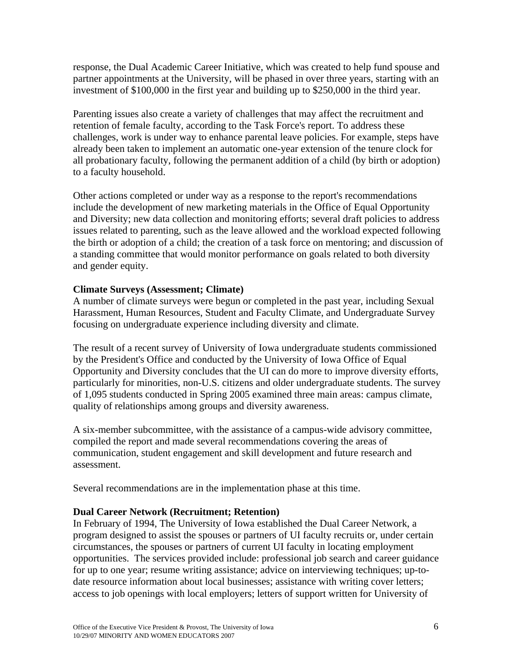response, the Dual Academic Career Initiative, which was created to help fund spouse and partner appointments at the University, will be phased in over three years, starting with an investment of \$100,000 in the first year and building up to \$250,000 in the third year.

Parenting issues also create a variety of challenges that may affect the recruitment and retention of female faculty, according to the Task Force's report. To address these challenges, work is under way to enhance parental leave policies. For example, steps have already been taken to implement an automatic one-year extension of the tenure clock for all probationary faculty, following the permanent addition of a child (by birth or adoption) to a faculty household.

Other actions completed or under way as a response to the report's recommendations include the development of new marketing materials in the Office of Equal Opportunity and Diversity; new data collection and monitoring efforts; several draft policies to address issues related to parenting, such as the leave allowed and the workload expected following the birth or adoption of a child; the creation of a task force on mentoring; and discussion of a standing committee that would monitor performance on goals related to both diversity and gender equity.

### **Climate Surveys (Assessment; Climate)**

A number of climate surveys were begun or completed in the past year, including Sexual Harassment, Human Resources, Student and Faculty Climate, and Undergraduate Survey focusing on undergraduate experience including diversity and climate.

The result of a recent survey of University of Iowa undergraduate students commissioned by the President's Office and conducted by the University of Iowa Office of Equal Opportunity and Diversity concludes that the UI can do more to improve diversity efforts, particularly for minorities, non-U.S. citizens and older undergraduate students. The survey of 1,095 students conducted in Spring 2005 examined three main areas: campus climate, quality of relationships among groups and diversity awareness.

A six-member subcommittee, with the assistance of a campus-wide advisory committee, compiled the report and made several recommendations covering the areas of communication, student engagement and skill development and future research and assessment.

Several recommendations are in the implementation phase at this time.

# **Dual Career Network (Recruitment; Retention)**

In February of 1994, The University of Iowa established the Dual Career Network, a program designed to assist the spouses or partners of UI faculty recruits or, under certain circumstances, the spouses or partners of current UI faculty in locating employment opportunities. The services provided include: professional job search and career guidance for up to one year; resume writing assistance; advice on interviewing techniques; up-todate resource information about local businesses; assistance with writing cover letters; access to job openings with local employers; letters of support written for University of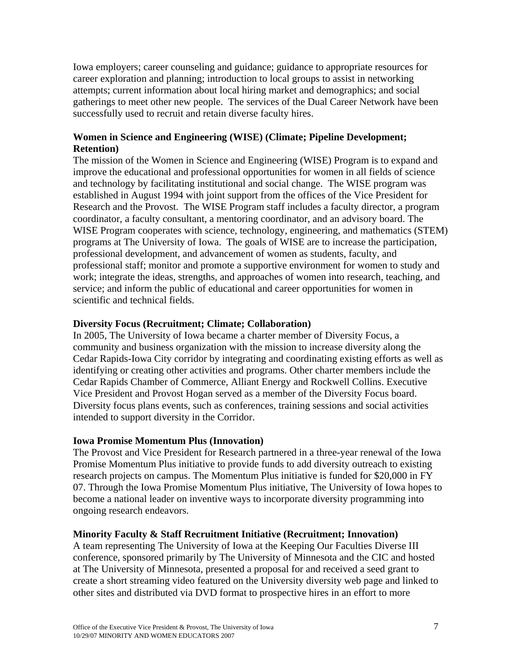Iowa employers; career counseling and guidance; guidance to appropriate resources for career exploration and planning; introduction to local groups to assist in networking attempts; current information about local hiring market and demographics; and social gatherings to meet other new people. The services of the Dual Career Network have been successfully used to recruit and retain diverse faculty hires.

# **Women in Science and Engineering (WISE) (Climate; Pipeline Development; Retention)**

The mission of the Women in Science and Engineering (WISE) Program is to expand and improve the educational and professional opportunities for women in all fields of science and technology by facilitating institutional and social change. The WISE program was established in August 1994 with joint support from the offices of the Vice President for Research and the Provost. The WISE Program staff includes a faculty director, a program coordinator, a faculty consultant, a mentoring coordinator, and an advisory board. The WISE Program cooperates with science, technology, engineering, and mathematics (STEM) programs at The University of Iowa. The goals of WISE are to increase the participation, professional development, and advancement of women as students, faculty, and professional staff; monitor and promote a supportive environment for women to study and work; integrate the ideas, strengths, and approaches of women into research, teaching, and service; and inform the public of educational and career opportunities for women in scientific and technical fields.

# **Diversity Focus (Recruitment; Climate; Collaboration)**

In 2005, The University of Iowa became a charter member of Diversity Focus, a community and business organization with the mission to increase diversity along the Cedar Rapids-Iowa City corridor by integrating and coordinating existing efforts as well as identifying or creating other activities and programs. Other charter members include the Cedar Rapids Chamber of Commerce, Alliant Energy and Rockwell Collins. Executive Vice President and Provost Hogan served as a member of the Diversity Focus board. Diversity focus plans events, such as conferences, training sessions and social activities intended to support diversity in the Corridor.

### **Iowa Promise Momentum Plus (Innovation)**

The Provost and Vice President for Research partnered in a three-year renewal of the Iowa Promise Momentum Plus initiative to provide funds to add diversity outreach to existing research projects on campus. The Momentum Plus initiative is funded for \$20,000 in FY 07. Through the Iowa Promise Momentum Plus initiative, The University of Iowa hopes to become a national leader on inventive ways to incorporate diversity programming into ongoing research endeavors.

### **Minority Faculty & Staff Recruitment Initiative (Recruitment; Innovation)**

A team representing The University of Iowa at the Keeping Our Faculties Diverse III conference, sponsored primarily by The University of Minnesota and the CIC and hosted at The University of Minnesota, presented a proposal for and received a seed grant to create a short streaming video featured on the University diversity web page and linked to other sites and distributed via DVD format to prospective hires in an effort to more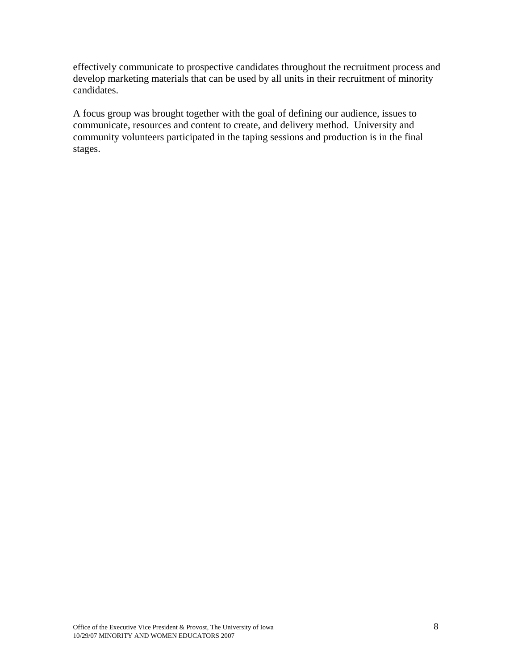effectively communicate to prospective candidates throughout the recruitment process and develop marketing materials that can be used by all units in their recruitment of minority candidates.

A focus group was brought together with the goal of defining our audience, issues to communicate, resources and content to create, and delivery method. University and community volunteers participated in the taping sessions and production is in the final stages.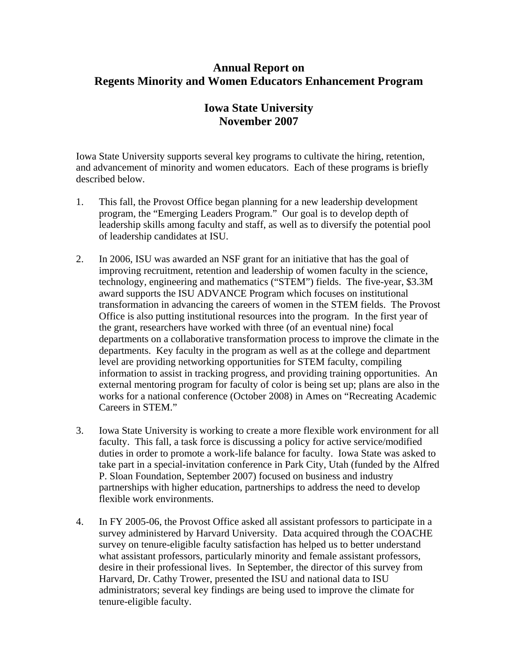# **Annual Report on Regents Minority and Women Educators Enhancement Program**

# **Iowa State University November 2007**

Iowa State University supports several key programs to cultivate the hiring, retention, and advancement of minority and women educators. Each of these programs is briefly described below.

- 1. This fall, the Provost Office began planning for a new leadership development program, the "Emerging Leaders Program." Our goal is to develop depth of leadership skills among faculty and staff, as well as to diversify the potential pool of leadership candidates at ISU.
- 2. In 2006, ISU was awarded an NSF grant for an initiative that has the goal of improving recruitment, retention and leadership of women faculty in the science, technology, engineering and mathematics ("STEM") fields. The five-year, \$3.3M award supports the ISU ADVANCE Program which focuses on institutional transformation in advancing the careers of women in the STEM fields. The Provost Office is also putting institutional resources into the program. In the first year of the grant, researchers have worked with three (of an eventual nine) focal departments on a collaborative transformation process to improve the climate in the departments. Key faculty in the program as well as at the college and department level are providing networking opportunities for STEM faculty, compiling information to assist in tracking progress, and providing training opportunities. An external mentoring program for faculty of color is being set up; plans are also in the works for a national conference (October 2008) in Ames on "Recreating Academic Careers in STEM."
- 3. Iowa State University is working to create a more flexible work environment for all faculty. This fall, a task force is discussing a policy for active service/modified duties in order to promote a work-life balance for faculty. Iowa State was asked to take part in a special-invitation conference in Park City, Utah (funded by the Alfred P. Sloan Foundation, September 2007) focused on business and industry partnerships with higher education, partnerships to address the need to develop flexible work environments.
- 4. In FY 2005-06, the Provost Office asked all assistant professors to participate in a survey administered by Harvard University. Data acquired through the COACHE survey on tenure-eligible faculty satisfaction has helped us to better understand what assistant professors, particularly minority and female assistant professors, desire in their professional lives. In September, the director of this survey from Harvard, Dr. Cathy Trower, presented the ISU and national data to ISU administrators; several key findings are being used to improve the climate for tenure-eligible faculty.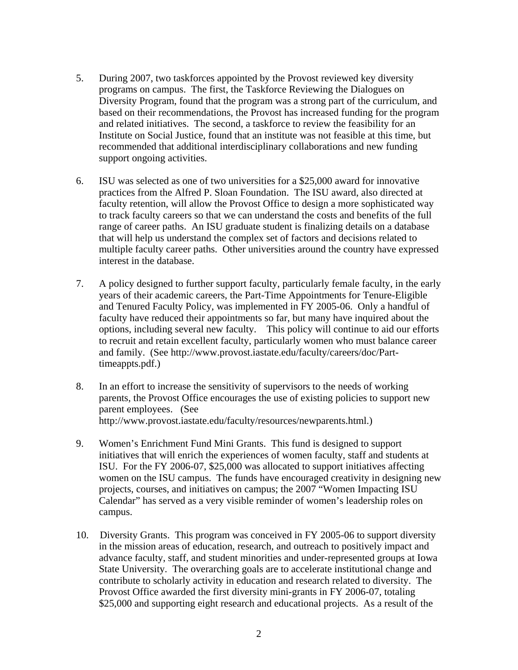- 5. During 2007, two taskforces appointed by the Provost reviewed key diversity programs on campus. The first, the Taskforce Reviewing the Dialogues on Diversity Program, found that the program was a strong part of the curriculum, and based on their recommendations, the Provost has increased funding for the program and related initiatives. The second, a taskforce to review the feasibility for an Institute on Social Justice, found that an institute was not feasible at this time, but recommended that additional interdisciplinary collaborations and new funding support ongoing activities.
- 6. ISU was selected as one of two universities for a \$25,000 award for innovative practices from the Alfred P. Sloan Foundation. The ISU award, also directed at faculty retention, will allow the Provost Office to design a more sophisticated way to track faculty careers so that we can understand the costs and benefits of the full range of career paths. An ISU graduate student is finalizing details on a database that will help us understand the complex set of factors and decisions related to multiple faculty career paths. Other universities around the country have expressed interest in the database.
- 7. A policy designed to further support faculty, particularly female faculty, in the early years of their academic careers, the Part-Time Appointments for Tenure-Eligible and Tenured Faculty Policy, was implemented in FY 2005-06. Only a handful of faculty have reduced their appointments so far, but many have inquired about the options, including several new faculty. This policy will continue to aid our efforts to recruit and retain excellent faculty, particularly women who must balance career and family. (See [http://www.provost.iastate.edu/faculty/careers/doc/Part](http://www.provost.iastate.edu/faculty/careers/doc/Part-timeappts.pdf)[timeappts.pdf.](http://www.provost.iastate.edu/faculty/careers/doc/Part-timeappts.pdf))
- 8. In an effort to increase the sensitivity of supervisors to the needs of working parents, the Provost Office encourages the use of existing policies to support new parent employees. (See <http://www.provost.iastate.edu/faculty/resources/newparents.html>.)
- 9. Women's Enrichment Fund Mini Grants. This fund is designed to support initiatives that will enrich the experiences of women faculty, staff and students at ISU. For the FY 2006-07, \$25,000 was allocated to support initiatives affecting women on the ISU campus. The funds have encouraged creativity in designing new projects, courses, and initiatives on campus; the 2007 "Women Impacting ISU Calendar" has served as a very visible reminder of women's leadership roles on campus.
- 10. Diversity Grants. This program was conceived in FY 2005-06 to support diversity in the mission areas of education, research, and outreach to positively impact and advance faculty, staff, and student minorities and under-represented groups at Iowa State University. The overarching goals are to accelerate institutional change and contribute to scholarly activity in education and research related to diversity. The Provost Office awarded the first diversity mini-grants in FY 2006-07, totaling \$25,000 and supporting eight research and educational projects. As a result of the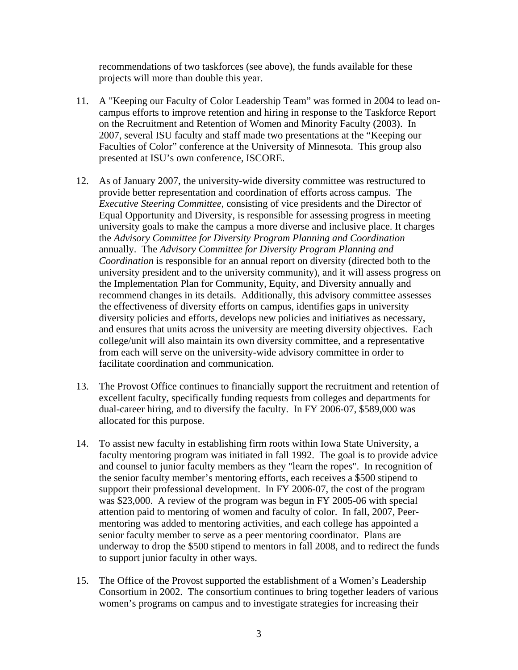recommendations of two taskforces (see above), the funds available for these projects will more than double this year.

- 11. A "Keeping our Faculty of Color Leadership Team" was formed in 2004 to lead oncampus efforts to improve retention and hiring in response to the Taskforce Report on the Recruitment and Retention of Women and Minority Faculty (2003). In 2007, several ISU faculty and staff made two presentations at the "Keeping our Faculties of Color" conference at the University of Minnesota. This group also presented at ISU's own conference, ISCORE.
- 12. As of January 2007, the university-wide diversity committee was restructured to provide better representation and coordination of efforts across campus. The *Executive Steering Committee*, consisting of vice presidents and the Director of Equal Opportunity and Diversity, is responsible for assessing progress in meeting university goals to make the campus a more diverse and inclusive place. It charges the *Advisory Committee for Diversity Program Planning and Coordination*  annually. The *Advisory Committee for Diversity Program Planning and Coordination* is responsible for an annual report on diversity (directed both to the university president and to the university community), and it will assess progress on the Implementation Plan for Community, Equity, and Diversity annually and recommend changes in its details. Additionally, this advisory committee assesses the effectiveness of diversity efforts on campus, identifies gaps in university diversity policies and efforts, develops new policies and initiatives as necessary, and ensures that units across the university are meeting diversity objectives. Each college/unit will also maintain its own diversity committee, and a representative from each will serve on the university-wide advisory committee in order to facilitate coordination and communication.
- 13. The Provost Office continues to financially support the recruitment and retention of excellent faculty, specifically funding requests from colleges and departments for dual-career hiring, and to diversify the faculty. In FY 2006-07, \$589,000 was allocated for this purpose.
- 14. To assist new faculty in establishing firm roots within Iowa State University, a faculty mentoring program was initiated in fall 1992. The goal is to provide advice and counsel to junior faculty members as they "learn the ropes". In recognition of the senior faculty member's mentoring efforts, each receives a \$500 stipend to support their professional development. In FY 2006-07, the cost of the program was \$23,000. A review of the program was begun in FY 2005-06 with special attention paid to mentoring of women and faculty of color. In fall, 2007, Peermentoring was added to mentoring activities, and each college has appointed a senior faculty member to serve as a peer mentoring coordinator. Plans are underway to drop the \$500 stipend to mentors in fall 2008, and to redirect the funds to support junior faculty in other ways.
- 15. The Office of the Provost supported the establishment of a Women's Leadership Consortium in 2002. The consortium continues to bring together leaders of various women's programs on campus and to investigate strategies for increasing their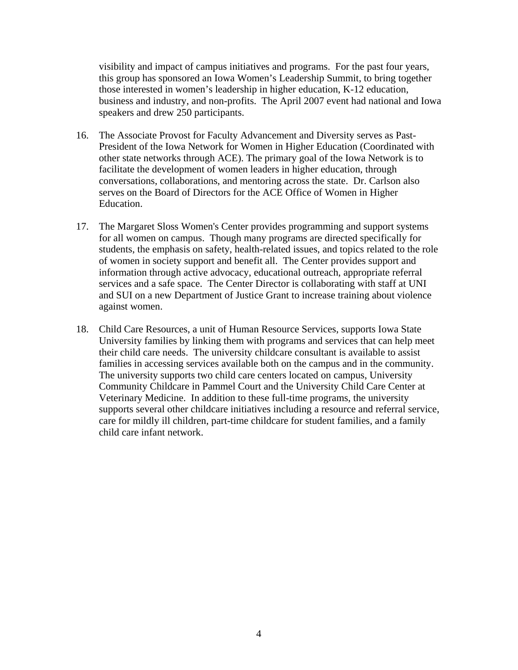visibility and impact of campus initiatives and programs. For the past four years, this group has sponsored an Iowa Women's Leadership Summit, to bring together those interested in women's leadership in higher education, K-12 education, business and industry, and non-profits. The April 2007 event had national and Iowa speakers and drew 250 participants.

- 16. The Associate Provost for Faculty Advancement and Diversity serves as Past-President of the Iowa Network for Women in Higher Education (Coordinated with other state networks through ACE). The primary goal of the Iowa Network is to facilitate the development of women leaders in higher education, through conversations, collaborations, and mentoring across the state. Dr. Carlson also serves on the Board of Directors for the ACE Office of Women in Higher Education.
- 17. The Margaret Sloss Women's Center provides programming and support systems for all women on campus. Though many programs are directed specifically for students, the emphasis on safety, health-related issues, and topics related to the role of women in society support and benefit all. The Center provides support and information through active advocacy, educational outreach, appropriate referral services and a safe space. The Center Director is collaborating with staff at UNI and SUI on a new Department of Justice Grant to increase training about violence against women.
- 18. Child Care Resources, a unit of Human Resource Services, supports Iowa State University families by linking them with programs and services that can help meet their child care needs. The university childcare consultant is available to assist families in accessing services available both on the campus and in the community. The university supports two child care centers located on campus, University Community Childcare in Pammel Court and the University Child Care Center at Veterinary Medicine. In addition to these full-time programs, the university supports several other childcare initiatives including a resource and referral service, care for mildly ill children, part-time childcare for student families, and a family child care infant network.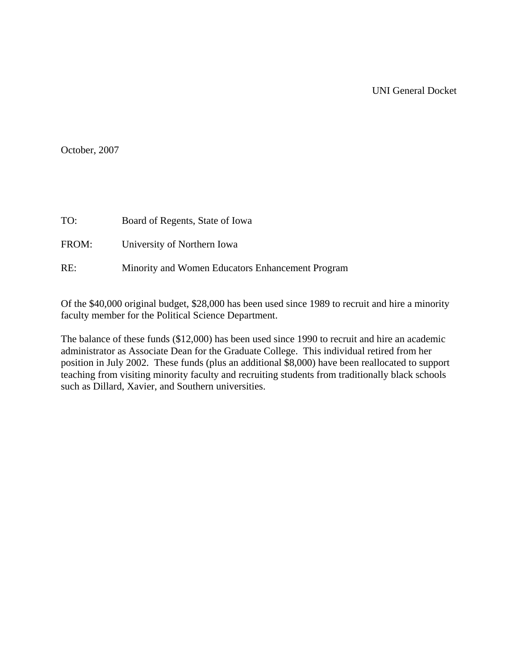October, 2007

TO: Board of Regents, State of Iowa

FROM: University of Northern Iowa

RE: Minority and Women Educators Enhancement Program

Of the \$40,000 original budget, \$28,000 has been used since 1989 to recruit and hire a minority faculty member for the Political Science Department.

The balance of these funds (\$12,000) has been used since 1990 to recruit and hire an academic administrator as Associate Dean for the Graduate College. This individual retired from her position in July 2002. These funds (plus an additional \$8,000) have been reallocated to support teaching from visiting minority faculty and recruiting students from traditionally black schools such as Dillard, Xavier, and Southern universities.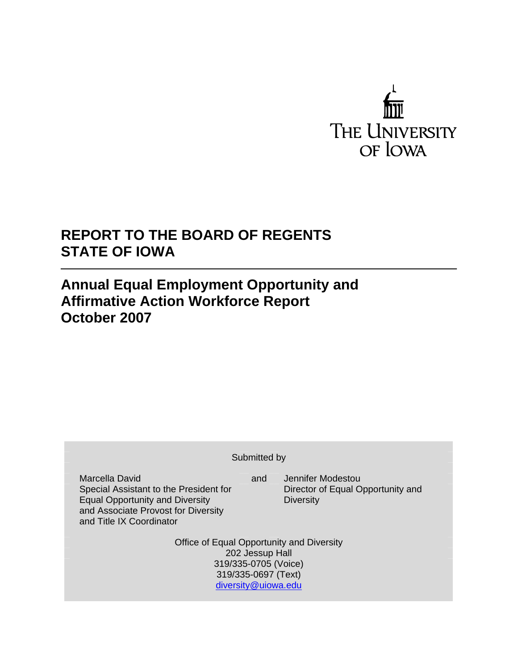

# **REPORT TO THE BOARD OF REGENTS STATE OF IOWA**

# **Annual Equal Employment Opportunity and Affirmative Action Workforce Report October 2007**

| Submitted by                                                                                                                                                          |     |                                                                            |  |  |  |  |  |  |  |  |  |
|-----------------------------------------------------------------------------------------------------------------------------------------------------------------------|-----|----------------------------------------------------------------------------|--|--|--|--|--|--|--|--|--|
| Marcella David<br>Special Assistant to the President for<br><b>Equal Opportunity and Diversity</b><br>and Associate Provost for Diversity<br>and Title IX Coordinator | and | Jennifer Modestou<br>Director of Equal Opportunity and<br><b>Diversity</b> |  |  |  |  |  |  |  |  |  |
| Office of Equal Opportunity and Diversity<br>202 Jessup Hall<br>319/335-0705 (Voice)<br>319/335-0697 (Text)<br>diversity@uiowa.edu                                    |     |                                                                            |  |  |  |  |  |  |  |  |  |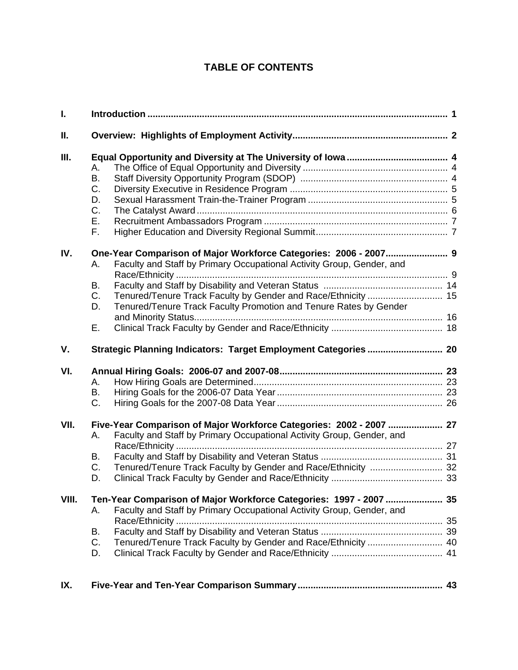# **TABLE OF CONTENTS**

| I.          |                                                                                                                                                                                                                                               |  |
|-------------|-----------------------------------------------------------------------------------------------------------------------------------------------------------------------------------------------------------------------------------------------|--|
| Ⅱ.          |                                                                                                                                                                                                                                               |  |
| Ш.          | Α.<br>В.<br>C.<br>D.<br>C.<br>Е.<br>F.                                                                                                                                                                                                        |  |
| IV.         | Faculty and Staff by Primary Occupational Activity Group, Gender, and<br>А.<br>В.<br>C.<br>Tenured/Tenure Track Faculty by Gender and Race/Ethnicity  15<br>Tenured/Tenure Track Faculty Promotion and Tenure Rates by Gender<br>D.<br>Е.     |  |
| $V_{\cdot}$ |                                                                                                                                                                                                                                               |  |
| VI.         | А.<br>В.<br>C.                                                                                                                                                                                                                                |  |
| VII.        | Five-Year Comparison of Major Workforce Categories: 2002 - 2007  27<br>Faculty and Staff by Primary Occupational Activity Group, Gender, and<br>А.<br>В.<br>Tenured/Tenure Track Faculty by Gender and Race/Ethnicity  32<br>C.<br>D.         |  |
| VIII.       | Ten-Year Comparison of Major Workforce Categories: 1997 - 2007  35<br>Faculty and Staff by Primary Occupational Activity Group, Gender, and<br>Α.<br>В.<br>Tenured/Tenure Track Faculty by Gender and Race/Ethnicity  40<br>$C_{\cdot}$<br>D. |  |
| IX.         |                                                                                                                                                                                                                                               |  |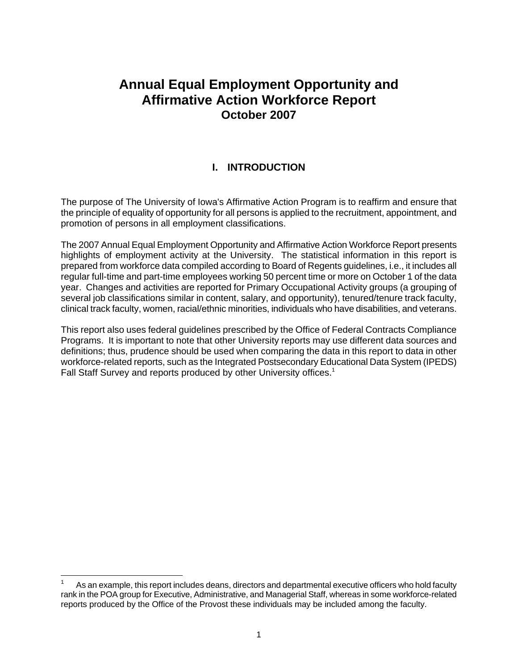# **Annual Equal Employment Opportunity and Affirmative Action Workforce Report October 2007**

# **I. INTRODUCTION**

The purpose of The University of Iowa's Affirmative Action Program is to reaffirm and ensure that the principle of equality of opportunity for all persons is applied to the recruitment, appointment, and promotion of persons in all employment classifications.

The 2007 Annual Equal Employment Opportunity and Affirmative Action Workforce Report presents highlights of employment activity at the University. The statistical information in this report is prepared from workforce data compiled according to Board of Regents guidelines, i.e., it includes all regular full-time and part-time employees working 50 percent time or more on October 1 of the data year. Changes and activities are reported for Primary Occupational Activity groups (a grouping of several job classifications similar in content, salary, and opportunity), tenured/tenure track faculty, clinical track faculty, women, racial/ethnic minorities, individuals who have disabilities, and veterans.

This report also uses federal guidelines prescribed by the Office of Federal Contracts Compliance Programs. It is important to note that other University reports may use different data sources and definitions; thus, prudence should be used when comparing the data in this report to data in other workforce-related reports, such as the Integrated Postsecondary Educational Data System (IPEDS) Fall Staff Survey and reports produced by other University offices.<sup>1</sup>

 $\overline{a}$ 

<sup>1</sup> As an example, this report includes deans, directors and departmental executive officers who hold faculty rank in the POA group for Executive, Administrative, and Managerial Staff, whereas in some workforce-related reports produced by the Office of the Provost these individuals may be included among the faculty.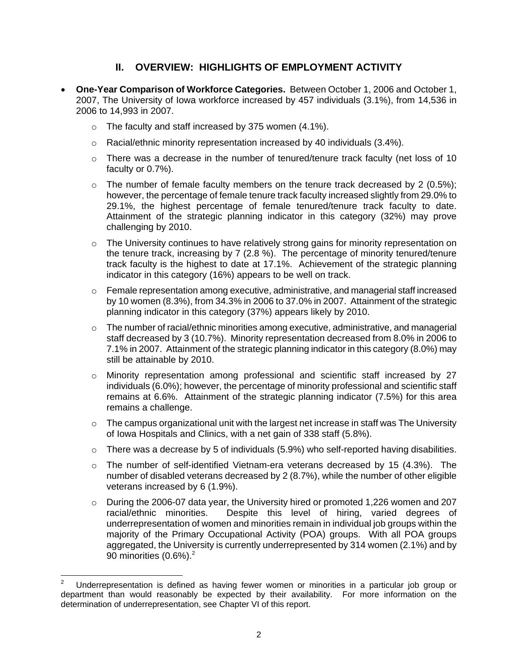# **II. OVERVIEW: HIGHLIGHTS OF EMPLOYMENT ACTIVITY**

- **One-Year Comparison of Workforce Categories.** Between October 1, 2006 and October 1, 2007, The University of Iowa workforce increased by 457 individuals (3.1%), from 14,536 in 2006 to 14,993 in 2007.
	- $\circ$  The faculty and staff increased by 375 women (4.1%).
	- o Racial/ethnic minority representation increased by 40 individuals (3.4%).
	- $\circ$  There was a decrease in the number of tenured/tenure track faculty (net loss of 10 faculty or 0.7%).
	- $\circ$  The number of female faculty members on the tenure track decreased by 2 (0.5%); however, the percentage of female tenure track faculty increased slightly from 29.0% to 29.1%, the highest percentage of female tenured/tenure track faculty to date. Attainment of the strategic planning indicator in this category (32%) may prove challenging by 2010.
	- $\circ$  The University continues to have relatively strong gains for minority representation on the tenure track, increasing by 7 (2.8 %). The percentage of minority tenured/tenure track faculty is the highest to date at 17.1%. Achievement of the strategic planning indicator in this category (16%) appears to be well on track.
	- o Female representation among executive, administrative, and managerial staff increased by 10 women (8.3%), from 34.3% in 2006 to 37.0% in 2007. Attainment of the strategic planning indicator in this category (37%) appears likely by 2010.
	- $\circ$  The number of racial/ethnic minorities among executive, administrative, and managerial staff decreased by 3 (10.7%). Minority representation decreased from 8.0% in 2006 to 7.1% in 2007. Attainment of the strategic planning indicator in this category (8.0%) may still be attainable by 2010.
	- o Minority representation among professional and scientific staff increased by 27 individuals (6.0%); however, the percentage of minority professional and scientific staff remains at 6.6%. Attainment of the strategic planning indicator (7.5%) for this area remains a challenge.
	- o The campus organizational unit with the largest net increase in staff was The University of Iowa Hospitals and Clinics, with a net gain of 338 staff (5.8%).
	- o There was a decrease by 5 of individuals (5.9%) who self-reported having disabilities.
	- o The number of self-identified Vietnam-era veterans decreased by 15 (4.3%). The number of disabled veterans decreased by 2 (8.7%), while the number of other eligible veterans increased by 6 (1.9%).
	- o During the 2006-07 data year, the University hired or promoted 1,226 women and 207 racial/ethnic minorities. Despite this level of hiring, varied degrees of underrepresentation of women and minorities remain in individual job groups within the majority of the Primary Occupational Activity (POA) groups. With all POA groups aggregated, the University is currently underrepresented by 314 women (2.1%) and by 90 minorities  $(0.6\%)$ .<sup>2</sup>

 $\mathbf 2$ 2 Underrepresentation is defined as having fewer women or minorities in a particular job group or department than would reasonably be expected by their availability. For more information on the determination of underrepresentation, see Chapter VI of this report.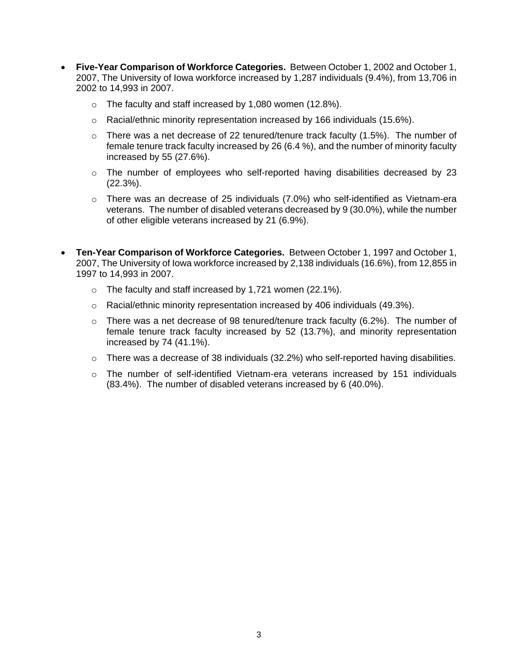- **Five-Year Comparison of Workforce Categories.** Between October 1, 2002 and October 1, 2007, The University of Iowa workforce increased by 1,287 individuals (9.4%), from 13,706 in 2002 to 14,993 in 2007.
	- o The faculty and staff increased by 1,080 women (12.8%).
	- $\circ$  Racial/ethnic minority representation increased by 166 individuals (15.6%).
	- o There was a net decrease of 22 tenured/tenure track faculty (1.5%). The number of female tenure track faculty increased by 26 (6.4 %), and the number of minority faculty increased by 55 (27.6%).
	- $\circ$  The number of employees who self-reported having disabilities decreased by 23 (22.3%).
	- $\circ$  There was an decrease of 25 individuals (7.0%) who self-identified as Vietnam-era veterans. The number of disabled veterans decreased by 9 (30.0%), while the number of other eligible veterans increased by 21 (6.9%).
- **Ten-Year Comparison of Workforce Categories.** Between October 1, 1997 and October 1, 2007, The University of Iowa workforce increased by 2,138 individuals (16.6%), from 12,855 in 1997 to 14,993 in 2007.
	- o The faculty and staff increased by 1,721 women (22.1%).
	- $\circ$  Racial/ethnic minority representation increased by 406 individuals (49.3%).
	- $\circ$  There was a net decrease of 98 tenured/tenure track faculty (6.2%). The number of female tenure track faculty increased by 52 (13.7%), and minority representation increased by 74 (41.1%).
	- o There was a decrease of 38 individuals (32.2%) who self-reported having disabilities.
	- $\circ$  The number of self-identified Vietnam-era veterans increased by 151 individuals (83.4%). The number of disabled veterans increased by 6 (40.0%).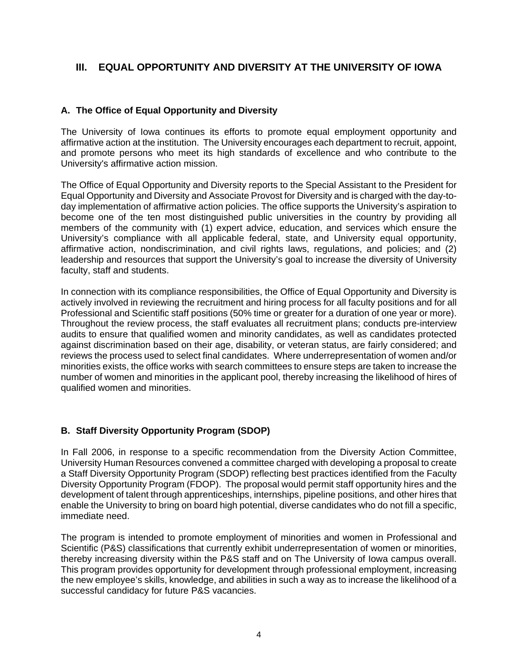# **III. EQUAL OPPORTUNITY AND DIVERSITY AT THE UNIVERSITY OF IOWA**

### **A. The Office of Equal Opportunity and Diversity**

The University of Iowa continues its efforts to promote equal employment opportunity and affirmative action at the institution. The University encourages each department to recruit, appoint, and promote persons who meet its high standards of excellence and who contribute to the University's affirmative action mission.

The Office of Equal Opportunity and Diversity reports to the Special Assistant to the President for Equal Opportunity and Diversity and Associate Provost for Diversity and is charged with the day-today implementation of affirmative action policies. The office supports the University's aspiration to become one of the ten most distinguished public universities in the country by providing all members of the community with (1) expert advice, education, and services which ensure the University's compliance with all applicable federal, state, and University equal opportunity, affirmative action, nondiscrimination, and civil rights laws, regulations, and policies; and (2) leadership and resources that support the University's goal to increase the diversity of University faculty, staff and students.

In connection with its compliance responsibilities, the Office of Equal Opportunity and Diversity is actively involved in reviewing the recruitment and hiring process for all faculty positions and for all Professional and Scientific staff positions (50% time or greater for a duration of one year or more). Throughout the review process, the staff evaluates all recruitment plans; conducts pre-interview audits to ensure that qualified women and minority candidates, as well as candidates protected against discrimination based on their age, disability, or veteran status, are fairly considered; and reviews the process used to select final candidates. Where underrepresentation of women and/or minorities exists, the office works with search committees to ensure steps are taken to increase the number of women and minorities in the applicant pool, thereby increasing the likelihood of hires of qualified women and minorities.

### **B. Staff Diversity Opportunity Program (SDOP)**

In Fall 2006, in response to a specific recommendation from the Diversity Action Committee, University Human Resources convened a committee charged with developing a proposal to create a Staff Diversity Opportunity Program (SDOP) reflecting best practices identified from the Faculty Diversity Opportunity Program (FDOP). The proposal would permit staff opportunity hires and the development of talent through apprenticeships, internships, pipeline positions, and other hires that enable the University to bring on board high potential, diverse candidates who do not fill a specific, immediate need.

The program is intended to promote employment of minorities and women in Professional and Scientific (P&S) classifications that currently exhibit underrepresentation of women or minorities, thereby increasing diversity within the P&S staff and on The University of Iowa campus overall. This program provides opportunity for development through professional employment, increasing the new employee's skills, knowledge, and abilities in such a way as to increase the likelihood of a successful candidacy for future P&S vacancies.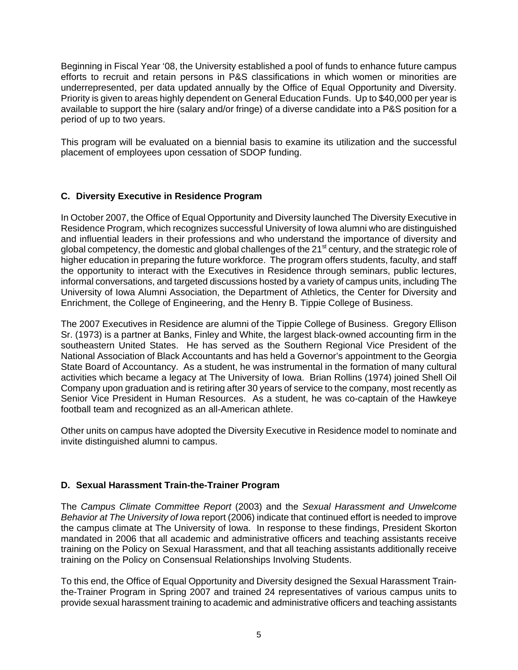Beginning in Fiscal Year '08, the University established a pool of funds to enhance future campus efforts to recruit and retain persons in P&S classifications in which women or minorities are underrepresented, per data updated annually by the Office of Equal Opportunity and Diversity. Priority is given to areas highly dependent on General Education Funds. Up to \$40,000 per year is available to support the hire (salary and/or fringe) of a diverse candidate into a P&S position for a period of up to two years.

This program will be evaluated on a biennial basis to examine its utilization and the successful placement of employees upon cessation of SDOP funding.

### **C. Diversity Executive in Residence Program**

In October 2007, the Office of Equal Opportunity and Diversity launched The Diversity Executive in Residence Program, which recognizes successful University of Iowa alumni who are distinguished and influential leaders in their professions and who understand the importance of diversity and global competency, the domestic and global challenges of the  $21<sup>st</sup>$  century, and the strategic role of higher education in preparing the future workforce. The program offers students, faculty, and staff the opportunity to interact with the Executives in Residence through seminars, public lectures, informal conversations, and targeted discussions hosted by a variety of campus units, including The University of Iowa Alumni Association, the Department of Athletics, the Center for Diversity and Enrichment, the College of Engineering, and the Henry B. Tippie College of Business.

The 2007 Executives in Residence are alumni of the Tippie College of Business. Gregory Ellison Sr. (1973) is a partner at Banks, Finley and White, the largest black-owned accounting firm in the southeastern United States. He has served as the Southern Regional Vice President of the National Association of Black Accountants and has held a Governor's appointment to the Georgia State Board of Accountancy. As a student, he was instrumental in the formation of many cultural activities which became a legacy at The University of Iowa. Brian Rollins (1974) joined Shell Oil Company upon graduation and is retiring after 30 years of service to the company, most recently as Senior Vice President in Human Resources. As a student, he was co-captain of the Hawkeye football team and recognized as an all-American athlete.

Other units on campus have adopted the Diversity Executive in Residence model to nominate and invite distinguished alumni to campus.

### **D. Sexual Harassment Train-the-Trainer Program**

The *Campus Climate Committee Report* (2003) and the *Sexual Harassment and Unwelcome Behavior at The University of Iowa* report (2006) indicate that continued effort is needed to improve the campus climate at The University of Iowa. In response to these findings, President Skorton mandated in 2006 that all academic and administrative officers and teaching assistants receive training on the Policy on Sexual Harassment, and that all teaching assistants additionally receive training on the Policy on Consensual Relationships Involving Students.

To this end, the Office of Equal Opportunity and Diversity designed the Sexual Harassment Trainthe-Trainer Program in Spring 2007 and trained 24 representatives of various campus units to provide sexual harassment training to academic and administrative officers and teaching assistants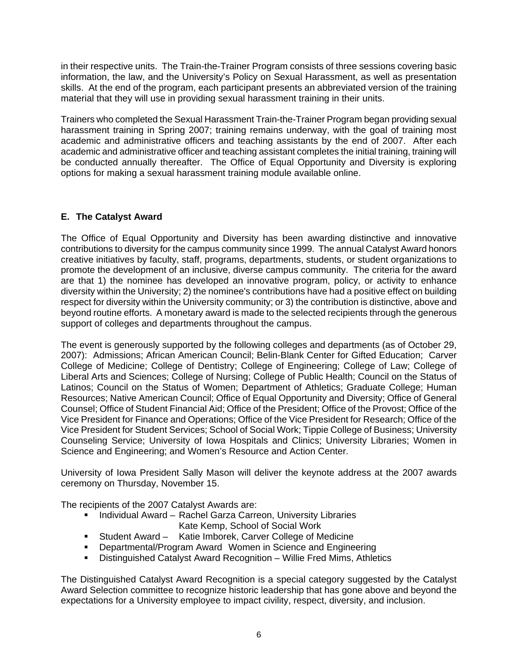in their respective units. The Train-the-Trainer Program consists of three sessions covering basic information, the law, and the University's Policy on Sexual Harassment, as well as presentation skills. At the end of the program, each participant presents an abbreviated version of the training material that they will use in providing sexual harassment training in their units.

Trainers who completed the Sexual Harassment Train-the-Trainer Program began providing sexual harassment training in Spring 2007; training remains underway, with the goal of training most academic and administrative officers and teaching assistants by the end of 2007. After each academic and administrative officer and teaching assistant completes the initial training, training will be conducted annually thereafter. The Office of Equal Opportunity and Diversity is exploring options for making a sexual harassment training module available online.

### **E. The Catalyst Award**

The Office of Equal Opportunity and Diversity has been awarding distinctive and innovative contributions to diversity for the campus community since 1999. The annual Catalyst Award honors creative initiatives by faculty, staff, programs, departments, students, or student organizations to promote the development of an inclusive, diverse campus community. The criteria for the award are that 1) the nominee has developed an innovative program, policy, or activity to enhance diversity within the University; 2) the nominee's contributions have had a positive effect on building respect for diversity within the University community; or 3) the contribution is distinctive, above and beyond routine efforts. A monetary award is made to the selected recipients through the generous support of colleges and departments throughout the campus.

The event is generously supported by the following colleges and departments (as of October 29, 2007): Admissions; African American Council; Belin-Blank Center for Gifted Education; Carver College of Medicine; College of Dentistry; College of Engineering; College of Law; College of Liberal Arts and Sciences; College of Nursing; College of Public Health; Council on the Status of Latinos; Council on the Status of Women; Department of Athletics; Graduate College; Human Resources; Native American Council; Office of Equal Opportunity and Diversity; Office of General Counsel; Office of Student Financial Aid; Office of the President; Office of the Provost; Office of the Vice President for Finance and Operations; Office of the Vice President for Research; Office of the Vice President for Student Services; School of Social Work; Tippie College of Business; University Counseling Service; University of Iowa Hospitals and Clinics; University Libraries; Women in Science and Engineering; and Women's Resource and Action Center.

University of Iowa President Sally Mason will deliver the keynote address at the 2007 awards ceremony on Thursday, November 15.

The recipients of the 2007 Catalyst Awards are:

- **Individual Award Rachel Garza Carreon, University Libraries** Kate Kemp, School of Social Work
- Student Award Katie Imborek, Carver College of Medicine
- Departmental/Program Award Women in Science and Engineering
- Distinguished Catalyst Award Recognition Willie Fred Mims, Athletics

The Distinguished Catalyst Award Recognition is a special category suggested by the Catalyst Award Selection committee to recognize historic leadership that has gone above and beyond the expectations for a University employee to impact civility, respect, diversity, and inclusion.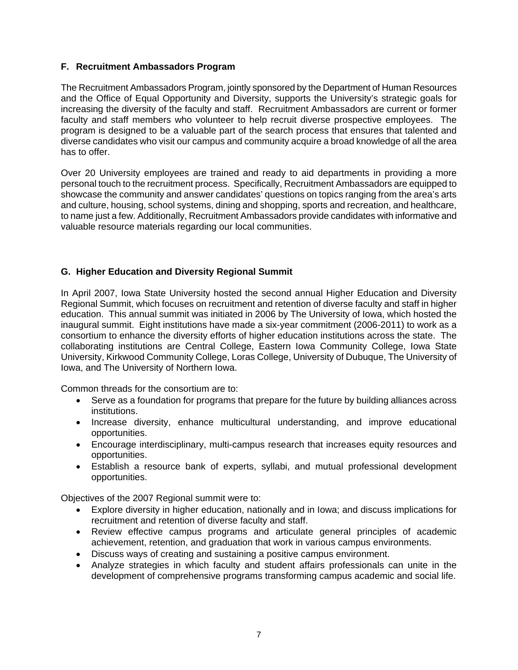### **F. Recruitment Ambassadors Program**

The Recruitment Ambassadors Program, jointly sponsored by the Department of Human Resources and the Office of Equal Opportunity and Diversity, supports the University's strategic goals for increasing the diversity of the faculty and staff. Recruitment Ambassadors are current or former faculty and staff members who volunteer to help recruit diverse prospective employees. The program is designed to be a valuable part of the search process that ensures that talented and diverse candidates who visit our campus and community acquire a broad knowledge of all the area has to offer.

Over 20 University employees are trained and ready to aid departments in providing a more personal touch to the recruitment process. Specifically, Recruitment Ambassadors are equipped to showcase the community and answer candidates' questions on topics ranging from the area's arts and culture, housing, school systems, dining and shopping, sports and recreation, and healthcare, to name just a few. Additionally, Recruitment Ambassadors provide candidates with informative and valuable resource materials regarding our local communities.

# **G. Higher Education and Diversity Regional Summit**

In April 2007, Iowa State University hosted the second annual Higher Education and Diversity Regional Summit, which focuses on recruitment and retention of diverse faculty and staff in higher education. This annual summit was initiated in 2006 by The University of Iowa, which hosted the inaugural summit. Eight institutions have made a six-year commitment (2006-2011) to work as a consortium to enhance the diversity efforts of higher education institutions across the state. The collaborating institutions are Central College, Eastern Iowa Community College, Iowa State University, Kirkwood Community College, Loras College, University of Dubuque, The University of Iowa, and The University of Northern Iowa.

Common threads for the consortium are to:

- Serve as a foundation for programs that prepare for the future by building alliances across institutions.
- Increase diversity, enhance multicultural understanding, and improve educational opportunities.
- Encourage interdisciplinary, multi-campus research that increases equity resources and opportunities.
- Establish a resource bank of experts, syllabi, and mutual professional development opportunities.

Objectives of the 2007 Regional summit were to:

- Explore diversity in higher education, nationally and in Iowa; and discuss implications for recruitment and retention of diverse faculty and staff.
- Review effective campus programs and articulate general principles of academic achievement, retention, and graduation that work in various campus environments.
- Discuss ways of creating and sustaining a positive campus environment.
- Analyze strategies in which faculty and student affairs professionals can unite in the development of comprehensive programs transforming campus academic and social life.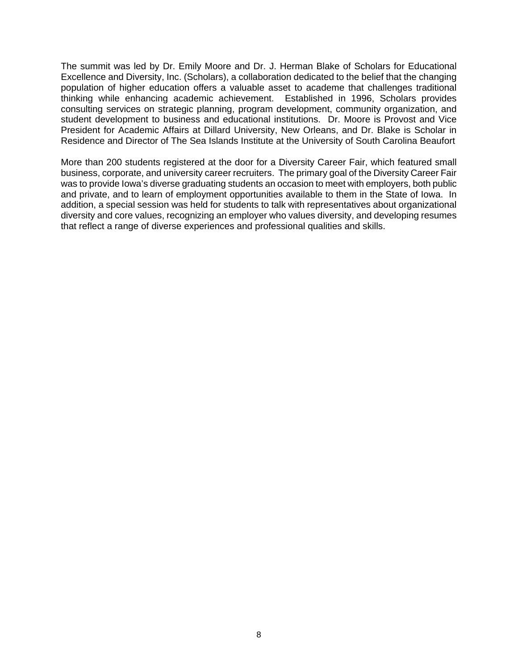The summit was led by Dr. Emily Moore and Dr. J. Herman Blake of Scholars for Educational Excellence and Diversity, Inc. (Scholars), a collaboration dedicated to the belief that the changing population of higher education offers a valuable asset to academe that challenges traditional thinking while enhancing academic achievement. Established in 1996, Scholars provides consulting services on strategic planning, program development, community organization, and student development to business and educational institutions. Dr. Moore is Provost and Vice President for Academic Affairs at Dillard University, New Orleans, and Dr. Blake is Scholar in Residence and Director of The Sea Islands Institute at the University of South Carolina Beaufort

More than 200 students registered at the door for a Diversity Career Fair, which featured small business, corporate, and university career recruiters. The primary goal of the Diversity Career Fair was to provide Iowa's diverse graduating students an occasion to meet with employers, both public and private, and to learn of employment opportunities available to them in the State of Iowa. In addition, a special session was held for students to talk with representatives about organizational diversity and core values, recognizing an employer who values diversity, and developing resumes that reflect a range of diverse experiences and professional qualities and skills.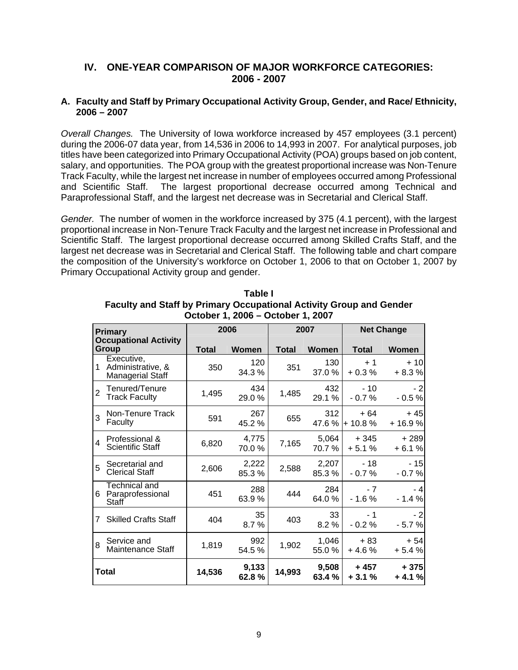# **IV. ONE-YEAR COMPARISON OF MAJOR WORKFORCE CATEGORIES: 2006 - 2007**

### **A. Faculty and Staff by Primary Occupational Activity Group, Gender, and Race/ Ethnicity, 2006 – 2007**

*Overall Changes.* The University of Iowa workforce increased by 457 employees (3.1 percent) during the 2006-07 data year, from 14,536 in 2006 to 14,993 in 2007. For analytical purposes, job titles have been categorized into Primary Occupational Activity (POA) groups based on job content, salary, and opportunities. The POA group with the greatest proportional increase was Non-Tenure Track Faculty, while the largest net increase in number of employees occurred among Professional and Scientific Staff. The largest proportional decrease occurred among Technical and Paraprofessional Staff, and the largest net decrease was in Secretarial and Clerical Staff.

*Gender.* The number of women in the workforce increased by 375 (4.1 percent), with the largest proportional increase in Non-Tenure Track Faculty and the largest net increase in Professional and Scientific Staff. The largest proportional decrease occurred among Skilled Crafts Staff, and the largest net decrease was in Secretarial and Clerical Staff. The following table and chart compare the composition of the University's workforce on October 1, 2006 to that on October 1, 2007 by Primary Occupational Activity group and gender.

| <b>Primary</b><br><b>Occupational Activity</b><br>Group |                                                            |              | 2006           |              | 2007            | <b>Net Change</b>        |                   |  |
|---------------------------------------------------------|------------------------------------------------------------|--------------|----------------|--------------|-----------------|--------------------------|-------------------|--|
|                                                         |                                                            | <b>Total</b> | Women          | <b>Total</b> | <b>Women</b>    | <b>Total</b>             | Women             |  |
| 1                                                       | Executive,<br>Administrative, &<br><b>Managerial Staff</b> | 350          | 120<br>34.3 %  | 351          | 130<br>37.0 %   | $+1$<br>$+0.3%$          | $+10$<br>$+8.3%$  |  |
| $\overline{2}$                                          | Tenured/Tenure<br><b>Track Faculty</b>                     | 1,495        | 434<br>29.0%   | 1,485        | 432<br>29.1 %   | $-10$<br>$-0.7%$         | $-2$<br>$-0.5%$   |  |
| 3                                                       | Non-Tenure Track<br>Faculty                                | 591          | 267<br>45.2%   | 655          | 312             | $+64$<br>47.6 % + 10.8 % | + 45<br>+ 16.9%   |  |
| 4                                                       | Professional &<br><b>Scientific Staff</b>                  | 6,820        | 4,775<br>70.0% | 7,165        | 5,064<br>70.7%  | $+345$<br>$+5.1%$        | $+289$<br>$+6.1%$ |  |
| 5                                                       | Secretarial and<br><b>Clerical Staff</b>                   | 2,606        | 2,222<br>85.3% | 2,588        | 2,207<br>85.3%  | - 18<br>$-0.7%$          | $-15$<br>$-0.7%$  |  |
| 6                                                       | Technical and<br>Paraprofessional<br>Staff                 | 451          | 288<br>63.9%   | 444          | 284<br>64.0%    | - 7<br>$-1.6%$           | - 4<br>$-1.4%$    |  |
| 7                                                       | <b>Skilled Crafts Staff</b>                                | 404          | 35<br>8.7%     | 403          | 33<br>8.2%      | - 1<br>$-0.2%$           | $-2$<br>$-5.7%$   |  |
| 8                                                       | Service and<br>Maintenance Staff                           | 1,819        | 992<br>54.5 %  | 1,902        | 1,046<br>55.0%  | + 83<br>$+4.6%$          | $+54$<br>$+5.4%$  |  |
| Total                                                   |                                                            | 14,536       | 9,133<br>62.8% | 14,993       | 9,508<br>63.4 % | + 457<br>$+3.1%$         | $+375$<br>$+4.1%$ |  |

**Table I Faculty and Staff by Primary Occupational Activity Group and Gender October 1, 2006 – October 1, 2007**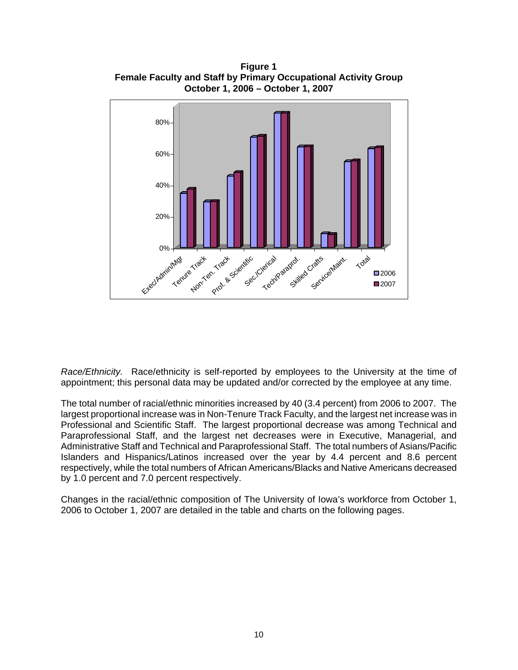

**Figure 1 Female Faculty and Staff by Primary Occupational Activity Group** 

*Race/Ethnicity.* Race/ethnicity is self-reported by employees to the University at the time of appointment; this personal data may be updated and/or corrected by the employee at any time.

The total number of racial/ethnic minorities increased by 40 (3.4 percent) from 2006 to 2007. The largest proportional increase was in Non-Tenure Track Faculty, and the largest net increase was in Professional and Scientific Staff. The largest proportional decrease was among Technical and Paraprofessional Staff, and the largest net decreases were in Executive, Managerial, and Administrative Staff and Technical and Paraprofessional Staff. The total numbers of Asians/Pacific Islanders and Hispanics/Latinos increased over the year by 4.4 percent and 8.6 percent respectively, while the total numbers of African Americans/Blacks and Native Americans decreased by 1.0 percent and 7.0 percent respectively.

Changes in the racial/ethnic composition of The University of Iowa's workforce from October 1, 2006 to October 1, 2007 are detailed in the table and charts on the following pages.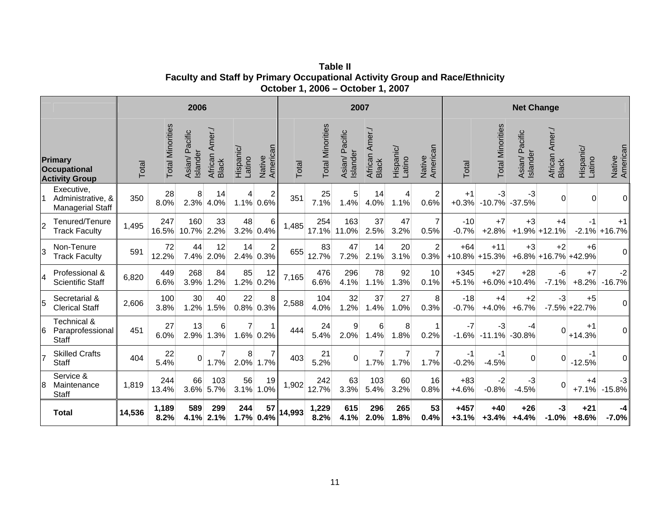**Table II Faculty and Staff by Primary Occupational Activity Group and Race/Ethnicity October 1, 2006 – October 1, 2007**

| 2006           |                                                                |        |                         | 2007                          |                                   |                     |                        | <b>Net Change</b> |                         |                           |                            |                        |                        |                   |                         |                               |                                  |                           |                    |
|----------------|----------------------------------------------------------------|--------|-------------------------|-------------------------------|-----------------------------------|---------------------|------------------------|-------------------|-------------------------|---------------------------|----------------------------|------------------------|------------------------|-------------------|-------------------------|-------------------------------|----------------------------------|---------------------------|--------------------|
|                | <b>Primary</b><br><b>Occupational</b><br><b>Activity Group</b> | Total  | <b>Total Minorities</b> | Pacific<br>Islander<br>Asian/ | Amer./<br>African<br><b>Black</b> | Hispanic/<br>Latino | American<br>Native     | Total             | <b>Total Minorities</b> | Asian/ Pacific<br>slander | Amer./<br>African<br>Black | Hispanic/<br>Latino    | Native<br>American     | Total             | <b>Total Minorities</b> | Pacific<br>Islander<br>Asian/ | Amer./<br>African<br>Black       | Hispanic/<br>Latino       | Native<br>American |
|                | Executive,<br>Administrative, &<br>Managerial Staff            | 350    | 28<br>8.0%              | 8<br>2.3%                     | 14<br>4.0%                        | 4<br>1.1%           | $\overline{c}$<br>0.6% | 351               | 25<br>7.1%              | 5<br>1.4%                 | 14<br>4.0%                 | 4<br>1.1%              | $\overline{2}$<br>0.6% | $+1$<br>$+0.3%$   | -3<br>$-10.7%$          | $-3$<br>$-37.5%$              | $\Omega$                         | $\Omega$                  | Οl                 |
| $\overline{2}$ | Tenured/Tenure<br><b>Track Faculty</b>                         | 1,495  | 247<br>16.5%            | 160<br>10.7%                  | 33<br>2.2%                        | 48<br>3.2%          | 6<br>0.4%              | 1,485             | 254<br>17.1%            | 163<br>11.0%              | 37<br>2.5%                 | 47<br>3.2%             | 7<br>0.5%              | $-10$<br>$-0.7%$  | $+7$<br>$+2.8%$         | $+3$<br>$+1.9%$               | $+4$<br>$+12.1%$                 | $-1$<br>$-2.1%$           | $+1$<br>$+16.7\%$  |
| 3              | Non-Tenure<br><b>Track Faculty</b>                             | 591    | 72<br>12.2%             | 44<br>7.4%                    | 12<br>2.0%                        | 14<br>2.4%          | $\overline{2}$<br>0.3% | 655               | 83<br>12.7%             | 47<br>7.2%                | 14<br>2.1%                 | 20<br>3.1%             | $\overline{2}$<br>0.3% | $+64$<br>$+10.8%$ | $+11$<br>$+15.3%$       | $+3$                          | $+2$<br>$+6.8\% +16.7\% +42.9\%$ | $+6$                      | $\overline{0}$     |
| $\overline{4}$ | Professional &<br><b>Scientific Staff</b>                      | 6,820  | 449<br>6.6%             | 268<br>3.9%                   | 84<br>1.2%                        | 85<br>1.2%          | 12<br>0.2%             | 7,165             | 476<br>6.6%             | 296<br>4.1%               | 78<br>1.1%                 | 92<br>1.3%             | 10<br>0.1%             | $+345$<br>$+5.1%$ | $+27$                   | $+28$<br>$+6.0\% + 10.4\%$    | $-6$<br>$-7.1%$                  | $+7$<br>$+8.2%$           | $-2$<br>$-16.7%$   |
| 5              | Secretarial &<br><b>Clerical Staff</b>                         | 2,606  | 100<br>3.8%             | 30<br>1.2%                    | 40<br>1.5%                        | 22<br>0.8%          | 8<br>0.3%              | 2,588             | 104<br>4.0%             | 32<br>1.2%                | 37<br>1.4%                 | 27<br>1.0%             | 8<br>0.3%              | $-18$<br>$-0.7%$  | $+4$<br>$+4.0%$         | $+2$<br>$+6.7%$               | $-3$                             | $+5$<br>$-7.5\% + 22.7\%$ | $\overline{0}$     |
| 6              | Technical &<br>Paraprofessional<br><b>Staff</b>                | 451    | 27<br>6.0%              | 13<br>2.9%                    | 6<br>1.3%                         | 7<br>1.6%           | $\mathbf 1$<br>0.2%    | 444               | 24<br>5.4%              | 9<br>2.0%                 | 6<br>1.4%                  | 8<br>1.8%              | 1<br>0.2%              | $-7$<br>$-1.6%$   | $-3$<br>$-11.1%$        | -4<br>$-30.8%$                | $\Omega$                         | $+1$<br>$+14.3%$          | $\overline{0}$     |
|                | <b>Skilled Crafts</b><br><b>Staff</b>                          | 404    | 22<br>5.4%              | $\Omega$                      | $\overline{7}$<br>1.7%            | 8<br>2.0%           | 7<br>1.7%              | 403               | 21<br>5.2%              | $\Omega$                  | 7<br>1.7%                  | $\overline{7}$<br>1.7% | $\overline{7}$<br>1.7% | $-1$<br>$-0.2%$   | -1<br>$-4.5%$           | 0                             | $\Omega$                         | -1<br>$-12.5%$            | Οl                 |
| 8              | Service &<br>Maintenance<br><b>Staff</b>                       | 1,819  | 244<br>13.4%            | 66<br>3.6%                    | 103<br>5.7%                       | 56<br>3.1%          | 19<br>1.0%             | 1,902             | 242<br>12.7%            | 63<br>3.3%                | 103<br>5.4%                | 60<br>3.2%             | 16<br>0.8%             | $+83$<br>$+4.6%$  | $-2$<br>$-0.8%$         | $-3$<br>$-4.5%$               | $\Omega$                         | $+4$<br>$+7.1%$           | $-3$<br>$-15.8%$   |
|                | <b>Total</b>                                                   | 14,536 | 1,189<br>8.2%           | 589<br>4.1%                   | 299<br>2.1%                       | 244<br>1.7%         | 57<br>0.4%             | 14,993            | 1,229<br>8.2%           | 615<br>4.1%               | 296<br>2.0%                | 265<br>1.8%            | 53<br>0.4%             | $+457$<br>$+3.1%$ | $+40$<br>$+3.4%$        | $+26$<br>$+4.4%$              | -3<br>$-1.0%$                    | $+21$<br>$+8.6%$          | -4<br>$-7.0%$      |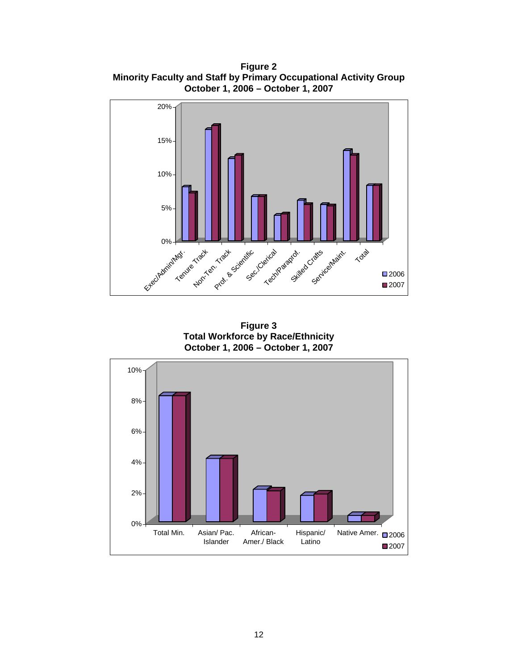**Figure 2 Minority Faculty and Staff by Primary Occupational Activity Group October 1, 2006 – October 1, 2007**



**Figure 3 Total Workforce by Race/Ethnicity October 1, 2006 – October 1, 2007**

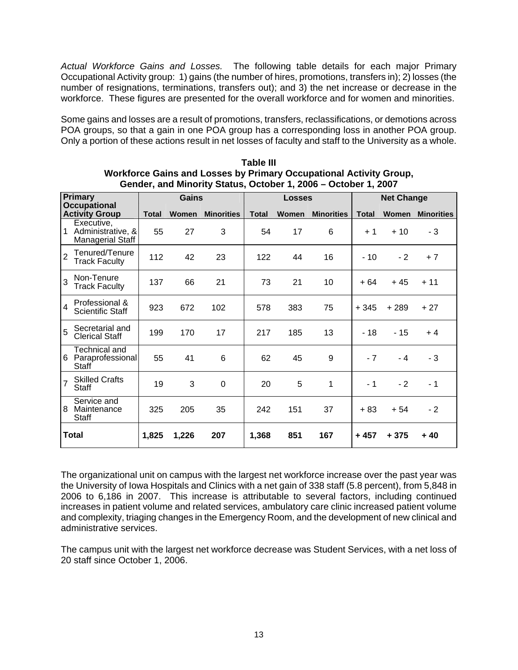*Actual Workforce Gains and Losses.* The following table details for each major Primary Occupational Activity group: 1) gains (the number of hires, promotions, transfers in); 2) losses (the number of resignations, terminations, transfers out); and 3) the net increase or decrease in the workforce. These figures are presented for the overall workforce and for women and minorities.

Some gains and losses are a result of promotions, transfers, reclassifications, or demotions across POA groups, so that a gain in one POA group has a corresponding loss in another POA group. Only a portion of these actions result in net losses of faculty and staff to the University as a whole.

|                | <b>Primary</b><br><b>Occupational</b>                        | <b>Gains</b> |       |                   |              | <b>Losses</b> |                   | <b>Net Change</b> |        |                   |
|----------------|--------------------------------------------------------------|--------------|-------|-------------------|--------------|---------------|-------------------|-------------------|--------|-------------------|
|                | <b>Activity Group</b>                                        | <b>Total</b> | Women | <b>Minorities</b> | <b>Total</b> | Women         | <b>Minorities</b> | <b>Total</b>      | Women  | <b>Minorities</b> |
|                | Executive,<br>1 Administrative, &<br><b>Managerial Staff</b> | 55           | 27    | 3                 | 54           | 17            | 6                 | $+1$              | $+10$  | - 3               |
| $\overline{2}$ | Tenured/Tenure<br><b>Track Faculty</b>                       | 112          | 42    | 23                | 122          | 44            | 16                | $-10$             | $-2$   | $+7$              |
| 3              | Non-Tenure<br><b>Track Faculty</b>                           | 137          | 66    | 21                | 73           | 21            | 10                | + 64              | $+45$  | $+ 11$            |
| 4              | Professional &<br><b>Scientific Staff</b>                    | 923          | 672   | 102               | 578          | 383           | 75                | + 345             | $+289$ | $+27$             |
| 5              | Secretarial and<br><b>Clerical Staff</b>                     | 199          | 170   | 17                | 217          | 185           | 13                | $-18$             | $-15$  | $+4$              |
|                | Technical and<br>6 Paraprofessional<br>Staff                 | 55           | 41    | 6                 | 62           | 45            | 9                 | $-7$              | $-4$   | - 3               |
| $\overline{7}$ | <b>Skilled Crafts</b><br>Staff                               | 19           | 3     | 0                 | 20           | 5             | 1                 | $-1$              | $-2$   | - 1               |
|                | Service and<br>8 Maintenance<br>Staff                        | 325          | 205   | 35                | 242          | 151           | 37                | + 83              | $+54$  | $-2$              |
|                | <b>Total</b>                                                 | 1,825        | 1,226 | 207               | 1,368        | 851           | 167               | + 457             | + 375  | + 40              |

**Table III Workforce Gains and Losses by Primary Occupational Activity Group, Gender, and Minority Status, October 1, 2006 – October 1, 2007**

The organizational unit on campus with the largest net workforce increase over the past year was the University of Iowa Hospitals and Clinics with a net gain of 338 staff (5.8 percent), from 5,848 in 2006 to 6,186 in 2007. This increase is attributable to several factors, including continued increases in patient volume and related services, ambulatory care clinic increased patient volume and complexity, triaging changes in the Emergency Room, and the development of new clinical and administrative services.

The campus unit with the largest net workforce decrease was Student Services, with a net loss of 20 staff since October 1, 2006.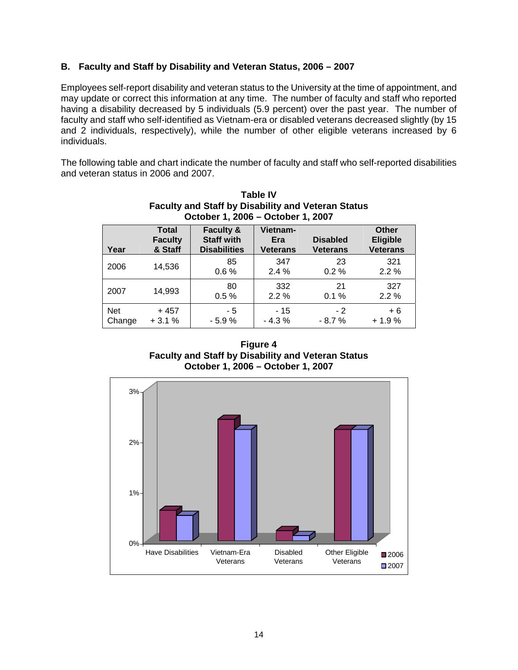### **B. Faculty and Staff by Disability and Veteran Status, 2006 – 2007**

Employees self-report disability and veteran status to the University at the time of appointment, and may update or correct this information at any time. The number of faculty and staff who reported having a disability decreased by 5 individuals (5.9 percent) over the past year. The number of faculty and staff who self-identified as Vietnam-era or disabled veterans decreased slightly (by 15 and 2 individuals, respectively), while the number of other eligible veterans increased by 6 individuals.

The following table and chart indicate the number of faculty and staff who self-reported disabilities and veteran status in 2006 and 2007.

|                      | October 1, 2006 - October 1, 2007         |                                                                  |                                    |                                    |                                                    |  |  |  |  |  |  |
|----------------------|-------------------------------------------|------------------------------------------------------------------|------------------------------------|------------------------------------|----------------------------------------------------|--|--|--|--|--|--|
| Year                 | <b>Total</b><br><b>Faculty</b><br>& Staff | <b>Faculty &amp;</b><br><b>Staff with</b><br><b>Disabilities</b> | Vietnam-<br>Era<br><b>Veterans</b> | <b>Disabled</b><br><b>Veterans</b> | <b>Other</b><br><b>Eligible</b><br><b>Veterans</b> |  |  |  |  |  |  |
| 2006                 | 14,536                                    | 85<br>0.6%                                                       | 347<br>$2.4\%$                     | 23<br>$0.2 \%$                     | 321<br>2.2%                                        |  |  |  |  |  |  |
| 2007                 | 14,993                                    | 80<br>0.5%                                                       | 332<br>2.2%                        | 21<br>0.1%                         | 327<br>2.2%                                        |  |  |  |  |  |  |
| <b>Net</b><br>Change | $+457$<br>$+3.1%$                         | - 5<br>$-5.9%$                                                   | - 15<br>$-4.3%$                    | - 2<br>$-8.7%$                     | $+6$<br>$+1.9%$                                    |  |  |  |  |  |  |

**Table IV Faculty and Staff by Disability and Veteran Status**

**Figure 4 Faculty and Staff by Disability and Veteran Status October 1, 2006 – October 1, 2007**

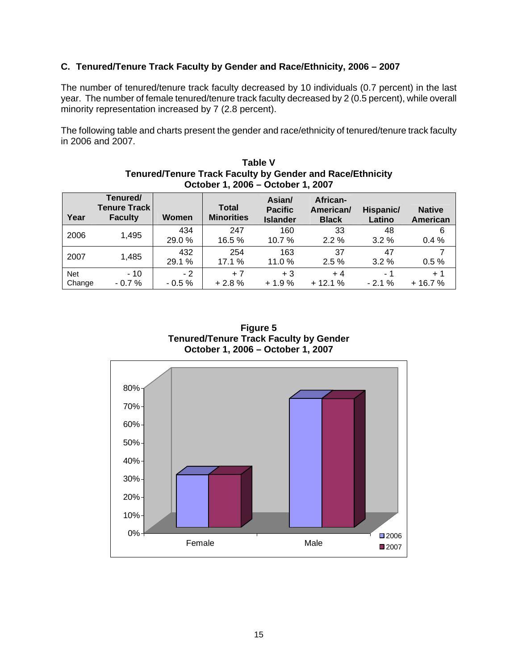### **C. Tenured/Tenure Track Faculty by Gender and Race/Ethnicity, 2006 – 2007**

The number of tenured/tenure track faculty decreased by 10 individuals (0.7 percent) in the last year. The number of female tenured/tenure track faculty decreased by 2 (0.5 percent), while overall minority representation increased by 7 (2.8 percent).

The following table and charts present the gender and race/ethnicity of tenured/tenure track faculty in 2006 and 2007.

**Table V** 

|                      | Tenured/Tenure Track Faculty by Gender and Race/Ethnicity<br>October 1, 2006 - October 1, 2007 |                 |                                   |                                             |                                       |                     |                                  |  |  |  |  |  |
|----------------------|------------------------------------------------------------------------------------------------|-----------------|-----------------------------------|---------------------------------------------|---------------------------------------|---------------------|----------------------------------|--|--|--|--|--|
| Year                 | Tenured/<br><b>Tenure Track</b><br><b>Faculty</b>                                              | Women           | <b>Total</b><br><b>Minorities</b> | Asian/<br><b>Pacific</b><br><b>Islander</b> | African-<br>American/<br><b>Black</b> | Hispanic/<br>Latino | <b>Native</b><br><b>American</b> |  |  |  |  |  |
| 2006                 | 1,495                                                                                          | 434<br>29.0%    | 247<br>16.5 %                     | 160<br>10.7%                                | 33<br>$2.2\%$                         | 48<br>$3.2\%$       | 6<br>0.4%                        |  |  |  |  |  |
| 2007                 | 1,485                                                                                          | 432<br>29.1 %   | 254<br>17.1 %                     | 163<br>11.0%                                | 37<br>2.5%                            | 47<br>$3.2\%$       | 0.5%                             |  |  |  |  |  |
| <b>Net</b><br>Change | $-10$<br>$-0.7%$                                                                               | $-2$<br>$-0.5%$ | $+7$<br>$+2.8%$                   | $+3$<br>$+1.9%$                             | $+4$<br>$+12.1%$                      | - 1<br>$-2.1%$      | $+1$<br>$+16.7%$                 |  |  |  |  |  |



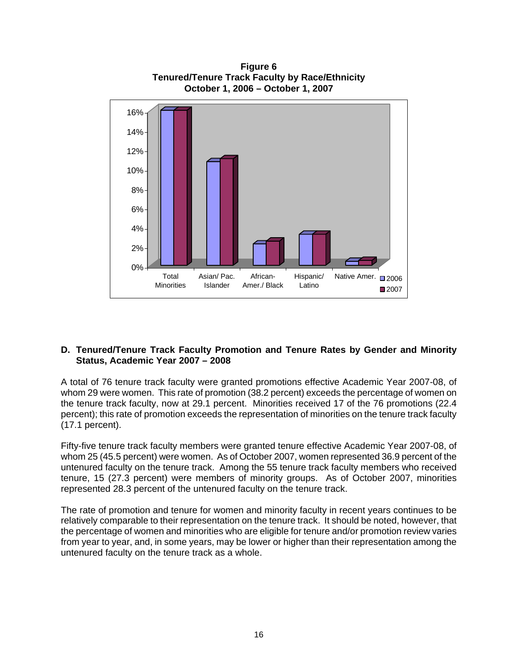

**Figure 6 Tenured/Tenure Track Faculty by Race/Ethnicity** 

### **D. Tenured/Tenure Track Faculty Promotion and Tenure Rates by Gender and Minority Status, Academic Year 2007 – 2008**

A total of 76 tenure track faculty were granted promotions effective Academic Year 2007-08, of whom 29 were women. This rate of promotion (38.2 percent) exceeds the percentage of women on the tenure track faculty, now at 29.1 percent. Minorities received 17 of the 76 promotions (22.4 percent); this rate of promotion exceeds the representation of minorities on the tenure track faculty (17.1 percent).

Fifty-five tenure track faculty members were granted tenure effective Academic Year 2007-08, of whom 25 (45.5 percent) were women. As of October 2007, women represented 36.9 percent of the untenured faculty on the tenure track. Among the 55 tenure track faculty members who received tenure, 15 (27.3 percent) were members of minority groups. As of October 2007, minorities represented 28.3 percent of the untenured faculty on the tenure track.

The rate of promotion and tenure for women and minority faculty in recent years continues to be relatively comparable to their representation on the tenure track. It should be noted, however, that the percentage of women and minorities who are eligible for tenure and/or promotion review varies from year to year, and, in some years, may be lower or higher than their representation among the untenured faculty on the tenure track as a whole.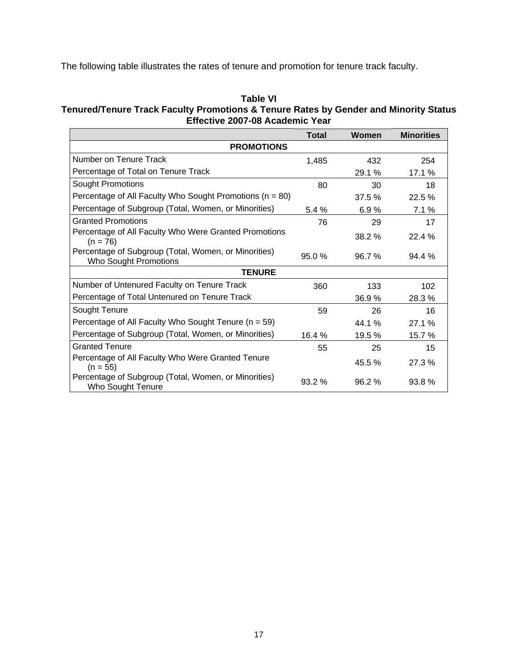The following table illustrates the rates of tenure and promotion for tenure track faculty.

### **Table VI**

### **Tenured/Tenure Track Faculty Promotions & Tenure Rates by Gender and Minority Status Effective 2007-08 Academic Year**

|                                                                               | <b>Total</b> | Women  | <b>Minorities</b> |  |  |  |  |  |  |  |
|-------------------------------------------------------------------------------|--------------|--------|-------------------|--|--|--|--|--|--|--|
| <b>PROMOTIONS</b>                                                             |              |        |                   |  |  |  |  |  |  |  |
| Number on Tenure Track                                                        | 1,485        | 432    | 254               |  |  |  |  |  |  |  |
| Percentage of Total on Tenure Track                                           |              | 29.1 % | 17.1 %            |  |  |  |  |  |  |  |
| <b>Sought Promotions</b>                                                      | 80           | 30     | 18                |  |  |  |  |  |  |  |
| Percentage of All Faculty Who Sought Promotions ( $n = 80$ )                  |              | 37.5 % | 22.5 %            |  |  |  |  |  |  |  |
| Percentage of Subgroup (Total, Women, or Minorities)                          | 5.4%         | 6.9%   | 7.1%              |  |  |  |  |  |  |  |
| <b>Granted Promotions</b>                                                     | 76           | 29     | 17                |  |  |  |  |  |  |  |
| Percentage of All Faculty Who Were Granted Promotions<br>$(n = 76)$           |              | 38.2 % | 22.4 %            |  |  |  |  |  |  |  |
| Percentage of Subgroup (Total, Women, or Minorities)<br>Who Sought Promotions | 95.0%        | 96.7%  | 94.4%             |  |  |  |  |  |  |  |
| <b>TENURE</b>                                                                 |              |        |                   |  |  |  |  |  |  |  |
| Number of Untenured Faculty on Tenure Track                                   | 360          | 133    | 102 <sub>2</sub>  |  |  |  |  |  |  |  |
| Percentage of Total Untenured on Tenure Track                                 |              | 36.9%  | 28.3 %            |  |  |  |  |  |  |  |
| Sought Tenure                                                                 | 59           | 26     | 16                |  |  |  |  |  |  |  |
| Percentage of All Faculty Who Sought Tenure ( $n = 59$ )                      |              | 44.1 % | 27.1%             |  |  |  |  |  |  |  |
| Percentage of Subgroup (Total, Women, or Minorities)                          | 16.4 %       | 19.5 % | 15.7 %            |  |  |  |  |  |  |  |
| <b>Granted Tenure</b>                                                         | 55           | 25     | 15                |  |  |  |  |  |  |  |
| Percentage of All Faculty Who Were Granted Tenure<br>$(n = 55)$               |              | 45.5 % | 27.3 %            |  |  |  |  |  |  |  |
| Percentage of Subgroup (Total, Women, or Minorities)<br>Who Sought Tenure     | 93.2%        | 96.2%  | 93.8%             |  |  |  |  |  |  |  |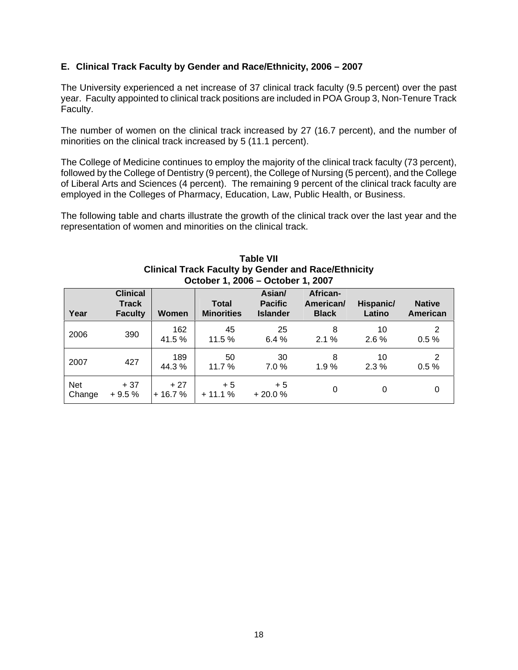### **E. Clinical Track Faculty by Gender and Race/Ethnicity, 2006 – 2007**

The University experienced a net increase of 37 clinical track faculty (9.5 percent) over the past year. Faculty appointed to clinical track positions are included in POA Group 3, Non-Tenure Track Faculty.

The number of women on the clinical track increased by 27 (16.7 percent), and the number of minorities on the clinical track increased by 5 (11.1 percent).

The College of Medicine continues to employ the majority of the clinical track faculty (73 percent), followed by the College of Dentistry (9 percent), the College of Nursing (5 percent), and the College of Liberal Arts and Sciences (4 percent). The remaining 9 percent of the clinical track faculty are employed in the Colleges of Pharmacy, Education, Law, Public Health, or Business.

The following table and charts illustrate the growth of the clinical track over the last year and the representation of women and minorities on the clinical track.

|                      | OCLODGI I, ZUUU – OCLODGI I, ZUUT                 |                   |                                   |                                             |                                       |                     |                           |  |  |  |  |
|----------------------|---------------------------------------------------|-------------------|-----------------------------------|---------------------------------------------|---------------------------------------|---------------------|---------------------------|--|--|--|--|
| Year                 | <b>Clinical</b><br><b>Track</b><br><b>Faculty</b> | <b>Women</b>      | <b>Total</b><br><b>Minorities</b> | Asian/<br><b>Pacific</b><br><b>Islander</b> | African-<br>American/<br><b>Black</b> | Hispanic/<br>Latino | <b>Native</b><br>American |  |  |  |  |
| 2006                 | 390                                               | 162<br>41.5%      | 45<br>11.5 %                      | 25<br>6.4%                                  | 8<br>2.1%                             | 10<br>2.6%          | 2<br>0.5%                 |  |  |  |  |
| 2007                 | 427                                               | 189<br>44.3%      | 50<br>11.7 %                      | 30<br>7.0%                                  | 8<br>1.9%                             | 10<br>2.3%          | 2<br>0.5%                 |  |  |  |  |
| <b>Net</b><br>Change | $+37$<br>$+9.5%$                                  | $+27$<br>$+16.7%$ | $+5$<br>$+11.1%$                  | $+5$<br>$+20.0%$                            | 0                                     | 0                   | 0                         |  |  |  |  |

#### **Table VII Clinical Track Faculty by Gender and Race/Ethnicity October 1, 2006 – October 1, 2007**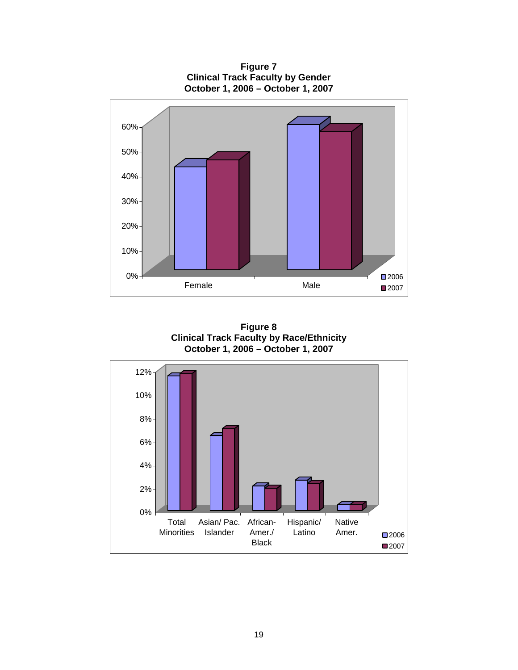**Figure 7 Clinical Track Faculty by Gender October 1, 2006 – October 1, 2007** 



**Figure 8 Clinical Track Faculty by Race/Ethnicity October 1, 2006 – October 1, 2007** 

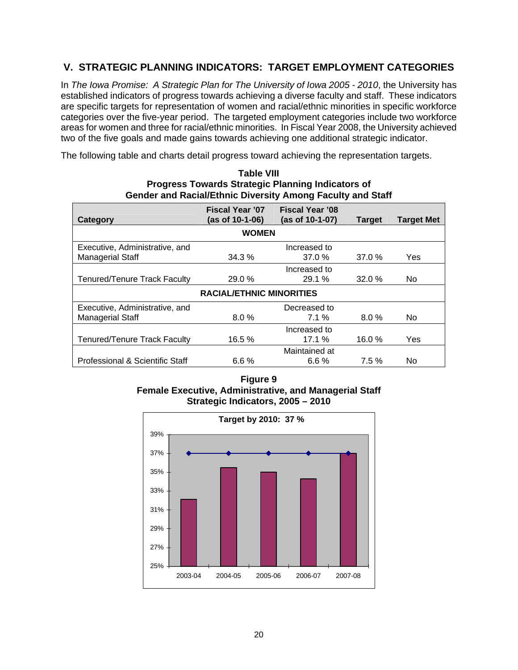# **V. STRATEGIC PLANNING INDICATORS: TARGET EMPLOYMENT CATEGORIES**

In *The Iowa Promise: A Strategic Plan for The University of Iowa 2005 - 2010*, the University has established indicators of progress towards achieving a diverse faculty and staff. These indicators are specific targets for representation of women and racial/ethnic minorities in specific workforce categories over the five-year period. The targeted employment categories include two workforce areas for women and three for racial/ethnic minorities. In Fiscal Year 2008, the University achieved two of the five goals and made gains towards achieving one additional strategic indicator.

The following table and charts detail progress toward achieving the representation targets.

| <b>Table VIII</b>                                                 |
|-------------------------------------------------------------------|
| <b>Progress Towards Strategic Planning Indicators of</b>          |
| <b>Gender and Racial/Ethnic Diversity Among Faculty and Staff</b> |

|                                                | <b>Fiscal Year '07</b>          | <b>Fiscal Year '08</b> |               |                   |  |  |  |  |  |  |  |
|------------------------------------------------|---------------------------------|------------------------|---------------|-------------------|--|--|--|--|--|--|--|
| Category                                       | (as of 10-1-06)                 | (as of 10-1-07)        | <b>Target</b> | <b>Target Met</b> |  |  |  |  |  |  |  |
| <b>WOMEN</b>                                   |                                 |                        |               |                   |  |  |  |  |  |  |  |
| Executive, Administrative, and<br>Increased to |                                 |                        |               |                   |  |  |  |  |  |  |  |
| <b>Managerial Staff</b>                        | 34.3%                           | 37.0%                  | 37.0%         | Yes               |  |  |  |  |  |  |  |
|                                                |                                 | Increased to           |               |                   |  |  |  |  |  |  |  |
| <b>Tenured/Tenure Track Faculty</b>            | 29.0 %                          | 29.1%                  | 32.0%         | No.               |  |  |  |  |  |  |  |
|                                                | <b>RACIAL/ETHNIC MINORITIES</b> |                        |               |                   |  |  |  |  |  |  |  |
| Executive, Administrative, and                 |                                 | Decreased to           |               |                   |  |  |  |  |  |  |  |
| <b>Managerial Staff</b>                        | $8.0\%$                         | 7.1%                   | $8.0\%$       | No.               |  |  |  |  |  |  |  |
|                                                |                                 | Increased to           |               |                   |  |  |  |  |  |  |  |
| <b>Tenured/Tenure Track Faculty</b>            | 16.5 %                          | 17.1%                  | 16.0%         | Yes               |  |  |  |  |  |  |  |
|                                                |                                 | Maintained at          |               |                   |  |  |  |  |  |  |  |
| Professional & Scientific Staff                | 6.6%                            | 6.6%                   | 7.5%          | No                |  |  |  |  |  |  |  |

**Figure 9 Female Executive, Administrative, and Managerial Staff Strategic Indicators, 2005 – 2010** 

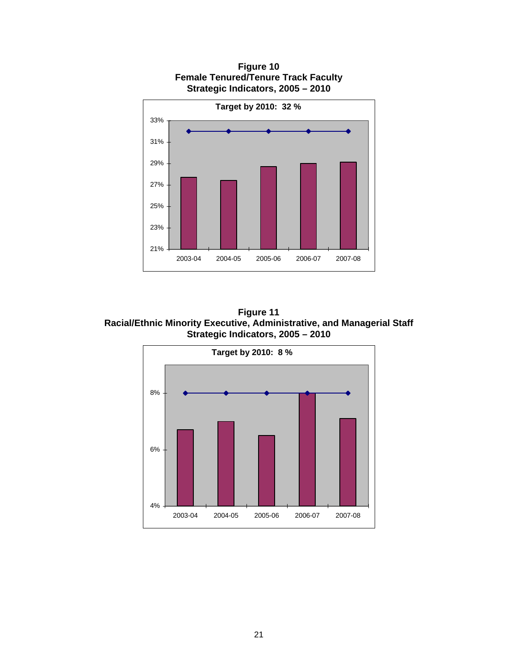

**Figure 10 Female Tenured/Tenure Track Faculty Strategic Indicators, 2005 – 2010** 

**Figure 11 Racial/Ethnic Minority Executive, Administrative, and Managerial Staff Strategic Indicators, 2005 – 2010** 

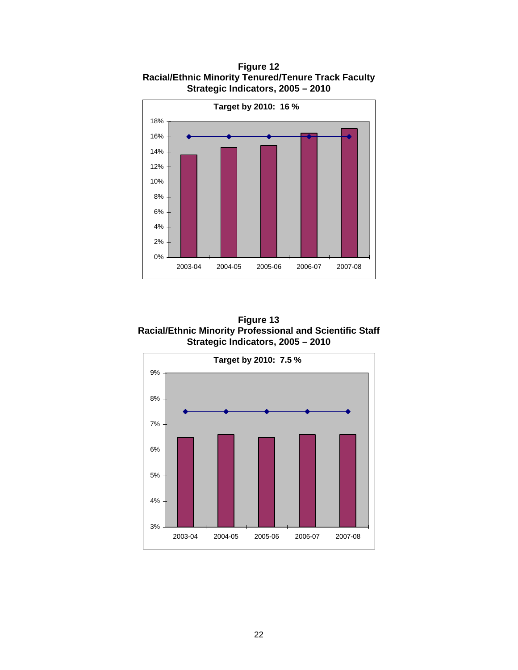

**Figure 12 Racial/Ethnic Minority Tenured/Tenure Track Faculty Strategic Indicators, 2005 – 2010** 



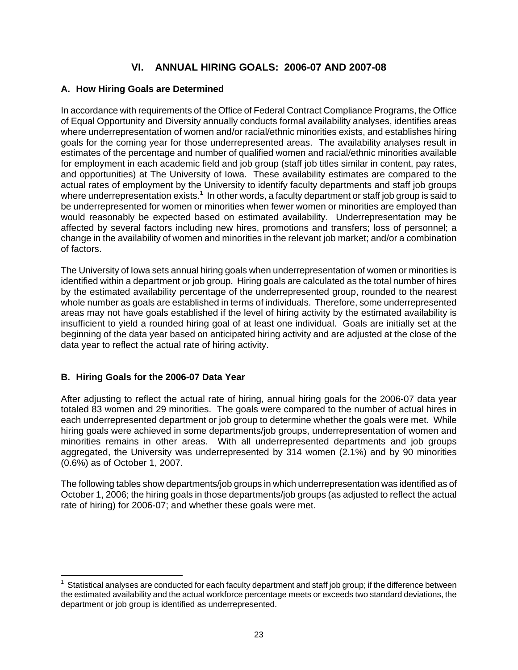# **VI. ANNUAL HIRING GOALS: 2006-07 AND 2007-08**

# **A. How Hiring Goals are Determined**

In accordance with requirements of the Office of Federal Contract Compliance Programs, the Office of Equal Opportunity and Diversity annually conducts formal availability analyses, identifies areas where underrepresentation of women and/or racial/ethnic minorities exists, and establishes hiring goals for the coming year for those underrepresented areas. The availability analyses result in estimates of the percentage and number of qualified women and racial/ethnic minorities available for employment in each academic field and job group (staff job titles similar in content, pay rates, and opportunities) at The University of Iowa. These availability estimates are compared to the actual rates of employment by the University to identify faculty departments and staff job groups where underrepresentation exists.<sup>1</sup> In other words, a faculty department or staff job group is said to be underrepresented for women or minorities when fewer women or minorities are employed than would reasonably be expected based on estimated availability. Underrepresentation may be affected by several factors including new hires, promotions and transfers; loss of personnel; a change in the availability of women and minorities in the relevant job market; and/or a combination of factors.

The University of Iowa sets annual hiring goals when underrepresentation of women or minorities is identified within a department or job group. Hiring goals are calculated as the total number of hires by the estimated availability percentage of the underrepresented group, rounded to the nearest whole number as goals are established in terms of individuals. Therefore, some underrepresented areas may not have goals established if the level of hiring activity by the estimated availability is insufficient to yield a rounded hiring goal of at least one individual. Goals are initially set at the beginning of the data year based on anticipated hiring activity and are adjusted at the close of the data year to reflect the actual rate of hiring activity.

# **B. Hiring Goals for the 2006-07 Data Year**

 $\overline{a}$ 

After adjusting to reflect the actual rate of hiring, annual hiring goals for the 2006-07 data year totaled 83 women and 29 minorities. The goals were compared to the number of actual hires in each underrepresented department or job group to determine whether the goals were met. While hiring goals were achieved in some departments/job groups, underrepresentation of women and minorities remains in other areas. With all underrepresented departments and job groups aggregated, the University was underrepresented by 314 women (2.1%) and by 90 minorities (0.6%) as of October 1, 2007.

The following tables show departments/job groups in which underrepresentation was identified as of October 1, 2006; the hiring goals in those departments/job groups (as adjusted to reflect the actual rate of hiring) for 2006-07; and whether these goals were met.

 $1$  Statistical analyses are conducted for each faculty department and staff job group; if the difference between the estimated availability and the actual workforce percentage meets or exceeds two standard deviations, the department or job group is identified as underrepresented.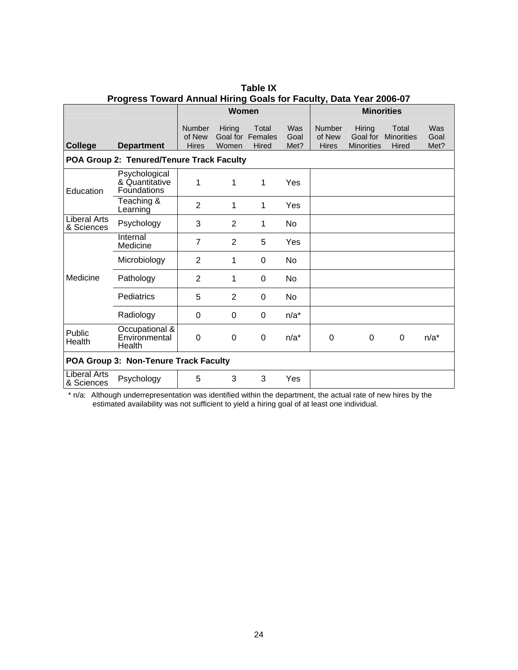| Progress Toward Annual Hiring Goals for Faculty, Data Tear Zubo-07 |                                                |                                         |                 |                                    |                     |                                         |                                         |                                            |                     |  |  |  |
|--------------------------------------------------------------------|------------------------------------------------|-----------------------------------------|-----------------|------------------------------------|---------------------|-----------------------------------------|-----------------------------------------|--------------------------------------------|---------------------|--|--|--|
|                                                                    |                                                |                                         | Women           |                                    |                     |                                         |                                         | <b>Minorities</b>                          |                     |  |  |  |
| <b>College</b>                                                     | <b>Department</b>                              | <b>Number</b><br>of New<br><b>Hires</b> | Hiring<br>Women | Total<br>Goal for Females<br>Hired | Was<br>Goal<br>Met? | <b>Number</b><br>of New<br><b>Hires</b> | Hiring<br>Goal for<br><b>Minorities</b> | Total<br><b>Minorities</b><br><b>Hired</b> | Was<br>Goal<br>Met? |  |  |  |
|                                                                    | POA Group 2: Tenured/Tenure Track Faculty      |                                         |                 |                                    |                     |                                         |                                         |                                            |                     |  |  |  |
| Education                                                          | Psychological<br>& Quantitative<br>Foundations | 1                                       | 1               | 1                                  | Yes                 |                                         |                                         |                                            |                     |  |  |  |
|                                                                    | Teaching &<br>Learning                         | 2                                       | 1               | 1                                  | Yes                 |                                         |                                         |                                            |                     |  |  |  |
| <b>Liberal Arts</b><br>& Sciences                                  | Psychology                                     | 3                                       | $\overline{2}$  | 1                                  | No                  |                                         |                                         |                                            |                     |  |  |  |
|                                                                    | Internal<br>Medicine                           | $\overline{7}$                          | $\overline{2}$  | 5                                  | Yes                 |                                         |                                         |                                            |                     |  |  |  |
|                                                                    | Microbiology                                   | $\overline{2}$                          | 1               | 0                                  | No.                 |                                         |                                         |                                            |                     |  |  |  |
| Medicine                                                           | Pathology                                      | 2                                       | 1               | $\Omega$                           | <b>No</b>           |                                         |                                         |                                            |                     |  |  |  |
|                                                                    | Pediatrics                                     | 5                                       | $\overline{2}$  | 0                                  | No                  |                                         |                                         |                                            |                     |  |  |  |
|                                                                    | Radiology                                      | $\Omega$                                | 0               | 0                                  | $n/a^*$             |                                         |                                         |                                            |                     |  |  |  |
| Public<br>Health                                                   | Occupational &<br>Environmental<br>Health      | $\Omega$                                | 0               | $\mathbf 0$                        | $n/a^*$             | 0                                       | $\Omega$                                | 0                                          | $n/a^*$             |  |  |  |
|                                                                    | POA Group 3: Non-Tenure Track Faculty          |                                         |                 |                                    |                     |                                         |                                         |                                            |                     |  |  |  |
| Liberal Arts<br>& Sciences                                         | Psychology                                     | 5                                       | 3               | 3                                  | Yes                 |                                         |                                         |                                            |                     |  |  |  |

**Table IX Progress Toward Annual Hiring Goals for Faculty, Data Year 2006-07** 

\* n/a: Although underrepresentation was identified within the department, the actual rate of new hires by the estimated availability was not sufficient to yield a hiring goal of at least one individual.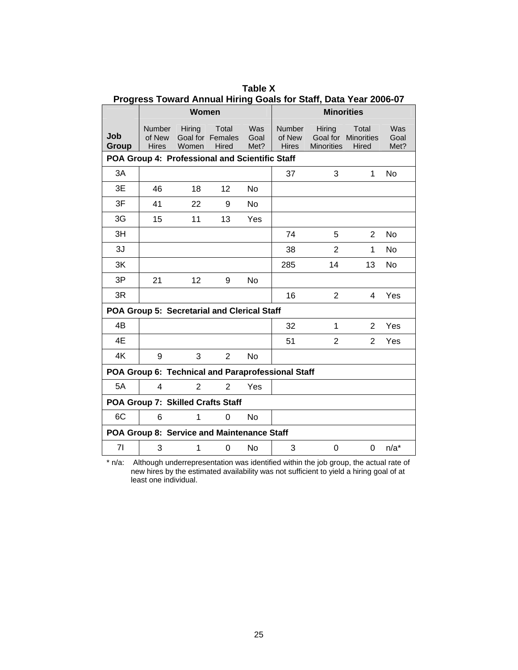|              |                                         |                                                   |                                    |                     | Progress Toward Annual Hiring Goals for Staff, Data Year 2006-07 |                             |                                       |                     |
|--------------|-----------------------------------------|---------------------------------------------------|------------------------------------|---------------------|------------------------------------------------------------------|-----------------------------|---------------------------------------|---------------------|
|              |                                         | Women                                             |                                    |                     |                                                                  | <b>Minorities</b>           |                                       |                     |
| Job<br>Group | <b>Number</b><br>of New<br><b>Hires</b> | Hiring<br>Women                                   | Total<br>Goal for Females<br>Hired | Was<br>Goal<br>Met? | <b>Number</b><br>of New<br><b>Hires</b>                          | Hiring<br><b>Minorities</b> | Total<br>Goal for Minorities<br>Hired | Was<br>Goal<br>Met? |
|              |                                         | POA Group 4: Professional and Scientific Staff    |                                    |                     |                                                                  |                             |                                       |                     |
| 3A           |                                         |                                                   |                                    |                     | 37                                                               | 3                           | 1                                     | <b>No</b>           |
| 3E           | 46                                      | 18                                                | 12                                 | No.                 |                                                                  |                             |                                       |                     |
| 3F           | 41                                      | 22                                                | 9                                  | No.                 |                                                                  |                             |                                       |                     |
| 3G           | 15                                      | 11                                                | 13                                 | Yes                 |                                                                  |                             |                                       |                     |
| 3H           |                                         |                                                   |                                    |                     | 74                                                               | 5                           | $\overline{2}$                        | No                  |
| 3J           |                                         |                                                   |                                    |                     | 38                                                               | $\overline{2}$              | 1                                     | <b>No</b>           |
| 3K           |                                         |                                                   |                                    |                     | 285                                                              | 14                          | 13                                    | <b>No</b>           |
| 3P           | 21                                      | 12                                                | 9                                  | <b>No</b>           |                                                                  |                             |                                       |                     |
| 3R           |                                         |                                                   |                                    |                     | 16                                                               | $\overline{2}$              | 4                                     | Yes                 |
|              |                                         | POA Group 5: Secretarial and Clerical Staff       |                                    |                     |                                                                  |                             |                                       |                     |
| 4B           |                                         |                                                   |                                    |                     | 32                                                               | 1                           | 2                                     | Yes                 |
| 4E           |                                         |                                                   |                                    |                     | 51                                                               | 2                           | 2                                     | Yes                 |
| 4K           | 9                                       | 3                                                 | $\overline{2}$                     | <b>No</b>           |                                                                  |                             |                                       |                     |
|              |                                         | POA Group 6: Technical and Paraprofessional Staff |                                    |                     |                                                                  |                             |                                       |                     |
| 5A           | 4                                       | $\overline{2}$                                    | $\overline{2}$                     | <b>Yes</b>          |                                                                  |                             |                                       |                     |
|              |                                         | POA Group 7: Skilled Crafts Staff                 |                                    |                     |                                                                  |                             |                                       |                     |
| 6C           | 6                                       | 1                                                 | $\Omega$                           | <b>No</b>           |                                                                  |                             |                                       |                     |
|              |                                         | POA Group 8: Service and Maintenance Staff        |                                    |                     |                                                                  |                             |                                       |                     |
| 71           | 3                                       | 1                                                 | 0                                  | No                  | 3                                                                | 0                           | 0                                     | $n/a^*$             |

**Table X Progress Toward Annual Hiring Goals for Staff, Data Year 2006-07** 

\* n/a: Although underrepresentation was identified within the job group, the actual rate of new hires by the estimated availability was not sufficient to yield a hiring goal of at least one individual.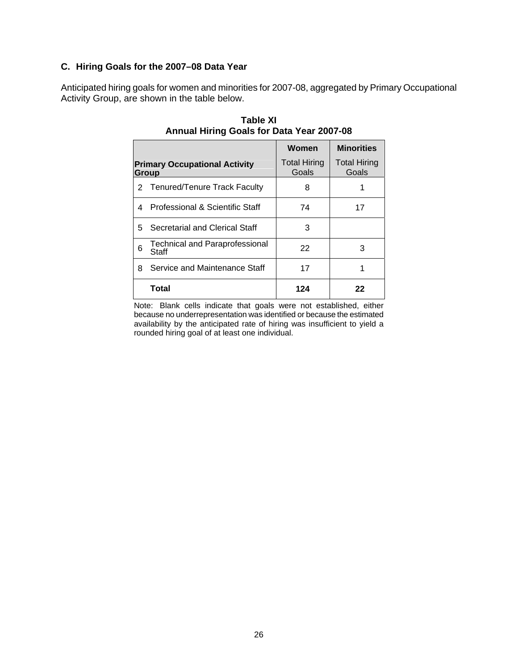## **C. Hiring Goals for the 2007–08 Data Year**

Anticipated hiring goals for women and minorities for 2007-08, aggregated by Primary Occupational Activity Group, are shown in the table below.

|   |                                                | Women                        | <b>Minorities</b>            |
|---|------------------------------------------------|------------------------------|------------------------------|
|   | <b>Primary Occupational Activity</b><br>Group  | <b>Total Hiring</b><br>Goals | <b>Total Hiring</b><br>Goals |
|   | 2 Tenured/Tenure Track Faculty                 | 8                            |                              |
| 4 | Professional & Scientific Staff                | 74                           | 17                           |
|   | 5 Secretarial and Clerical Staff               | 3                            |                              |
| 6 | <b>Technical and Paraprofessional</b><br>Staff | 22                           | 3                            |
| 8 | Service and Maintenance Staff                  | 17                           |                              |
|   | Total                                          | 124                          | 22                           |

**Table XI Annual Hiring Goals for Data Year 2007-08** 

Note: Blank cells indicate that goals were not established, either because no underrepresentation was identified or because the estimated availability by the anticipated rate of hiring was insufficient to yield a rounded hiring goal of at least one individual.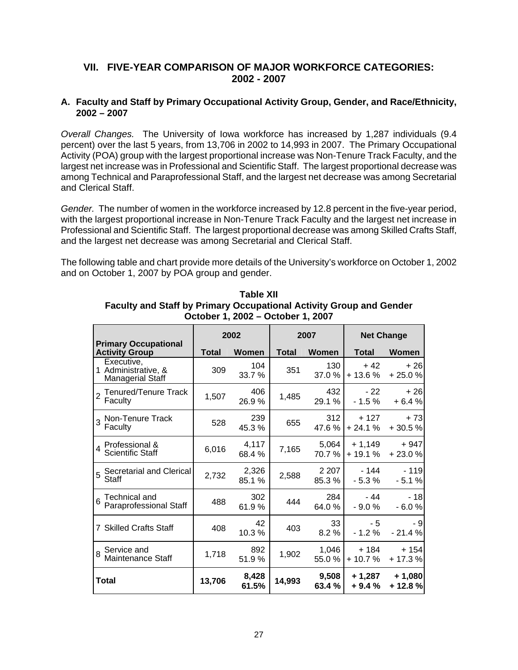# **VII. FIVE-YEAR COMPARISON OF MAJOR WORKFORCE CATEGORIES: 2002 - 2007**

## **A. Faculty and Staff by Primary Occupational Activity Group, Gender, and Race/Ethnicity, 2002 – 2007**

*Overall Changes.* The University of Iowa workforce has increased by 1,287 individuals (9.4 percent) over the last 5 years, from 13,706 in 2002 to 14,993 in 2007. The Primary Occupational Activity (POA) group with the largest proportional increase was Non-Tenure Track Faculty, and the largest net increase was in Professional and Scientific Staff. The largest proportional decrease was among Technical and Paraprofessional Staff, and the largest net decrease was among Secretarial and Clerical Staff.

*Gender.* The number of women in the workforce increased by 12.8 percent in the five-year period, with the largest proportional increase in Non-Tenure Track Faculty and the largest net increase in Professional and Scientific Staff. The largest proportional decrease was among Skilled Crafts Staff, and the largest net decrease was among Secretarial and Clerical Staff.

The following table and chart provide more details of the University's workforce on October 1, 2002 and on October 1, 2007 by POA group and gender.

|                                                              |              | 2002           |              | 2007              | <b>Net Change</b>   |                      |  |
|--------------------------------------------------------------|--------------|----------------|--------------|-------------------|---------------------|----------------------|--|
| <b>Primary Occupational</b><br><b>Activity Group</b>         | <b>Total</b> | Women          | <b>Total</b> | <b>Women</b>      | Total               | Women                |  |
| Executive,<br>1 Administrative, &<br><b>Managerial Staff</b> | 309          | 104<br>33.7 %  | 351          | 130<br>37.0 %     | + 42<br>$+13.6%$    | $+26$<br>$+25.0%$    |  |
| Tenured/Tenure Track<br>Faculty                              | 1,507        | 406<br>26.9%   | 1,485        | 432<br>29.1 %     | $-22$<br>$-1.5 \%$  | $+26$<br>$+6.4%$     |  |
| 3 Non-Tenure Track<br>Faculty                                | 528          | 239<br>45.3%   | 655          | 312<br>47.6%      | $+127$<br>$+24.1%$  | $+73$<br>$+30.5%$    |  |
| 4 Professional &<br>Scientific Staff                         | 6,016        | 4,117<br>68.4% | 7,165        | 5,064<br>70.7%    | + 1,149<br>$+19.1%$ | $+947$<br>$+23.0%$   |  |
| 5 Secretarial and Clerical<br>Staff                          | 2,732        | 2,326<br>85.1% | 2,588        | 2 2 0 7<br>85.3 % | - 144<br>$-5.3%$    | $-119$<br>$-5.1%$    |  |
| Technical and<br>6<br>Paraprofessional Staff                 | 488          | 302<br>61.9%   | 444          | 284<br>64.0%      | $-44$<br>$-9.0%$    | $-18$<br>$-6.0%$     |  |
| 7 Skilled Crafts Staff                                       | 408          | 42<br>10.3%    | 403          | 33<br>8.2%        | $-5$<br>$-1.2%$     | - 9<br>$-21.4%$      |  |
| 8 Service and<br>Maintenance Staff                           | 1,718        | 892<br>51.9%   | 1,902        | 1,046<br>55.0%    | $+184$<br>$+10.7%$  | $+154$<br>$+17.3%$   |  |
| Total                                                        | 13,706       | 8,428<br>61.5% | 14,993       | 9,508<br>63.4 %   | + 1,287<br>$+9.4%$  | $+1,080$<br>$+12.8%$ |  |

**Table XII Faculty and Staff by Primary Occupational Activity Group and Gender October 1, 2002 – October 1, 2007**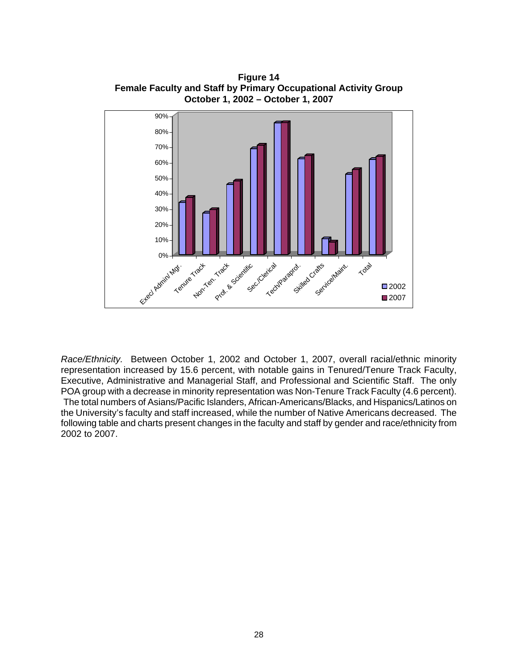

**Figure 14 Female Faculty and Staff by Primary Occupational Activity Group October 1, 2002 – October 1, 2007**

*Race/Ethnicity.* Between October 1, 2002 and October 1, 2007, overall racial/ethnic minority representation increased by 15.6 percent, with notable gains in Tenured/Tenure Track Faculty, Executive, Administrative and Managerial Staff, and Professional and Scientific Staff. The only POA group with a decrease in minority representation was Non-Tenure Track Faculty (4.6 percent). The total numbers of Asians/Pacific Islanders, African-Americans/Blacks, and Hispanics/Latinos on the University's faculty and staff increased, while the number of Native Americans decreased. The following table and charts present changes in the faculty and staff by gender and race/ethnicity from 2002 to 2007.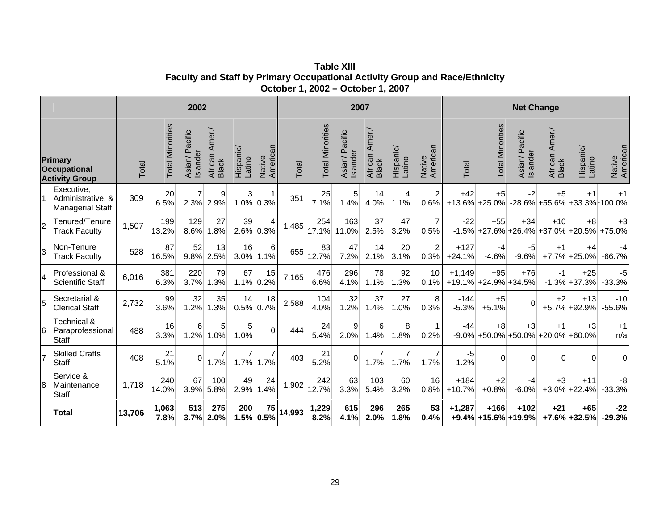**Table XIII Faculty and Staff by Primary Occupational Activity Group and Race/Ethnicity October 1, 2002 – October 1, 2007**

|    |                                                                | 2002   |                         |                               |                                   |                        |                     |        | 2007                    |                            |                                   |                        | <b>Net Change</b>       |                    |                                  |                               |                                              |                            |                    |
|----|----------------------------------------------------------------|--------|-------------------------|-------------------------------|-----------------------------------|------------------------|---------------------|--------|-------------------------|----------------------------|-----------------------------------|------------------------|-------------------------|--------------------|----------------------------------|-------------------------------|----------------------------------------------|----------------------------|--------------------|
|    | <b>Primary</b><br><b>Occupational</b><br><b>Activity Group</b> | Total  | <b>Total Minorities</b> | Pacific<br>Islander<br>Asian/ | Amer./<br>African<br><b>Black</b> | Hispanic/<br>Latino    | American<br>Native  | Total  | <b>Total Minorities</b> | Asian/ Pacific<br>Islander | Amer./<br>African<br><b>Black</b> | Hispanic/<br>Latino    | Native<br>American      | Total              | <b>Total Minorities</b>          | Pacific<br>Islander<br>Asian/ | Amer./<br>African<br>Black                   | Hispanic/<br>Latino        | Native<br>American |
|    | Executive,<br>Administrative, &<br><b>Managerial Staff</b>     | 309    | 20<br>6.5%              | $\overline{7}$<br>2.3%        | 9<br>2.9%                         | $\mathbf{3}$<br>1.0%   | $\mathbf 1$<br>0.3% | 351    | 25<br>7.1%              | 5<br>1.4%                  | 14<br>4.0%                        | 4<br>1.1%              | $\overline{2}$<br>0.6%  | $+42$              | $+5$<br>$+13.6\%$ +25.0%         | $-2$                          | $+5$<br>$-28.6\%$ +55.6% +33.3% +100.0%      | $+1$                       | $+1$               |
| 2  | Tenured/Tenure<br><b>Track Faculty</b>                         | 1,507  | 199<br>13.2%            | 129<br>8.6%                   | 27<br>.8%                         | 39<br>2.6%             | 4<br>0.3%           | 1,485  | 254<br>17.1%            | 163<br>11.0%               | 37<br>2.5%                        | 47<br>3.2%             | $\overline{7}$<br>0.5%  | $-22$<br>$-1.5%$   | $+55$                            | $+34$<br>$+27.6\%$ +26.4%     | $+10$<br>$+37.0%$                            | $+8$<br>$+20.5%$           | $+3$<br>+75.0%     |
| l3 | Non-Tenure<br><b>Track Faculty</b>                             | 528    | 87<br>16.5%             | 52<br>9.8%                    | 13<br>2.5%                        | 16<br>3.0%             | 6<br>1.1%           | 655    | 83<br>12.7%             | 47<br>7.2%                 | 14<br>2.1%                        | 20<br>3.1%             | $\overline{2}$<br>0.3%  | $+127$<br>$+24.1%$ | -4<br>$-4.6%$                    | -5<br>$-9.6%$                 | $+1$<br>$+7.7%$                              | $+4$<br>$+25.0%$           | -4<br>$-66.7%$     |
| 4  | Professional &<br><b>Scientific Staff</b>                      | 6,016  | 381<br>6.3%             | 220<br>3.7%                   | 79<br>1.3%                        | 67<br>1.1%             | 15<br>0.2%          | 7,165  | 476<br>6.6%             | 296<br>4.1%                | 78<br>1.1%                        | 92<br>1.3%             | 10 <sup>1</sup><br>0.1% | $+1,149$           | $+95$<br>$+19.1\%$ +24.9% +34.5% | $+76$                         | $-1$                                         | $+25$<br>$-1.3\% + 37.3\%$ | -5<br>$-33.3%$     |
| 5  | Secretarial &<br><b>Clerical Staff</b>                         | 2,732  | 99<br>3.6%              | 32<br>1.2%                    | 35<br>1.3%                        | 14<br>0.5%             | 18<br>0.7%          | 2,588  | 104<br>4.0%             | 32<br>1.2%                 | 37<br>1.4%                        | 27<br>1.0%             | 8<br>0.3%               | $-144$<br>$-5.3%$  | $+5$<br>$+5.1%$                  | $\Omega$                      | $+2$                                         | $+13$<br>+5.7% +92.9%      | $-10$<br>$-55.6%$  |
| 16 | Technical &<br>Paraprofessional<br><b>Staff</b>                | 488    | 16<br>3.3%              | 6<br>1.2%                     | $5\overline{)}$<br>1.0%           | 5 <sup>5</sup><br>1.0% | $\Omega$            | 444    | 24<br>5.4%              | 9<br>2.0%                  | 6<br>1.4%                         | 8<br>1.8%              | $\mathbf{1}$<br>0.2%    | -44<br>$-9.0%$     | $+8$                             | $+3$                          | $+1$<br>$+50.0\% + 50.0\% + 20.0\% + 60.0\%$ | $+3$                       | $+1$<br>n/a        |
| 17 | <b>Skilled Crafts</b><br><b>Staff</b>                          | 408    | 21<br>5.1%              | $\Omega$                      | 7<br>1.7%                         | 7<br>1.7%              | 7<br>1.7%           | 403    | 21<br>5.2%              | $\Omega$                   | $\overline{7}$<br>1.7%            | $\overline{7}$<br>1.7% | $\overline{7}$<br>1.7%  | $-5$<br>$-1.2%$    | 0                                | 0                             | $\mathbf 0$                                  | 0                          | 0                  |
| 18 | Service &<br>Maintenance<br><b>Staff</b>                       | 1,718  | 240<br>14.0%            | 67<br>3.9%                    | 100<br>5.8%                       | 49<br>2.9%             | 24<br>.4%           | 1,902  | 242<br>12.7%            | 63<br>3.3%                 | 103<br>5.4%                       | 60<br>3.2%             | 16<br>0.8%              | $+184$<br>$+10.7%$ | $+2$<br>$+0.8%$                  | -4<br>$-6.0%$                 | $+3$<br>$+3.0%$                              | $+11$<br>$+22.4%$          | $-8$<br>$-33.3%$   |
|    | <b>Total</b>                                                   | 13,706 | 1,063<br>7.8%           | 513<br>3.7%                   | 275<br>2.0%                       | 200                    | 75<br>1.5% 0.5%     | 14,993 | 1,229<br>8.2%           | 615<br>4.1%                | 296<br>2.0%                       | 265<br>1.8%            | 53<br>0.4%              | $+1,287$           | $+166$<br>+9.4% +15.6% +19.9%    | $+102$                        | $+21$                                        | $+65$<br>$+7.6\%$ +32.5%   | $-22$<br>$-29.3%$  |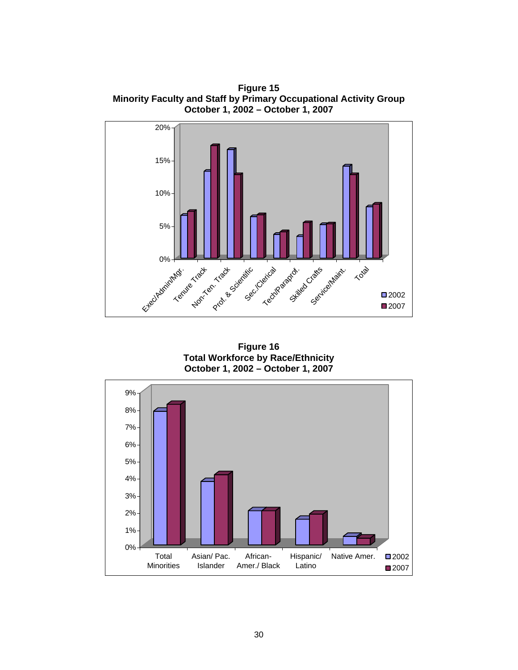**Figure 15 Minority Faculty and Staff by Primary Occupational Activity Group October 1, 2002 – October 1, 2007**



**Figure 16 Total Workforce by Race/Ethnicity October 1, 2002 – October 1, 2007**

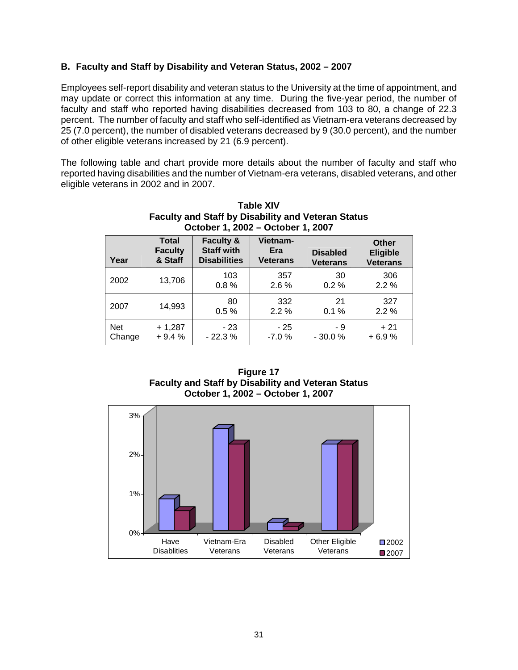## **B. Faculty and Staff by Disability and Veteran Status, 2002 – 2007**

Employees self-report disability and veteran status to the University at the time of appointment, and may update or correct this information at any time. During the five-year period, the number of faculty and staff who reported having disabilities decreased from 103 to 80, a change of 22.3 percent. The number of faculty and staff who self-identified as Vietnam-era veterans decreased by 25 (7.0 percent), the number of disabled veterans decreased by 9 (30.0 percent), and the number of other eligible veterans increased by 21 (6.9 percent).

The following table and chart provide more details about the number of faculty and staff who reported having disabilities and the number of Vietnam-era veterans, disabled veterans, and other eligible veterans in 2002 and in 2007.

|                      | <b>Faculty and Staff by Disability and Veteran Status</b><br>October 1, 2002 - October 1, 2007 |                                                                  |                                    |                                    |                                             |  |  |  |  |  |  |  |  |
|----------------------|------------------------------------------------------------------------------------------------|------------------------------------------------------------------|------------------------------------|------------------------------------|---------------------------------------------|--|--|--|--|--|--|--|--|
| Year                 | <b>Total</b><br><b>Faculty</b><br>& Staff                                                      | <b>Faculty &amp;</b><br><b>Staff with</b><br><b>Disabilities</b> | Vietnam-<br>Era<br><b>Veterans</b> | <b>Disabled</b><br><b>Veterans</b> | Other<br><b>Eligible</b><br><b>Veterans</b> |  |  |  |  |  |  |  |  |
| 2002                 | 13,706                                                                                         | 103<br>0.8%                                                      | 357<br>$2.6\%$                     | 30<br>$0.2 \%$                     | 306<br>2.2%                                 |  |  |  |  |  |  |  |  |
| 2007                 | 14,993                                                                                         | 80<br>0.5%                                                       | 332<br>2.2%                        | 21<br>0.1%                         | 327<br>2.2%                                 |  |  |  |  |  |  |  |  |
| <b>Net</b><br>Change | $+1,287$<br>$+9.4%$                                                                            | $-23$<br>$-22.3%$                                                | - 25<br>$-7.0%$                    | - 9<br>$-30.0%$                    | $+21$<br>+ 6.9 %                            |  |  |  |  |  |  |  |  |

| <b>Table XIV</b>                                          |
|-----------------------------------------------------------|
| <b>Faculty and Staff by Disability and Veteran Status</b> |
| October 1, 2002 – October 1, 2007                         |

| <b>Figure 17</b>                                          |
|-----------------------------------------------------------|
| <b>Faculty and Staff by Disability and Veteran Status</b> |
| October 1, 2002 – October 1, 2007                         |

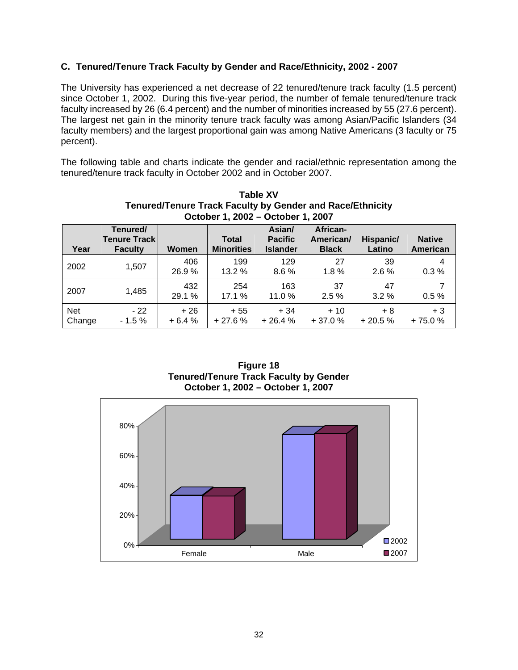## **C. Tenured/Tenure Track Faculty by Gender and Race/Ethnicity, 2002 - 2007**

The University has experienced a net decrease of 22 tenured/tenure track faculty (1.5 percent) since October 1, 2002. During this five-year period, the number of female tenured/tenure track faculty increased by 26 (6.4 percent) and the number of minorities increased by 55 (27.6 percent). The largest net gain in the minority tenure track faculty was among Asian/Pacific Islanders (34 faculty members) and the largest proportional gain was among Native Americans (3 faculty or 75 percent).

The following table and charts indicate the gender and racial/ethnic representation among the tenured/tenure track faculty in October 2002 and in October 2007.

|                      | <b>Tenured/Tenure Track Faculty by Gender and Race/Ethnicity</b><br>October 1, 2002 - October 1, 2007 |                  |                            |                                             |                                       |                     |                           |  |  |  |  |  |
|----------------------|-------------------------------------------------------------------------------------------------------|------------------|----------------------------|---------------------------------------------|---------------------------------------|---------------------|---------------------------|--|--|--|--|--|
| Year                 | Tenured/<br><b>Tenure Track</b><br><b>Faculty</b>                                                     | Women            | Total<br><b>Minorities</b> | Asian/<br><b>Pacific</b><br><b>Islander</b> | African-<br>American/<br><b>Black</b> | Hispanic/<br>Latino | <b>Native</b><br>American |  |  |  |  |  |
| 2002                 | 1,507                                                                                                 | 406<br>26.9%     | 199<br>13.2 %              | 129<br>8.6%                                 | 27<br>$1.8\%$                         | 39<br>$2.6\%$       | 4<br>0.3%                 |  |  |  |  |  |
| 2007                 | 1,485                                                                                                 | 432<br>29.1 %    | 254<br>17.1 %              | 163<br>11.0 %                               | 37<br>2.5%                            | 47<br>$3.2\%$       | 7<br>0.5%                 |  |  |  |  |  |
| <b>Net</b><br>Change | $-22$<br>$-1.5%$                                                                                      | $+26$<br>$+6.4%$ | $+55$<br>$+27.6%$          | $+34$<br>$+26.4%$                           | $+10$<br>$+37.0%$                     | $+8$<br>$+20.5%$    | $+3$<br>$+75.0%$          |  |  |  |  |  |

**Table XV** 

**Figure 18 Tenured/Tenure Track Faculty by Gender October 1, 2002 – October 1, 2007**

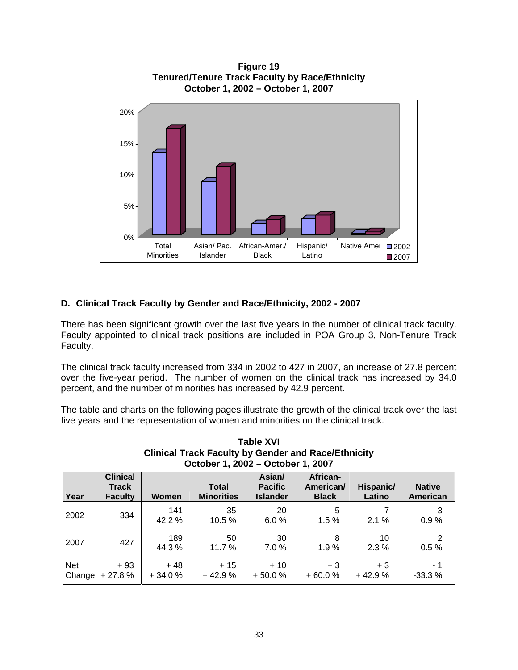

**Figure 19 Tenured/Tenure Track Faculty by Race/Ethnicity** 

# **D. Clinical Track Faculty by Gender and Race/Ethnicity, 2002 - 2007**

There has been significant growth over the last five years in the number of clinical track faculty. Faculty appointed to clinical track positions are included in POA Group 3, Non-Tenure Track Faculty.

The clinical track faculty increased from 334 in 2002 to 427 in 2007, an increase of 27.8 percent over the five-year period. The number of women on the clinical track has increased by 34.0 percent, and the number of minorities has increased by 42.9 percent.

The table and charts on the following pages illustrate the growth of the clinical track over the last five years and the representation of women and minorities on the clinical track.

|            | October 1, 2002 - October 1, 2007                 |                   |                                   |                                             |                                       |                     |                           |  |  |  |  |  |
|------------|---------------------------------------------------|-------------------|-----------------------------------|---------------------------------------------|---------------------------------------|---------------------|---------------------------|--|--|--|--|--|
| Year       | <b>Clinical</b><br><b>Track</b><br><b>Faculty</b> | <b>Women</b>      | <b>Total</b><br><b>Minorities</b> | Asian/<br><b>Pacific</b><br><b>Islander</b> | African-<br>American/<br><b>Black</b> | Hispanic/<br>Latino | <b>Native</b><br>American |  |  |  |  |  |
| 2002       | 334                                               | 141<br>42.2 %     | 35<br>10.5 %                      | 20<br>6.0%                                  | 5<br>1.5%                             | $2.1\%$             | 3<br>0.9%                 |  |  |  |  |  |
| 2007       | 427                                               | 189<br>44.3%      | 50<br>11.7 %                      | 30<br>7.0%                                  | 8<br>1.9%                             | 10<br>$2.3\%$       | 2<br>0.5%                 |  |  |  |  |  |
| <b>Net</b> | $+93$<br>Change + 27.8 %                          | $+48$<br>$+34.0%$ | $+15$<br>$+42.9%$                 | $+10$<br>$+50.0%$                           | $+3$<br>$+60.0%$                      | $+3$<br>$+42.9%$    | - 1<br>$-33.3%$           |  |  |  |  |  |

# **Table XVI Clinical Track Faculty by Gender and Race/Ethnicity**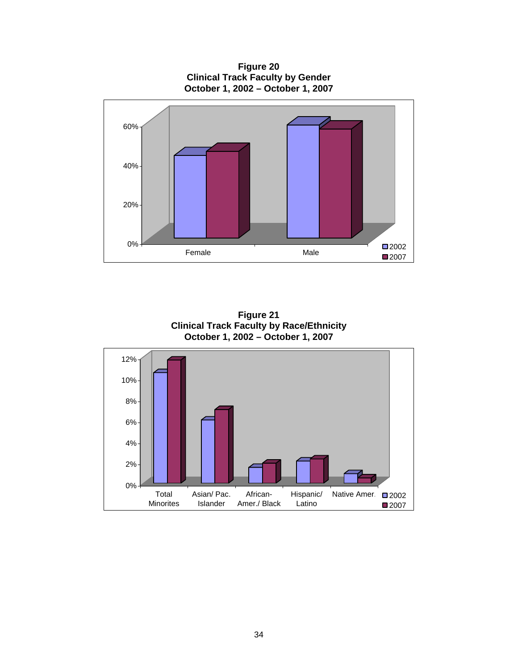**Figure 20 Clinical Track Faculty by Gender October 1, 2002 – October 1, 2007**



**Figure 21 Clinical Track Faculty by Race/Ethnicity October 1, 2002 – October 1, 2007**

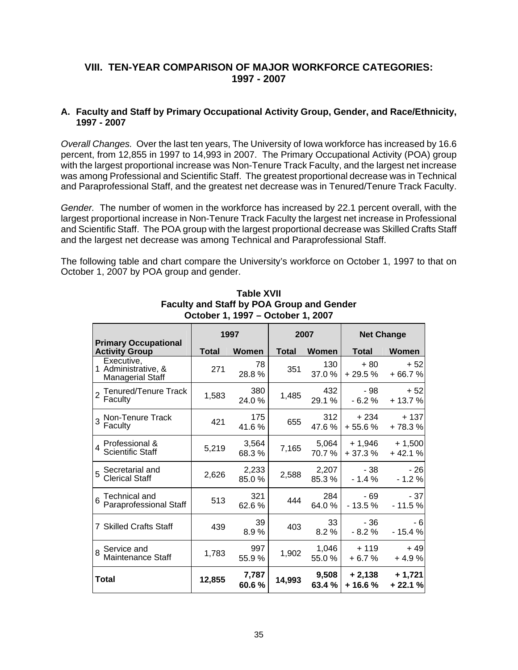# **VIII. TEN-YEAR COMPARISON OF MAJOR WORKFORCE CATEGORIES: 1997 - 2007**

#### **A. Faculty and Staff by Primary Occupational Activity Group, Gender, and Race/Ethnicity, 1997 - 2007**

*Overall Changes.* Over the last ten years, The University of Iowa workforce has increased by 16.6 percent, from 12,855 in 1997 to 14,993 in 2007. The Primary Occupational Activity (POA) group with the largest proportional increase was Non-Tenure Track Faculty, and the largest net increase was among Professional and Scientific Staff. The greatest proportional decrease was in Technical and Paraprofessional Staff, and the greatest net decrease was in Tenured/Tenure Track Faculty.

*Gender.* The number of women in the workforce has increased by 22.1 percent overall, with the largest proportional increase in Non-Tenure Track Faculty the largest net increase in Professional and Scientific Staff. The POA group with the largest proportional decrease was Skilled Crafts Staff and the largest net decrease was among Technical and Paraprofessional Staff.

The following table and chart compare the University's workforce on October 1, 1997 to that on October 1, 2007 by POA group and gender.

|                                                              |              | 1997           |              | 2007           | <b>Net Change</b>    |                      |  |
|--------------------------------------------------------------|--------------|----------------|--------------|----------------|----------------------|----------------------|--|
| <b>Primary Occupational</b><br><b>Activity Group</b>         | <b>Total</b> | <b>Women</b>   | <b>Total</b> | Women          | <b>Total</b>         | Women                |  |
| Executive,<br>1 Administrative, &<br><b>Managerial Staff</b> | 271          | 78<br>28.8%    | 351          | 130<br>37.0%   | $+80$<br>$+29.5%$    | $+52$<br>$+66.7%$    |  |
| Tenured/Tenure Track<br>Faculty                              | 1,583        | 380<br>24.0%   | 1,485        | 432<br>29.1 %  | - 98<br>$-6.2%$      | $+52$<br>$+13.7%$    |  |
| 3 Non-Tenure Track<br>Faculty                                | 421          | 175<br>41.6%   | 655          | 312<br>47.6%   |                      | $+137$<br>$+78.3%$   |  |
| 4 Professional &<br><b>Scientific Staff</b>                  | 5,219        | 3,564<br>68.3% | 7,165        | 5,064<br>70.7% | + 1,946<br>$+37.3%$  | $+1,500$<br>$+42.1%$ |  |
| 5 Secretarial and<br>Clerical Staff                          | 2,626        | 2,233<br>85.0% | 2,588        | 2,207<br>85.3% | - 38<br>$-1.4%$      | $-26$<br>$-1.2%$     |  |
| Technical and<br>Paraprofessional Staff                      | 513          | 321<br>62.6%   | 444          | 284<br>64.0%   | - 69<br>$-13.5%$     | $-37$<br>$-11.5%$    |  |
| 7 Skilled Crafts Staff                                       | 439          | 39<br>8.9%     | 403          | 33<br>8.2%     | - 36<br>$-8.2%$      | - 6<br>$-15.4%$      |  |
| 8 Service and<br>Maintenance Staff                           | 1,783        | 997<br>55.9%   | 1,902        | 1,046<br>55.0% | $+119$<br>$+6.7%$    | $+49$<br>$+4.9%$     |  |
| Total                                                        | 12,855       | 7,787<br>60.6% | 14,993       | 9,508<br>63.4% | $+2,138$<br>$+16.6%$ | $+1,721$<br>$+22.1%$ |  |

**Table XVII Faculty and Staff by POA Group and Gender October 1, 1997 – October 1, 2007**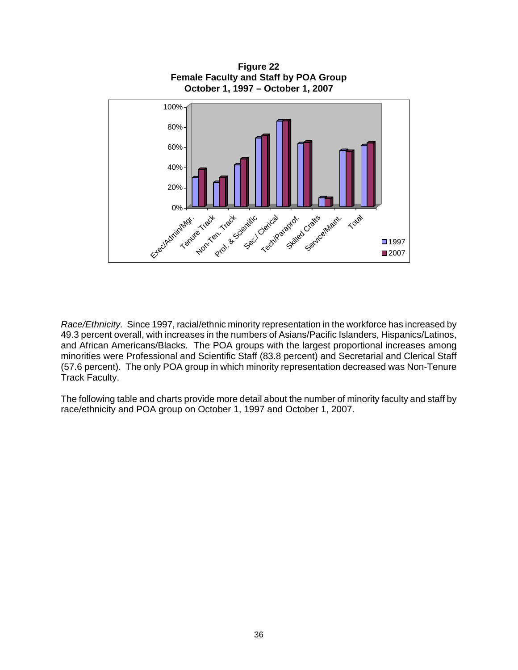

*Race/Ethnicity.* Since 1997, racial/ethnic minority representation in the workforce has increased by 49.3 percent overall, with increases in the numbers of Asians/Pacific Islanders, Hispanics/Latinos, and African Americans/Blacks. The POA groups with the largest proportional increases among minorities were Professional and Scientific Staff (83.8 percent) and Secretarial and Clerical Staff (57.6 percent). The only POA group in which minority representation decreased was Non-Tenure Track Faculty.

The following table and charts provide more detail about the number of minority faculty and staff by race/ethnicity and POA group on October 1, 1997 and October 1, 2007.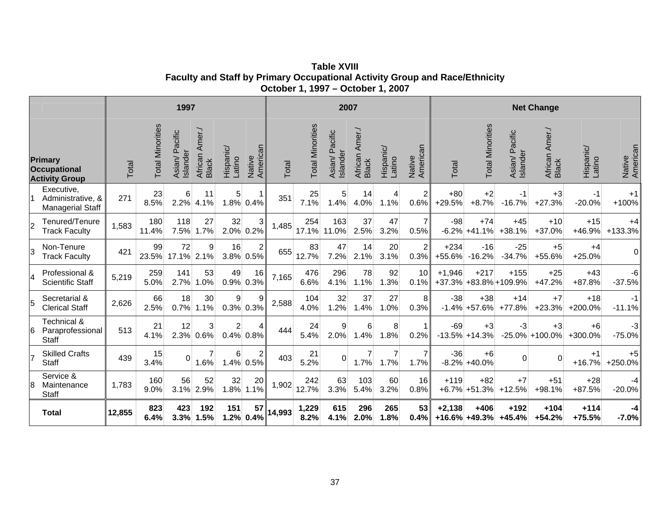**Table XVIII Faculty and Staff by Primary Occupational Activity Group and Race/Ethnicity October 1, 1997 – October 1, 2007**

|   |                                                            |        |                         | 1997                          |                                   |                     |                             | 2007   |                         |                               |                            | <b>Net Change</b>   |                        |                   |                            |                                 |                            |                     |                    |
|---|------------------------------------------------------------|--------|-------------------------|-------------------------------|-----------------------------------|---------------------|-----------------------------|--------|-------------------------|-------------------------------|----------------------------|---------------------|------------------------|-------------------|----------------------------|---------------------------------|----------------------------|---------------------|--------------------|
|   | Primary<br><b>Occupational</b><br><b>Activity Group</b>    | Total  | <b>Total Minorities</b> | Pacific<br>Islander<br>Asian/ | Amer./<br>African<br><b>Black</b> | Hispanic/<br>Latino | Native<br>American          | Total  | <b>Total Minorities</b> | Pacific<br>Islander<br>Asian/ | Amer./<br>African<br>Black | Hispanic/<br>Latino | Native<br>American     | Total             | <b>Total Minorities</b>    | Pacific<br>Islander<br>Asian/   | Amer./<br>African<br>Black | Hispanic/<br>Latino | Native<br>American |
|   | Executive,<br>Administrative, &<br><b>Managerial Staff</b> | 271    | 23<br>8.5%              | 6<br>2.2%                     | 11<br>4.1%                        | 5                   | $\mathbf 1$<br>1.8% 0.4%    | 351    | 25<br>7.1%              | 5<br>1.4%                     | 14<br>4.0%                 | 1.1%                | $\overline{2}$<br>0.6% | $+80$<br>$+29.5%$ | $+2$<br>$+8.7%$            | $-1$<br>$-16.7%$                | $+3$<br>$+27.3%$           | -1<br>$-20.0%$      | $+1$<br>$+100%$    |
|   | Tenured/Tenure<br><b>Track Faculty</b>                     | 1,583  | 180<br>11.4%            | 118<br>7.5%                   | 27<br>1.7%                        | 32                  | 3<br>2.0% 0.2%              | 1,485  | 254<br>17.1%            | 163<br>11.0%                  | 37<br>2.5%                 | 47<br>3.2%          | $\overline{7}$<br>0.5% | $-98$<br>$-6.2%$  | $+74$<br>$+41.1%$          | $+45$<br>$+38.1%$               | $+10$<br>$+37.0%$          | $+15$<br>+46.9%     | $+4$<br>+133.3%    |
| 3 | Non-Tenure<br><b>Track Faculty</b>                         | 421    | 99<br>23.5%             | 72<br>17.1% 2.1%              | 9                                 | 16                  | $\overline{c}$<br>3.8% 0.5% | 655    | 83<br>12.7%             | 47<br>7.2%                    | 14<br>2.1%                 | 20<br>3.1%          | $\overline{2}$<br>0.3% | $+234$<br>+55.6%  | $-16$<br>$-16.2%$          | $-25$<br>$-34.7%$               | $+5$<br>+55.6%             | $+4$<br>$+25.0%$    | $\Omega$           |
| 4 | Professional &<br><b>Scientific Staff</b>                  | 5,219  | 259<br>5.0%             | 141<br>2.7%                   | 53<br>1.0%                        | 49                  | 16<br>$0.9\%$ 0.3%          | 7,165  | 476<br>6.6%             | 296<br>4.1%                   | 78<br>1.1%                 | 92<br>1.3%          | 10<br>0.1%             | $+1,946$          | $+217$                     | $+155$<br>+37.3% +83.8% +109.9% | $+25$<br>$+47.2%$          | $+43$<br>$+87.8%$   | -6<br>$-37.5%$     |
|   | Secretarial &<br><b>Clerical Staff</b>                     | 2,626  | 66<br>2.5%              | 18<br>0.7%                    | 30<br>1.1%                        | 9                   | 9<br>$0.3\%$ 0.3%           | 2,588  | 104<br>4.0%             | 32<br>1.2%                    | 37<br>1.4%                 | 27<br>1.0%          | 8<br>0.3%              | $-38$<br>$-1.4%$  | $+38$<br>+57.6%            | $+14$<br>$+77.8%$               | $+7$<br>$+23.3%$           | $+18$<br>+200.0%    | $-1$<br>$-11.1%$   |
| 6 | Technical &<br>Paraprofessional<br><b>Staff</b>            | 513    | 21<br>4.1%              | 12<br>2.3%                    | 3<br>0.6%                         | $\overline{c}$      | 4<br>$0.4\%$ 0.8%           | 444    | 24<br>5.4%              | $\boldsymbol{9}$<br>2.0%      | 6<br>1.4%                  | 8<br>1.8%           | $\mathbf{1}$<br>0.2%   | $-69$             | $+3$<br>$-13.5\% + 14.3\%$ | -3                              | $+3$<br>$-25.0\%$ +100.0%  | $+6$<br>+300.0%     | $-3$<br>$-75.0%$   |
|   | <b>Skilled Crafts</b><br><b>Staff</b>                      | 439    | 15<br>3.4%              | $\Omega$                      | 1.6%                              | 6                   | $\overline{c}$<br>1.4% 0.5% | 403    | 21<br>5.2%              | $\mathbf 0$                   | $\overline{7}$<br>1.7%     | 1.7%                | $\overline{7}$<br>1.7% | $-36$             | $+6$<br>$-8.2\% + 40.0\%$  | 0                               |                            | $+1$<br>$+16.7%$    | $+5$<br>+250.0%    |
|   | Service &<br>Maintenance<br><b>Staff</b>                   | 1,783  | 160<br>9.0%             | 56<br>3.1%                    | 52<br>2.9%                        | 32<br>1.8%          | 20<br>1.1%                  | 1,902  | 242<br>12.7%            | 63<br>3.3%                    | 103<br>5.4%                | 60<br>3.2%          | 16<br>0.8%             | $+119$            | $+82$<br>$+6.7\%$ +51.3%   | $+7$<br>$+12.5%$                | $+51$<br>$+98.1%$          | $+28$<br>$+87.5%$   | -4<br>$-20.0%$     |
|   | <b>Total</b>                                               | 12,855 | 823<br>6.4%             | 423<br>3.3%                   | 192<br>1.5%                       | 151                 | 57<br>$1.2\%$ 0.4%          | 14,993 | 1,229<br>8.2%           | 615<br>4.1%                   | 296<br>2.0%                | 265<br>1.8%         | 53<br>0.4%             | $+2,138$          | $+406$<br>$+16.6\%$ +49.3% | $+192$<br>$+45.4%$              | $+104$<br>$+54.2%$         | $+114$<br>+75.5%    | -4<br>$-7.0%$      |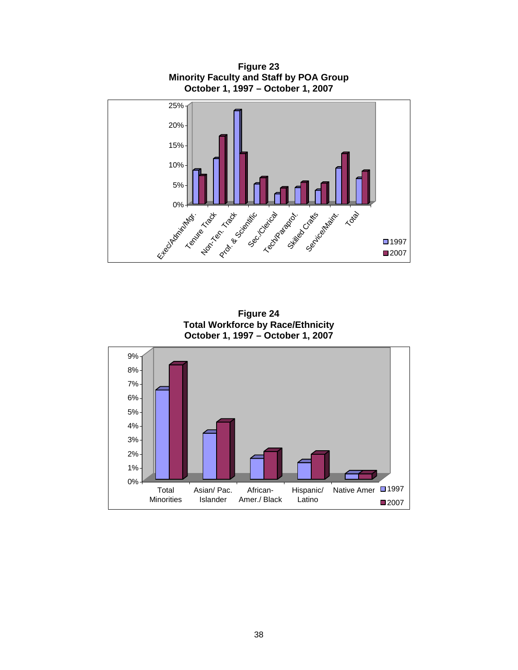

**Figure 24 Total Workforce by Race/Ethnicity October 1, 1997 – October 1, 2007**

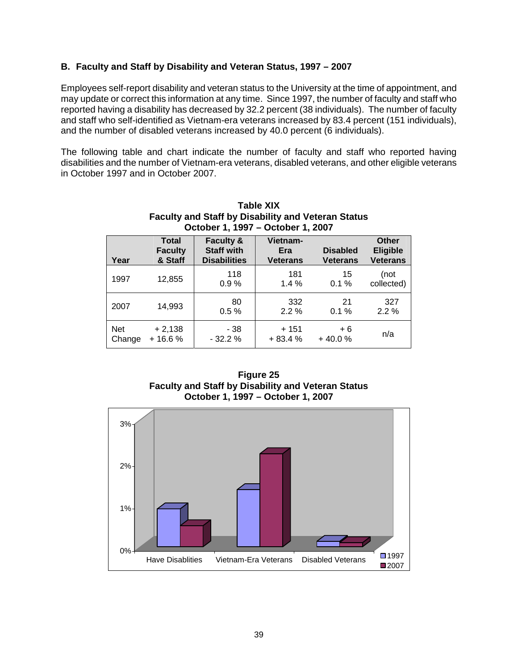#### **B. Faculty and Staff by Disability and Veteran Status, 1997 – 2007**

Employees self-report disability and veteran status to the University at the time of appointment, and may update or correct this information at any time. Since 1997, the number of faculty and staff who reported having a disability has decreased by 32.2 percent (38 individuals). The number of faculty and staff who self-identified as Vietnam-era veterans increased by 83.4 percent (151 individuals), and the number of disabled veterans increased by 40.0 percent (6 individuals).

The following table and chart indicate the number of faculty and staff who reported having disabilities and the number of Vietnam-era veterans, disabled veterans, and other eligible veterans in October 1997 and in October 2007.

| <b>Faculty and Staff by Disability and Veteran Status</b><br>October 1, 1997 - October 1, 2007 |                                           |                                                                  |                                    |                                    |                                                    |  |  |  |  |  |
|------------------------------------------------------------------------------------------------|-------------------------------------------|------------------------------------------------------------------|------------------------------------|------------------------------------|----------------------------------------------------|--|--|--|--|--|
| Year                                                                                           | <b>Total</b><br><b>Faculty</b><br>& Staff | <b>Faculty &amp;</b><br><b>Staff with</b><br><b>Disabilities</b> | Vietnam-<br>Era<br><b>Veterans</b> | <b>Disabled</b><br><b>Veterans</b> | <b>Other</b><br><b>Eligible</b><br><b>Veterans</b> |  |  |  |  |  |
| 1997                                                                                           | 12,855                                    | 118<br>0.9%                                                      | 181<br>1.4%                        | 15<br>0.1%                         | (not<br>collected)                                 |  |  |  |  |  |
| 2007                                                                                           | 14,993                                    | 80<br>0.5%                                                       | 332<br>$2.2\%$                     | 21<br>0.1%                         | 327<br>2.2%                                        |  |  |  |  |  |
| Net<br>Change                                                                                  | $+2,138$<br>$+16.6%$                      | - 38<br>$-32.2%$                                                 | + 151<br>$+83.4%$                  | $+6$<br>$+40.0%$                   | n/a                                                |  |  |  |  |  |

# **Table XIX**



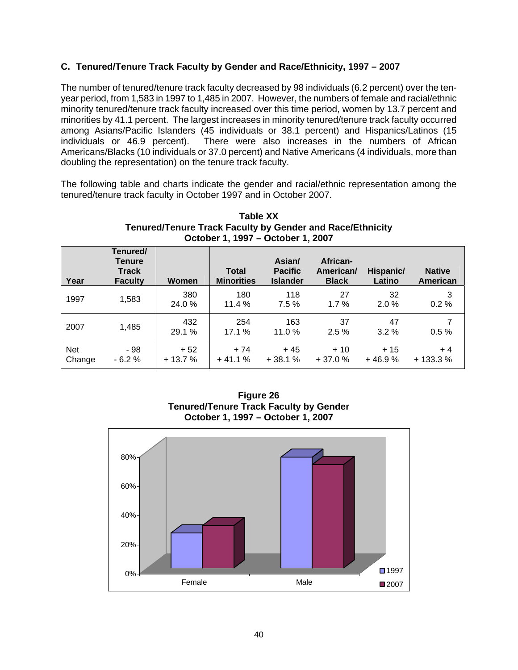# **C. Tenured/Tenure Track Faculty by Gender and Race/Ethnicity, 1997 – 2007**

The number of tenured/tenure track faculty decreased by 98 individuals (6.2 percent) over the tenyear period, from 1,583 in 1997 to 1,485 in 2007. However, the numbers of female and racial/ethnic minority tenured/tenure track faculty increased over this time period, women by 13.7 percent and minorities by 41.1 percent. The largest increases in minority tenured/tenure track faculty occurred among Asians/Pacific Islanders (45 individuals or 38.1 percent) and Hispanics/Latinos (15 individuals or 46.9 percent). There were also increases in the numbers of African Americans/Blacks (10 individuals or 37.0 percent) and Native Americans (4 individuals, more than doubling the representation) on the tenure track faculty.

The following table and charts indicate the gender and racial/ethnic representation among the tenured/tenure track faculty in October 1997 and in October 2007.

| Year                 | Tenured/<br><b>Tenure</b><br><b>Track</b><br><b>Faculty</b> | Women             | <b>Total</b><br><b>Minorities</b> | Asian/<br><b>Pacific</b><br><b>Islander</b> | African-<br>American/<br><b>Black</b> | Hispanic/<br>Latino | <b>Native</b><br>American |
|----------------------|-------------------------------------------------------------|-------------------|-----------------------------------|---------------------------------------------|---------------------------------------|---------------------|---------------------------|
| 1997                 | 1,583                                                       | 380<br>24.0 %     | 180<br>11.4%                      | 118<br>7.5%                                 | 27<br>1.7%                            | 32<br>2.0%          | 3<br>0.2%                 |
| 2007                 | 1,485                                                       | 432<br>29.1 %     | 254<br>17.1 %                     | 163<br>11.0%                                | 37<br>2.5%                            | 47<br>3.2%          | 0.5%                      |
| <b>Net</b><br>Change | - 98<br>$-6.2%$                                             | $+52$<br>$+13.7%$ | $+74$<br>$+41.1%$                 | + 45<br>$+38.1%$                            | $+10$<br>$+37.0%$                     | $+15$<br>$+46.9%$   | $+4$<br>$+133.3%$         |

#### **Table XX Tenured/Tenure Track Faculty by Gender and Race/Ethnicity October 1, 1997 – October 1, 2007**

**Figure 26 Tenured/Tenure Track Faculty by Gender October 1, 1997 – October 1, 2007**

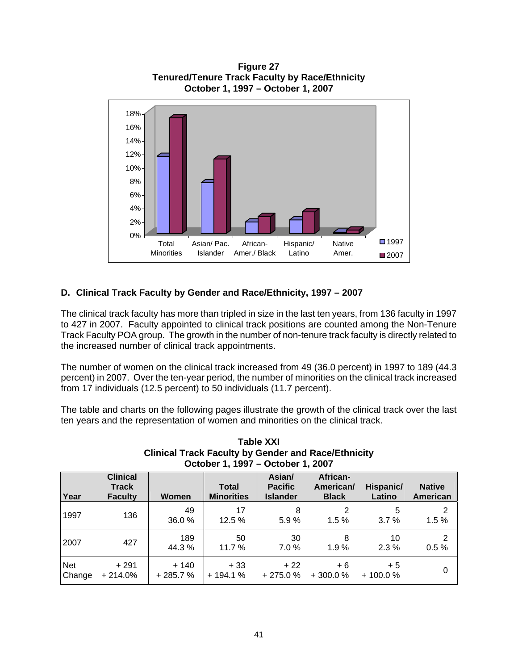

**Figure 27 Tenured/Tenure Track Faculty by Race/Ethnicity** 

# **D. Clinical Track Faculty by Gender and Race/Ethnicity, 1997 – 2007**

The clinical track faculty has more than tripled in size in the last ten years, from 136 faculty in 1997 to 427 in 2007. Faculty appointed to clinical track positions are counted among the Non-Tenure Track Faculty POA group. The growth in the number of non-tenure track faculty is directly related to the increased number of clinical track appointments.

The number of women on the clinical track increased from 49 (36.0 percent) in 1997 to 189 (44.3 percent) in 2007. Over the ten-year period, the number of minorities on the clinical track increased from 17 individuals (12.5 percent) to 50 individuals (11.7 percent).

The table and charts on the following pages illustrate the growth of the clinical track over the last ten years and the representation of women and minorities on the clinical track.

| October 1, 1997 - October 1, 2007 |                                                   |                     |                                   |                                             |                                       |                     |                           |  |  |
|-----------------------------------|---------------------------------------------------|---------------------|-----------------------------------|---------------------------------------------|---------------------------------------|---------------------|---------------------------|--|--|
| Year                              | <b>Clinical</b><br><b>Track</b><br><b>Faculty</b> | Women               | <b>Total</b><br><b>Minorities</b> | Asian/<br><b>Pacific</b><br><b>Islander</b> | African-<br>American/<br><b>Black</b> | Hispanic/<br>Latino | <b>Native</b><br>American |  |  |
| 1997                              | 136                                               | 49<br>36.0%         | 17<br>12.5 %                      | 8<br>5.9%                                   | 2<br>1.5%                             | 5<br>3.7%           | 2<br>1.5%                 |  |  |
| 2007                              | 427                                               | 189<br>44.3 %       | 50<br>11.7 %                      | 30<br>$7.0 \%$                              | 8<br>1.9%                             | 10<br>2.3%          | $\overline{2}$<br>0.5%    |  |  |
| <b>Net</b><br>Change              | $+291$<br>$+214.0%$                               | $+140$<br>$+285.7%$ | $+33$<br>$+194.1%$                | $+22$<br>$+275.0%$                          | $+6$<br>$+300.0%$                     | $+5$<br>$+100.0%$   | 0                         |  |  |

# **Table XXI Clinical Track Faculty by Gender and Race/Ethnicity**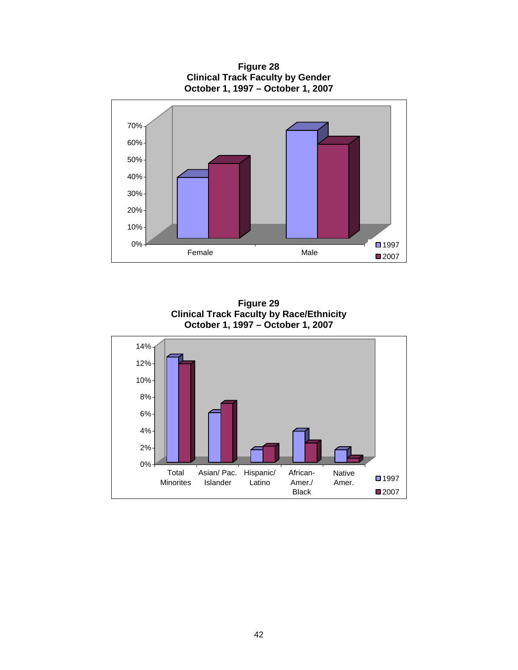**Figure 28 Clinical Track Faculty by Gender October 1, 1997 – October 1, 2007**



**Figure 29 Clinical Track Faculty by Race/Ethnicity October 1, 1997 – October 1, 2007**

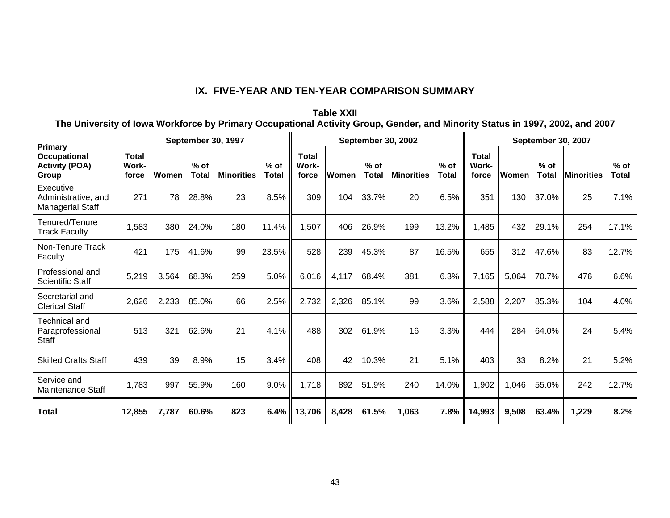# **IX. FIVE-YEAR AND TEN-YEAR COMPARISON SUMMARY**

**Table XXII The University of Iowa Workforce by Primary Occupational Activity Group, Gender, and Minority Status in 1997, 2002, and 2007** 

| <b>September 30, 1997</b>                                        |                                |       |                        |                   |                 | <b>September 30, 2002</b>      |       |                        | September 30, 2007 |                        |                                |       |                        |            |                 |
|------------------------------------------------------------------|--------------------------------|-------|------------------------|-------------------|-----------------|--------------------------------|-------|------------------------|--------------------|------------------------|--------------------------------|-------|------------------------|------------|-----------------|
| Primary<br><b>Occupational</b><br><b>Activity (POA)</b><br>Group | <b>Total</b><br>Work-<br>force | Women | $%$ of<br><b>Total</b> | <b>Minorities</b> | $%$ of<br>Total | <b>Total</b><br>Work-<br>force | Women | $%$ of<br><b>Total</b> | <b>Minorities</b>  | $%$ of<br><b>Total</b> | <b>Total</b><br>Work-<br>force | Women | $%$ of<br><b>Total</b> | Minorities | $%$ of<br>Total |
| Executive,<br>Administrative, and<br><b>Managerial Staff</b>     | 271                            | 78    | 28.8%                  | 23                | 8.5%            | 309                            | 104   | 33.7%                  | 20                 | 6.5%                   | 351                            | 130   | 37.0%                  | 25         | 7.1%            |
| Tenured/Tenure<br><b>Track Faculty</b>                           | 1,583                          | 380   | 24.0%                  | 180               | 11.4%           | 1,507                          | 406   | 26.9%                  | 199                | 13.2%                  | 1,485                          | 432   | 29.1%                  | 254        | 17.1%           |
| Non-Tenure Track<br>Faculty                                      | 421                            | 175   | 41.6%                  | 99                | 23.5%           | 528                            | 239   | 45.3%                  | 87                 | 16.5%                  | 655                            | 312   | 47.6%                  | 83         | 12.7%           |
| Professional and<br><b>Scientific Staff</b>                      | 5,219                          | 3,564 | 68.3%                  | 259               | 5.0%            | 6,016                          | 4,117 | 68.4%                  | 381                | 6.3%                   | 7,165                          | 5,064 | 70.7%                  | 476        | 6.6%            |
| Secretarial and<br><b>Clerical Staff</b>                         | 2,626                          | 2,233 | 85.0%                  | 66                | 2.5%            | 2,732                          | 2,326 | 85.1%                  | 99                 | 3.6%                   | 2,588                          | 2,207 | 85.3%                  | 104        | 4.0%            |
| <b>Technical and</b><br>Paraprofessional<br><b>Staff</b>         | 513                            | 321   | 62.6%                  | 21                | 4.1%            | 488                            | 302   | 61.9%                  | 16                 | 3.3%                   | 444                            | 284   | 64.0%                  | 24         | 5.4%            |
| <b>Skilled Crafts Staff</b>                                      | 439                            | 39    | 8.9%                   | 15                | 3.4%            | 408                            | 42    | 10.3%                  | 21                 | 5.1%                   | 403                            | 33    | 8.2%                   | 21         | 5.2%            |
| Service and<br><b>Maintenance Staff</b>                          | 1,783                          | 997   | 55.9%                  | 160               | 9.0%            | 1,718                          | 892   | 51.9%                  | 240                | 14.0%                  | 1,902                          | 1,046 | 55.0%                  | 242        | 12.7%           |
| <b>Total</b>                                                     | 12,855                         | 7,787 | 60.6%                  | 823               | 6.4%            | 13,706                         | 8,428 | 61.5%                  | 1,063              | 7.8%                   | 14,993                         | 9,508 | 63.4%                  | 1,229      | 8.2%            |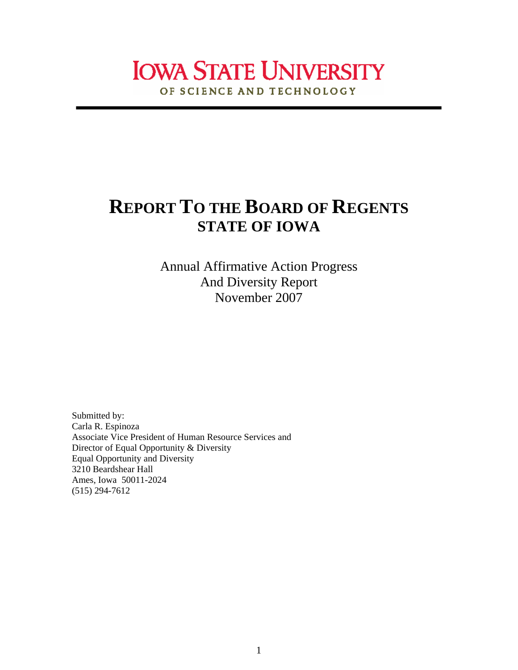# **IOWA STATE UNIVERSITY** OF SCIENCE AND TECHNOLOGY

# **REPORT TO THE BOARD OF REGENTS STATE OF IOWA**

Annual Affirmative Action Progress And Diversity Report November 2007

Submitted by: Carla R. Espinoza Associate Vice President of Human Resource Services and Director of Equal Opportunity & Diversity Equal Opportunity and Diversity 3210 Beardshear Hall Ames, Iowa 50011-2024 (515) 294-7612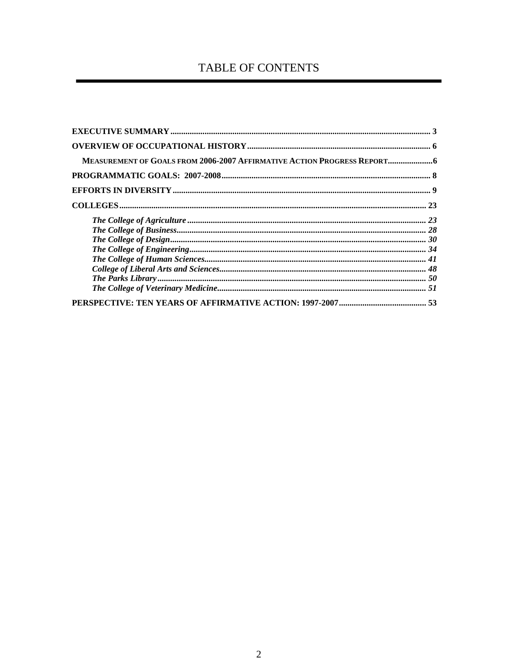# TABLE OF CONTENTS

| MEASUREMENT OF GOALS FROM 2006-2007 AFFIRMATIVE ACTION PROGRESS REPORT |  |
|------------------------------------------------------------------------|--|
|                                                                        |  |
|                                                                        |  |
|                                                                        |  |
|                                                                        |  |
|                                                                        |  |
|                                                                        |  |
|                                                                        |  |
|                                                                        |  |
|                                                                        |  |
|                                                                        |  |
|                                                                        |  |
|                                                                        |  |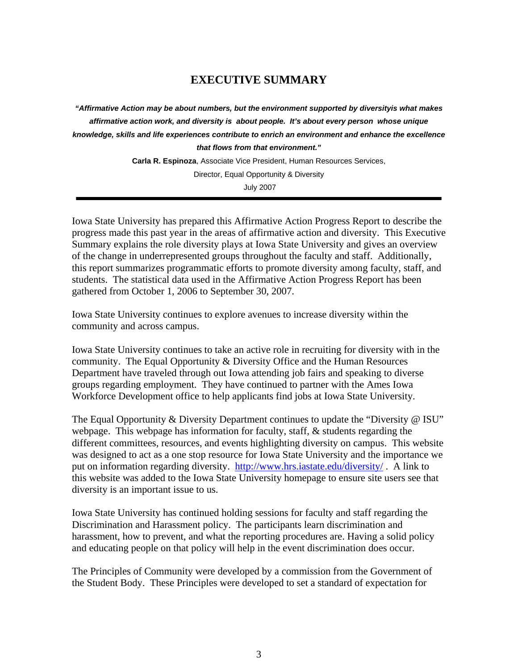# **EXECUTIVE SUMMARY**

*"Affirmative Action may be about numbers, but the environment supported by diversityis what makes affirmative action work, and diversity is about people. It's about every person whose unique knowledge, skills and life experiences contribute to enrich an environment and enhance the excellence that flows from that environment."* 

**Carla R. Espinoza**, Associate Vice President, Human Resources Services,

Director, Equal Opportunity & Diversity

July 2007

Iowa State University has prepared this Affirmative Action Progress Report to describe the progress made this past year in the areas of affirmative action and diversity. This Executive Summary explains the role diversity plays at Iowa State University and gives an overview of the change in underrepresented groups throughout the faculty and staff. Additionally, this report summarizes programmatic efforts to promote diversity among faculty, staff, and students. The statistical data used in the Affirmative Action Progress Report has been gathered from October 1, 2006 to September 30, 2007.

Iowa State University continues to explore avenues to increase diversity within the community and across campus.

Iowa State University continues to take an active role in recruiting for diversity with in the community. The Equal Opportunity & Diversity Office and the Human Resources Department have traveled through out Iowa attending job fairs and speaking to diverse groups regarding employment. They have continued to partner with the Ames Iowa Workforce Development office to help applicants find jobs at Iowa State University.

The Equal Opportunity & Diversity Department continues to update the "Diversity @ ISU" webpage. This webpage has information for faculty, staff, & students regarding the different committees, resources, and events highlighting diversity on campus. This website was designed to act as a one stop resource for Iowa State University and the importance we put on information regarding diversity. http://www.hrs.iastate.edu/diversity/ . A link to this website was added to the Iowa State University homepage to ensure site users see that diversity is an important issue to us.

Iowa State University has continued holding sessions for faculty and staff regarding the Discrimination and Harassment policy. The participants learn discrimination and harassment, how to prevent, and what the reporting procedures are. Having a solid policy and educating people on that policy will help in the event discrimination does occur.

The Principles of Community were developed by a commission from the Government of the Student Body. These Principles were developed to set a standard of expectation for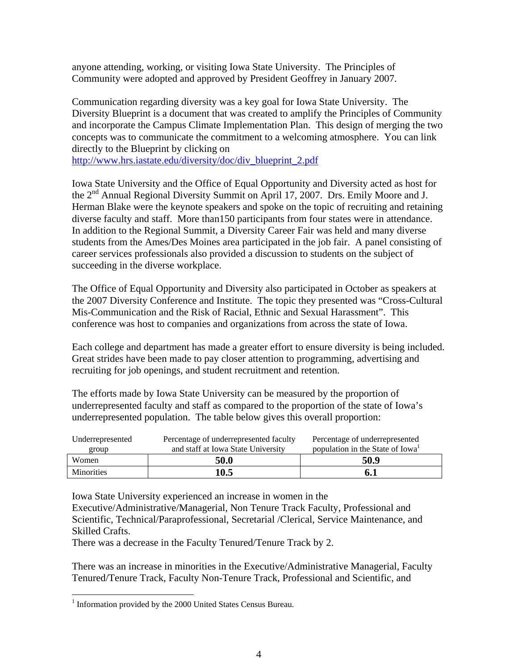anyone attending, working, or visiting Iowa State University. The Principles of Community were adopted and approved by President Geoffrey in January 2007.

Communication regarding diversity was a key goal for Iowa State University. The Diversity Blueprint is a document that was created to amplify the Principles of Community and incorporate the Campus Climate Implementation Plan. This design of merging the two concepts was to communicate the commitment to a welcoming atmosphere. You can link directly to the Blueprint by clicking on

http://www.hrs.iastate.edu/diversity/doc/div\_blueprint\_2.pdf

Iowa State University and the Office of Equal Opportunity and Diversity acted as host for the 2nd Annual Regional Diversity Summit on April 17, 2007. Drs. Emily Moore and J. Herman Blake were the keynote speakers and spoke on the topic of recruiting and retaining diverse faculty and staff. More than150 participants from four states were in attendance. In addition to the Regional Summit, a Diversity Career Fair was held and many diverse students from the Ames/Des Moines area participated in the job fair. A panel consisting of career services professionals also provided a discussion to students on the subject of succeeding in the diverse workplace.

The Office of Equal Opportunity and Diversity also participated in October as speakers at the 2007 Diversity Conference and Institute. The topic they presented was "Cross-Cultural Mis-Communication and the Risk of Racial, Ethnic and Sexual Harassment". This conference was host to companies and organizations from across the state of Iowa.

Each college and department has made a greater effort to ensure diversity is being included. Great strides have been made to pay closer attention to programming, advertising and recruiting for job openings, and student recruitment and retention.

The efforts made by Iowa State University can be measured by the proportion of underrepresented faculty and staff as compared to the proportion of the state of Iowa's underrepresented population. The table below gives this overall proportion:

| Underrepresented<br>group | Percentage of underrepresented faculty<br>and staff at Iowa State University | Percentage of underrepresented<br>population in the State of Iowa <sup>1</sup> |
|---------------------------|------------------------------------------------------------------------------|--------------------------------------------------------------------------------|
| Women                     | 50.0                                                                         | 50.9                                                                           |
| <b>Minorities</b>         | 10.5                                                                         | 6. 1                                                                           |

Iowa State University experienced an increase in women in the

Executive/Administrative/Managerial, Non Tenure Track Faculty, Professional and Scientific, Technical/Paraprofessional, Secretarial /Clerical, Service Maintenance, and Skilled Crafts.

There was a decrease in the Faculty Tenured/Tenure Track by 2.

There was an increase in minorities in the Executive/Administrative Managerial, Faculty Tenured/Tenure Track, Faculty Non-Tenure Track, Professional and Scientific, and

<u>.</u>

<sup>&</sup>lt;sup>1</sup> Information provided by the 2000 United States Census Bureau.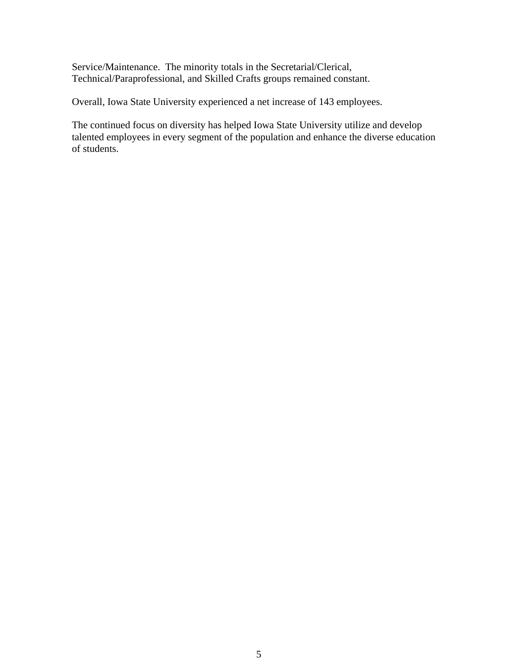Service/Maintenance. The minority totals in the Secretarial/Clerical, Technical/Paraprofessional, and Skilled Crafts groups remained constant.

Overall, Iowa State University experienced a net increase of 143 employees.

The continued focus on diversity has helped Iowa State University utilize and develop talented employees in every segment of the population and enhance the diverse education of students.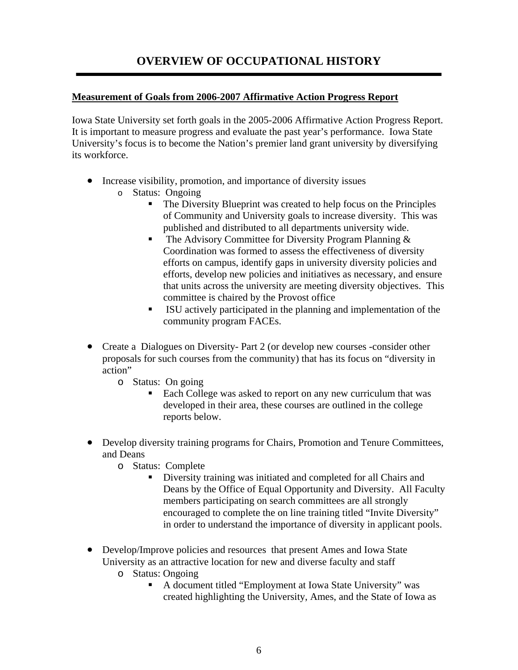# **OVERVIEW OF OCCUPATIONAL HISTORY**

# **Measurement of Goals from 2006-2007 Affirmative Action Progress Report**

Iowa State University set forth goals in the 2005-2006 Affirmative Action Progress Report. It is important to measure progress and evaluate the past year's performance. Iowa State University's focus is to become the Nation's premier land grant university by diversifying its workforce.

- Increase visibility, promotion, and importance of diversity issues
	- o Status: Ongoing
		- The Diversity Blueprint was created to help focus on the Principles of Community and University goals to increase diversity. This was published and distributed to all departments university wide.
		- **The Advisory Committee for Diversity Program Planning**  $\&$ Coordination was formed to assess the effectiveness of diversity efforts on campus, identify gaps in university diversity policies and efforts, develop new policies and initiatives as necessary, and ensure that units across the university are meeting diversity objectives. This committee is chaired by the Provost office
		- ISU actively participated in the planning and implementation of the community program FACEs.
- Create a Dialogues on Diversity- Part 2 (or develop new courses -consider other proposals for such courses from the community) that has its focus on "diversity in action"
	- o Status: On going
		- Each College was asked to report on any new curriculum that was developed in their area, these courses are outlined in the college reports below.
- Develop diversity training programs for Chairs, Promotion and Tenure Committees, and Deans
	- o Status: Complete
		- Diversity training was initiated and completed for all Chairs and Deans by the Office of Equal Opportunity and Diversity. All Faculty members participating on search committees are all strongly encouraged to complete the on line training titled "Invite Diversity" in order to understand the importance of diversity in applicant pools.
- Develop/Improve policies and resources that present Ames and Iowa State University as an attractive location for new and diverse faculty and staff
	- o Status: Ongoing
		- A document titled "Employment at Iowa State University" was created highlighting the University, Ames, and the State of Iowa as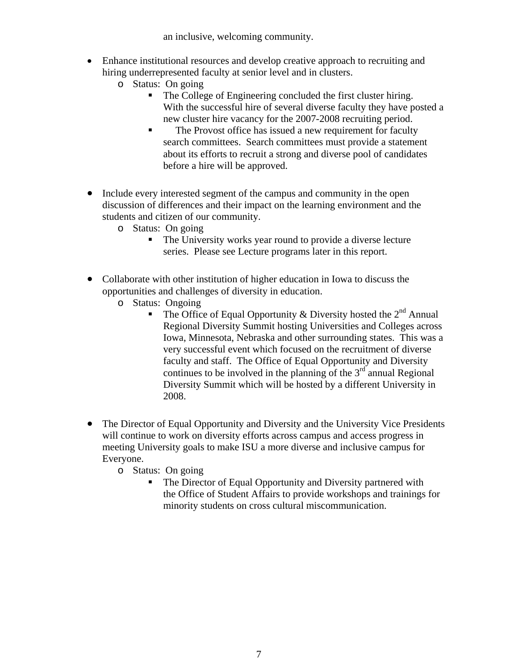an inclusive, welcoming community.

- Enhance institutional resources and develop creative approach to recruiting and hiring underrepresented faculty at senior level and in clusters.
	- o Status: On going
		- The College of Engineering concluded the first cluster hiring. With the successful hire of several diverse faculty they have posted a new cluster hire vacancy for the 2007-2008 recruiting period.
		- The Provost office has issued a new requirement for faculty search committees. Search committees must provide a statement about its efforts to recruit a strong and diverse pool of candidates before a hire will be approved.
- Include every interested segment of the campus and community in the open discussion of differences and their impact on the learning environment and the students and citizen of our community.
	- o Status: On going
		- The University works year round to provide a diverse lecture series. Please see Lecture programs later in this report.
- Collaborate with other institution of higher education in Iowa to discuss the opportunities and challenges of diversity in education.
	- o Status: Ongoing
		- The Office of Equal Opportunity & Diversity hosted the  $2<sup>nd</sup>$  Annual Regional Diversity Summit hosting Universities and Colleges across Iowa, Minnesota, Nebraska and other surrounding states. This was a very successful event which focused on the recruitment of diverse faculty and staff. The Office of Equal Opportunity and Diversity continues to be involved in the planning of the  $3<sup>rd</sup>$  annual Regional Diversity Summit which will be hosted by a different University in 2008.
- The Director of Equal Opportunity and Diversity and the University Vice Presidents will continue to work on diversity efforts across campus and access progress in meeting University goals to make ISU a more diverse and inclusive campus for Everyone.
	- o Status: On going
		- The Director of Equal Opportunity and Diversity partnered with the Office of Student Affairs to provide workshops and trainings for minority students on cross cultural miscommunication.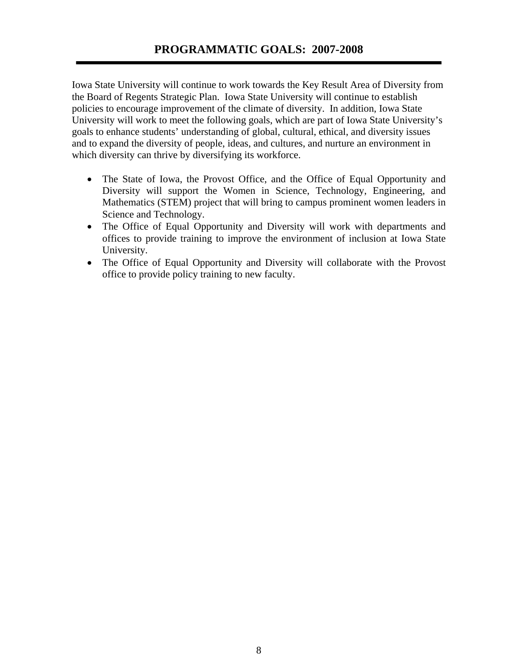Iowa State University will continue to work towards the Key Result Area of Diversity from the Board of Regents Strategic Plan. Iowa State University will continue to establish policies to encourage improvement of the climate of diversity. In addition, Iowa State University will work to meet the following goals, which are part of Iowa State University's goals to enhance students' understanding of global, cultural, ethical, and diversity issues and to expand the diversity of people, ideas, and cultures, and nurture an environment in which diversity can thrive by diversifying its workforce.

- The State of Iowa, the Provost Office, and the Office of Equal Opportunity and Diversity will support the Women in Science, Technology, Engineering, and Mathematics (STEM) project that will bring to campus prominent women leaders in Science and Technology.
- The Office of Equal Opportunity and Diversity will work with departments and offices to provide training to improve the environment of inclusion at Iowa State University.
- The Office of Equal Opportunity and Diversity will collaborate with the Provost office to provide policy training to new faculty.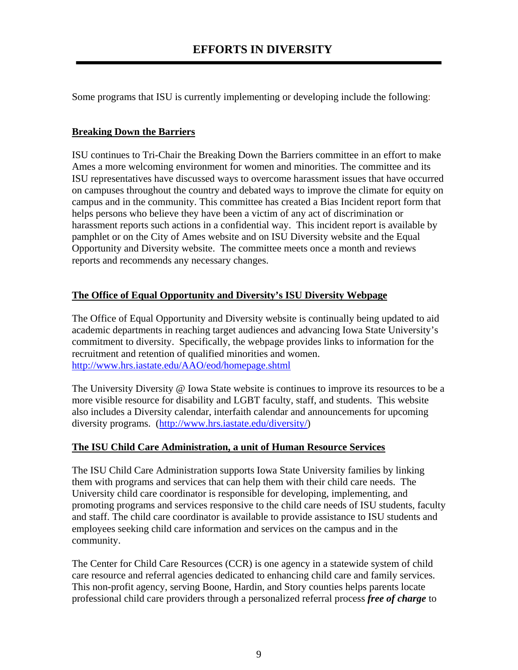Some programs that ISU is currently implementing or developing include the following:

# **Breaking Down the Barriers**

ISU continues to Tri-Chair the Breaking Down the Barriers committee in an effort to make Ames a more welcoming environment for women and minorities. The committee and its ISU representatives have discussed ways to overcome harassment issues that have occurred on campuses throughout the country and debated ways to improve the climate for equity on campus and in the community. This committee has created a Bias Incident report form that helps persons who believe they have been a victim of any act of discrimination or harassment reports such actions in a confidential way. This incident report is available by pamphlet or on the City of Ames website and on ISU Diversity website and the Equal Opportunity and Diversity website. The committee meets once a month and reviews reports and recommends any necessary changes.

# **The Office of Equal Opportunity and Diversity's ISU Diversity Webpage**

The Office of Equal Opportunity and Diversity website is continually being updated to aid academic departments in reaching target audiences and advancing Iowa State University's commitment to diversity. Specifically, the webpage provides links to information for the recruitment and retention of qualified minorities and women. http://www.hrs.iastate.edu/AAO/eod/homepage.shtml

The University Diversity @ Iowa State website is continues to improve its resources to be a more visible resource for disability and LGBT faculty, staff, and students. This website also includes a Diversity calendar, interfaith calendar and announcements for upcoming diversity programs. (http://www.hrs.iastate.edu/diversity/)

# **The ISU Child Care Administration, a unit of Human Resource Services**

The ISU Child Care Administration supports Iowa State University families by linking them with programs and services that can help them with their child care needs. The University child care coordinator is responsible for developing, implementing, and promoting programs and services responsive to the child care needs of ISU students, faculty and staff. The child care coordinator is available to provide assistance to ISU students and employees seeking child care information and services on the campus and in the community.

The Center for Child Care Resources (CCR) is one agency in a statewide system of child care resource and referral agencies dedicated to enhancing child care and family services. This non-profit agency, serving Boone, Hardin, and Story counties helps parents locate professional child care providers through a personalized referral process *free of charge* to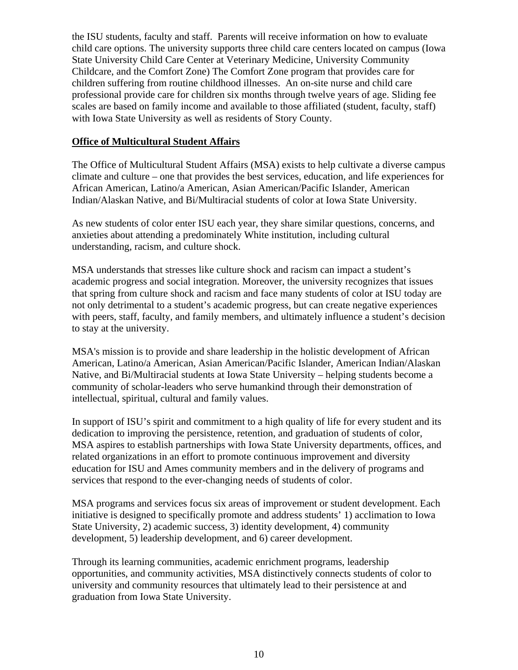the ISU students, faculty and staff. Parents will receive information on how to evaluate child care options. The university supports three child care centers located on campus (Iowa State University Child Care Center at Veterinary Medicine, University Community Childcare, and the Comfort Zone) The Comfort Zone program that provides care for children suffering from routine childhood illnesses. An on-site nurse and child care professional provide care for children six months through twelve years of age. Sliding fee scales are based on family income and available to those affiliated (student, faculty, staff) with Iowa State University as well as residents of Story County.

# **Office of Multicultural Student Affairs**

The Office of Multicultural Student Affairs (MSA) exists to help cultivate a diverse campus climate and culture – one that provides the best services, education, and life experiences for African American, Latino/a American, Asian American/Pacific Islander, American Indian/Alaskan Native, and Bi/Multiracial students of color at Iowa State University.

As new students of color enter ISU each year, they share similar questions, concerns, and anxieties about attending a predominately White institution, including cultural understanding, racism, and culture shock.

MSA understands that stresses like culture shock and racism can impact a student's academic progress and social integration. Moreover, the university recognizes that issues that spring from culture shock and racism and face many students of color at ISU today are not only detrimental to a student's academic progress, but can create negative experiences with peers, staff, faculty, and family members, and ultimately influence a student's decision to stay at the university.

MSA's mission is to provide and share leadership in the holistic development of African American, Latino/a American, Asian American/Pacific Islander, American Indian/Alaskan Native, and Bi/Multiracial students at Iowa State University – helping students become a community of scholar-leaders who serve humankind through their demonstration of intellectual, spiritual, cultural and family values.

In support of ISU's spirit and commitment to a high quality of life for every student and its dedication to improving the persistence, retention, and graduation of students of color, MSA aspires to establish partnerships with Iowa State University departments, offices, and related organizations in an effort to promote continuous improvement and diversity education for ISU and Ames community members and in the delivery of programs and services that respond to the ever-changing needs of students of color.

MSA programs and services focus six areas of improvement or student development. Each initiative is designed to specifically promote and address students' 1) acclimation to Iowa State University, 2) academic success, 3) identity development, 4) community development, 5) leadership development, and 6) career development.

Through its learning communities, academic enrichment programs, leadership opportunities, and community activities, MSA distinctively connects students of color to university and community resources that ultimately lead to their persistence at and graduation from Iowa State University.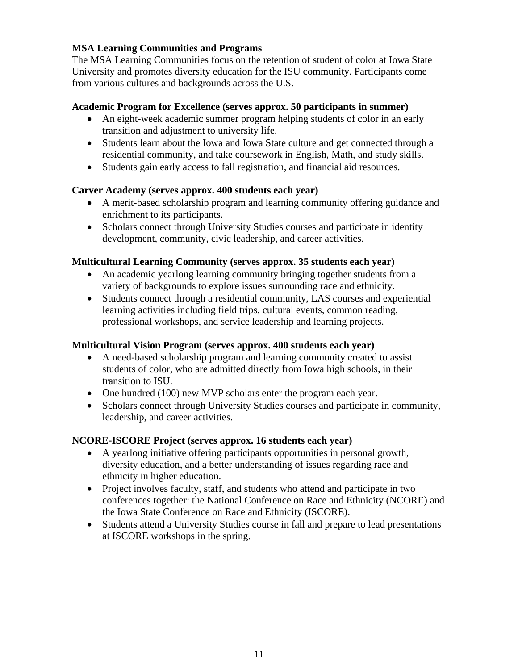# **MSA Learning Communities and Programs**

The MSA Learning Communities focus on the retention of student of color at Iowa State University and promotes diversity education for the ISU community. Participants come from various cultures and backgrounds across the U.S.

# **Academic Program for Excellence (serves approx. 50 participants in summer)**

- An eight-week academic summer program helping students of color in an early transition and adjustment to university life.
- Students learn about the Iowa and Iowa State culture and get connected through a residential community, and take coursework in English, Math, and study skills.
- Students gain early access to fall registration, and financial aid resources.

# **Carver Academy (serves approx. 400 students each year)**

- A merit-based scholarship program and learning community offering guidance and enrichment to its participants.
- Scholars connect through University Studies courses and participate in identity development, community, civic leadership, and career activities.

# **Multicultural Learning Community (serves approx. 35 students each year)**

- An academic yearlong learning community bringing together students from a variety of backgrounds to explore issues surrounding race and ethnicity.
- Students connect through a residential community, LAS courses and experiential learning activities including field trips, cultural events, common reading, professional workshops, and service leadership and learning projects.

# **Multicultural Vision Program (serves approx. 400 students each year)**

- A need-based scholarship program and learning community created to assist students of color, who are admitted directly from Iowa high schools, in their transition to ISU.
- One hundred (100) new MVP scholars enter the program each year.
- Scholars connect through University Studies courses and participate in community, leadership, and career activities.

# **NCORE-ISCORE Project (serves approx. 16 students each year)**

- A yearlong initiative offering participants opportunities in personal growth, diversity education, and a better understanding of issues regarding race and ethnicity in higher education.
- Project involves faculty, staff, and students who attend and participate in two conferences together: the National Conference on Race and Ethnicity (NCORE) and the Iowa State Conference on Race and Ethnicity (ISCORE).
- Students attend a University Studies course in fall and prepare to lead presentations at ISCORE workshops in the spring.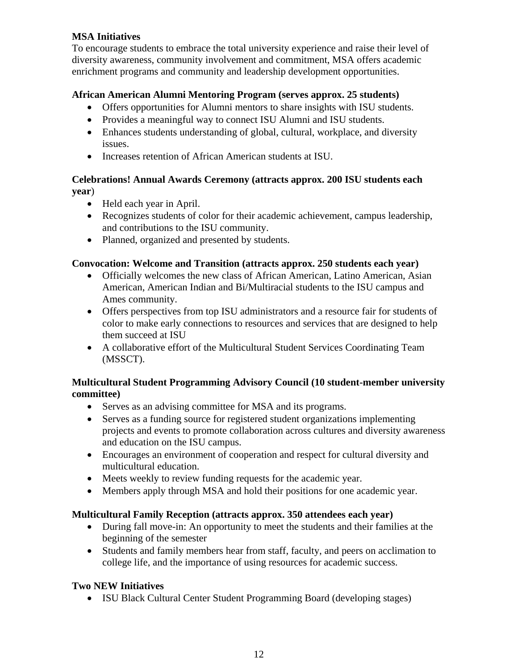# **MSA Initiatives**

To encourage students to embrace the total university experience and raise their level of diversity awareness, community involvement and commitment, MSA offers academic enrichment programs and community and leadership development opportunities.

# **African American Alumni Mentoring Program (serves approx. 25 students)**

- Offers opportunities for Alumni mentors to share insights with ISU students.
- Provides a meaningful way to connect ISU Alumni and ISU students.
- Enhances students understanding of global, cultural, workplace, and diversity issues.
- Increases retention of African American students at ISU.

# **Celebrations! Annual Awards Ceremony (attracts approx. 200 ISU students each year**)

- Held each year in April.
- Recognizes students of color for their academic achievement, campus leadership, and contributions to the ISU community.
- Planned, organized and presented by students.

# **Convocation: Welcome and Transition (attracts approx. 250 students each year)**

- Officially welcomes the new class of African American, Latino American, Asian American, American Indian and Bi/Multiracial students to the ISU campus and Ames community.
- Offers perspectives from top ISU administrators and a resource fair for students of color to make early connections to resources and services that are designed to help them succeed at ISU
- A collaborative effort of the Multicultural Student Services Coordinating Team (MSSCT).

# **Multicultural Student Programming Advisory Council (10 student-member university committee)**

- Serves as an advising committee for MSA and its programs.
- Serves as a funding source for registered student organizations implementing projects and events to promote collaboration across cultures and diversity awareness and education on the ISU campus.
- Encourages an environment of cooperation and respect for cultural diversity and multicultural education.
- Meets weekly to review funding requests for the academic year.
- Members apply through MSA and hold their positions for one academic year.

# **Multicultural Family Reception (attracts approx. 350 attendees each year)**

- During fall move-in: An opportunity to meet the students and their families at the beginning of the semester
- Students and family members hear from staff, faculty, and peers on acclimation to college life, and the importance of using resources for academic success.

# **Two NEW Initiatives**

• ISU Black Cultural Center Student Programming Board (developing stages)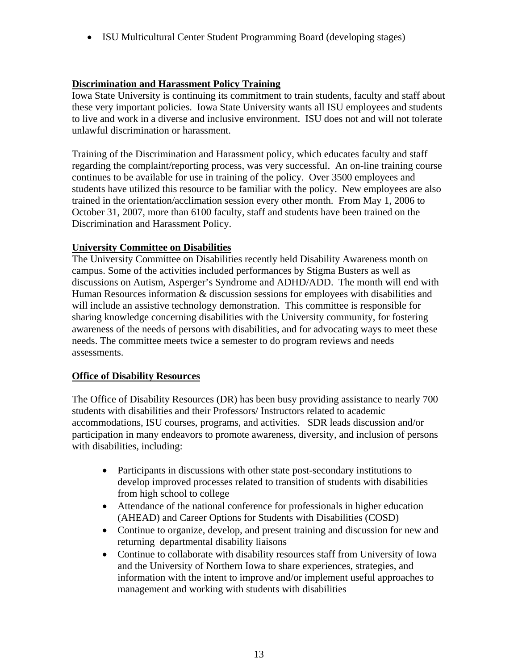• ISU Multicultural Center Student Programming Board (developing stages)

## **Discrimination and Harassment Policy Training**

Iowa State University is continuing its commitment to train students, faculty and staff about these very important policies. Iowa State University wants all ISU employees and students to live and work in a diverse and inclusive environment. ISU does not and will not tolerate unlawful discrimination or harassment.

Training of the Discrimination and Harassment policy, which educates faculty and staff regarding the complaint/reporting process, was very successful. An on-line training course continues to be available for use in training of the policy. Over 3500 employees and students have utilized this resource to be familiar with the policy. New employees are also trained in the orientation/acclimation session every other month. From May 1, 2006 to October 31, 2007, more than 6100 faculty, staff and students have been trained on the Discrimination and Harassment Policy.

## **University Committee on Disabilities**

The University Committee on Disabilities recently held Disability Awareness month on campus. Some of the activities included performances by Stigma Busters as well as discussions on Autism, Asperger's Syndrome and ADHD/ADD. The month will end with Human Resources information & discussion sessions for employees with disabilities and will include an assistive technology demonstration. This committee is responsible for sharing knowledge concerning disabilities with the University community, for fostering awareness of the needs of persons with disabilities, and for advocating ways to meet these needs. The committee meets twice a semester to do program reviews and needs assessments.

## **Office of Disability Resources**

The Office of Disability Resources (DR) has been busy providing assistance to nearly 700 students with disabilities and their Professors/ Instructors related to academic accommodations, ISU courses, programs, and activities. SDR leads discussion and/or participation in many endeavors to promote awareness, diversity, and inclusion of persons with disabilities, including:

- Participants in discussions with other state post-secondary institutions to develop improved processes related to transition of students with disabilities from high school to college
- Attendance of the national conference for professionals in higher education (AHEAD) and Career Options for Students with Disabilities (COSD)
- Continue to organize, develop, and present training and discussion for new and returning departmental disability liaisons
- Continue to collaborate with disability resources staff from University of Iowa and the University of Northern Iowa to share experiences, strategies, and information with the intent to improve and/or implement useful approaches to management and working with students with disabilities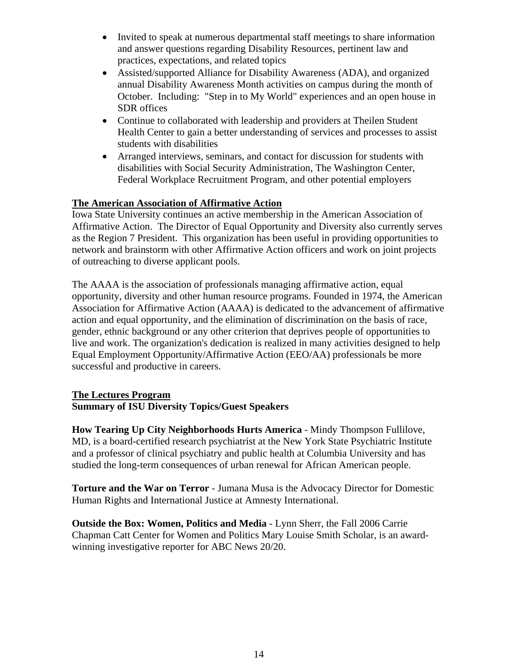- Invited to speak at numerous departmental staff meetings to share information and answer questions regarding Disability Resources, pertinent law and practices, expectations, and related topics
- Assisted/supported Alliance for Disability Awareness (ADA), and organized annual Disability Awareness Month activities on campus during the month of October. Including: "Step in to My World" experiences and an open house in SDR offices
- Continue to collaborated with leadership and providers at Theilen Student Health Center to gain a better understanding of services and processes to assist students with disabilities
- Arranged interviews, seminars, and contact for discussion for students with disabilities with Social Security Administration, The Washington Center, Federal Workplace Recruitment Program, and other potential employers

## **The American Association of Affirmative Action**

Iowa State University continues an active membership in the American Association of Affirmative Action. The Director of Equal Opportunity and Diversity also currently serves as the Region 7 President. This organization has been useful in providing opportunities to network and brainstorm with other Affirmative Action officers and work on joint projects of outreaching to diverse applicant pools.

The AAAA is the association of professionals managing affirmative action, equal opportunity, diversity and other human resource programs. Founded in 1974, the American Association for Affirmative Action (AAAA) is dedicated to the advancement of affirmative action and equal opportunity, and the elimination of discrimination on the basis of race, gender, ethnic background or any other criterion that deprives people of opportunities to live and work. The organization's dedication is realized in many activities designed to help Equal Employment Opportunity/Affirmative Action (EEO/AA) professionals be more successful and productive in careers.

## **The Lectures Program Summary of ISU Diversity Topics/Guest Speakers**

**How Tearing Up City Neighborhoods Hurts America** - Mindy Thompson Fullilove, MD, is a board-certified research psychiatrist at the New York State Psychiatric Institute and a professor of clinical psychiatry and public health at Columbia University and has studied the long-term consequences of urban renewal for African American people.

**Torture and the War on Terror** - Jumana Musa is the Advocacy Director for Domestic Human Rights and International Justice at Amnesty International.

**Outside the Box: Women, Politics and Media** - Lynn Sherr, the Fall 2006 Carrie Chapman Catt Center for Women and Politics Mary Louise Smith Scholar, is an awardwinning investigative reporter for ABC News 20/20.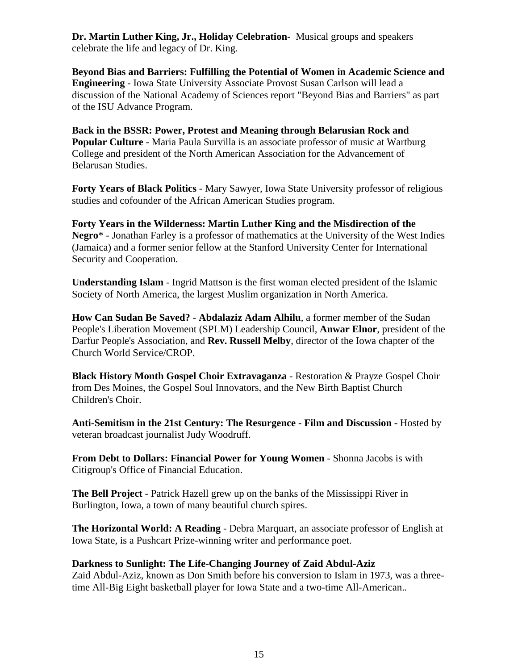**Dr. Martin Luther King, Jr., Holiday Celebration-** Musical groups and speakers celebrate the life and legacy of Dr. King.

**Beyond Bias and Barriers: Fulfilling the Potential of Women in Academic Science and Engineering** - Iowa State University Associate Provost Susan Carlson will lead a discussion of the National Academy of Sciences report "Beyond Bias and Barriers" as part of the ISU Advance Program.

**Back in the BSSR: Power, Protest and Meaning through Belarusian Rock and Popular Culture** - Maria Paula Survilla is an associate professor of music at Wartburg College and president of the North American Association for the Advancement of Belarusan Studies.

**Forty Years of Black Politics** - Mary Sawyer, Iowa State University professor of religious studies and cofounder of the African American Studies program.

**Forty Years in the Wilderness: Martin Luther King and the Misdirection of the Negro**\* - Jonathan Farley is a professor of mathematics at the University of the West Indies (Jamaica) and a former senior fellow at the Stanford University Center for International Security and Cooperation.

**Understanding Islam** - Ingrid Mattson is the first woman elected president of the Islamic Society of North America, the largest Muslim organization in North America.

**How Can Sudan Be Saved?** - **Abdalaziz Adam Alhilu**, a former member of the Sudan People's Liberation Movement (SPLM) Leadership Council, **Anwar Elnor**, president of the Darfur People's Association, and **Rev. Russell Melby**, director of the Iowa chapter of the Church World Service/CROP.

**Black History Month Gospel Choir Extravaganza** - Restoration & Prayze Gospel Choir from Des Moines, the Gospel Soul Innovators, and the New Birth Baptist Church Children's Choir.

**Anti-Semitism in the 21st Century: The Resurgence - Film and Discussion -** Hosted by veteran broadcast journalist Judy Woodruff.

**From Debt to Dollars: Financial Power for Young Women** - Shonna Jacobs is with Citigroup's Office of Financial Education.

**The Bell Project** - Patrick Hazell grew up on the banks of the Mississippi River in Burlington, Iowa, a town of many beautiful church spires.

**The Horizontal World: A Reading** - Debra Marquart, an associate professor of English at Iowa State, is a Pushcart Prize-winning writer and performance poet.

#### **Darkness to Sunlight: The Life-Changing Journey of Zaid Abdul-Aziz**

Zaid Abdul-Aziz, known as Don Smith before his conversion to Islam in 1973, was a threetime All-Big Eight basketball player for Iowa State and a two-time All-American.*.*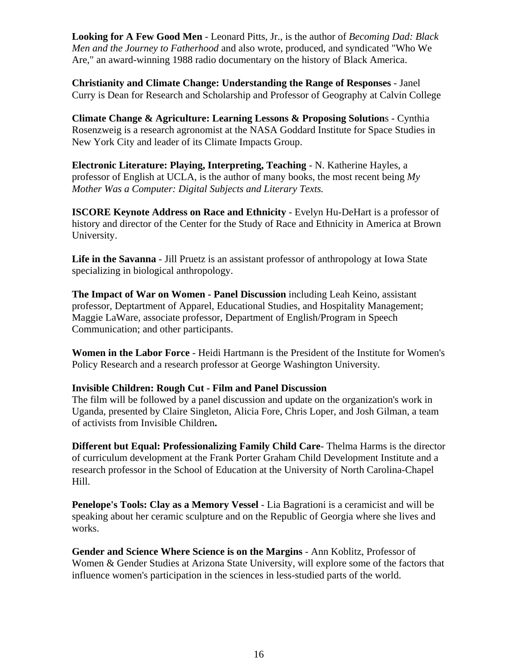**Looking for A Few Good Men** - Leonard Pitts, Jr., is the author of *Becoming Dad: Black Men and the Journey to Fatherhood* and also wrote, produced, and syndicated "Who We Are," an award-winning 1988 radio documentary on the history of Black America.

**Christianity and Climate Change: Understanding the Range of Responses** - Janel Curry is Dean for Research and Scholarship and Professor of Geography at Calvin College

**Climate Change & Agriculture: Learning Lessons & Proposing Solution**s - Cynthia Rosenzweig is a research agronomist at the NASA Goddard Institute for Space Studies in New York City and leader of its Climate Impacts Group.

**Electronic Literature: Playing, Interpreting, Teaching** - N. Katherine Hayles, a professor of English at UCLA, is the author of many books, the most recent being *My Mother Was a Computer: Digital Subjects and Literary Texts.*

**ISCORE Keynote Address on Race and Ethnicity** - Evelyn Hu-DeHart is a professor of history and director of the Center for the Study of Race and Ethnicity in America at Brown University.

**Life in the Savanna** - Jill Pruetz is an assistant professor of anthropology at Iowa State specializing in biological anthropology.

**The Impact of War on Women - Panel Discussion** including Leah Keino, assistant professor, Deptartment of Apparel, Educational Studies, and Hospitality Management; Maggie LaWare, associate professor, Department of English/Program in Speech Communication; and other participants.

**Women in the Labor Force** - Heidi Hartmann is the President of the Institute for Women's Policy Research and a research professor at George Washington University*.*

#### **Invisible Children: Rough Cut - Film and Panel Discussion**

The film will be followed by a panel discussion and update on the organization's work in Uganda, presented by Claire Singleton, Alicia Fore, Chris Loper, and Josh Gilman, a team of activists from Invisible Children**.**

**Different but Equal: Professionalizing Family Child Care**- Thelma Harms is the director of curriculum development at the Frank Porter Graham Child Development Institute and a research professor in the School of Education at the University of North Carolina-Chapel Hill.

**Penelope's Tools: Clay as a Memory Vessel** - Lia Bagrationi is a ceramicist and will be speaking about her ceramic sculpture and on the Republic of Georgia where she lives and works.

**Gender and Science Where Science is on the Margins** - Ann Koblitz, Professor of Women & Gender Studies at Arizona State University, will explore some of the factors that influence women's participation in the sciences in less-studied parts of the world.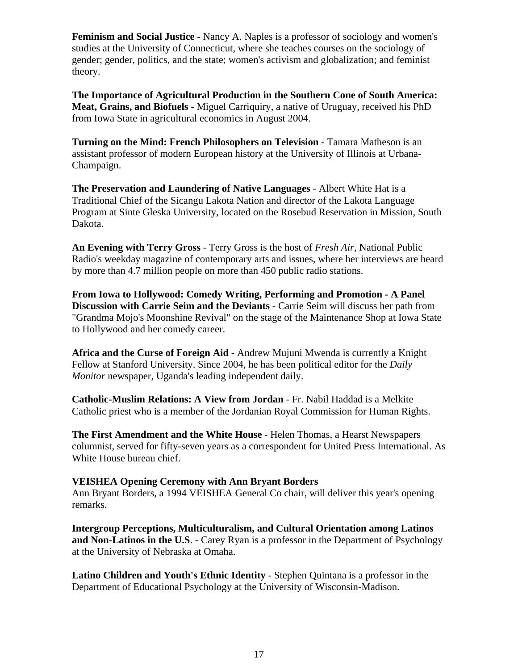**Feminism and Social Justice** - Nancy A. Naples is a professor of sociology and women's studies at the University of Connecticut, where she teaches courses on the sociology of gender; gender, politics, and the state; women's activism and globalization; and feminist theory.

**The Importance of Agricultural Production in the Southern Cone of South America: Meat, Grains, and Biofuels** - Miguel Carriquiry, a native of Uruguay, received his PhD from Iowa State in agricultural economics in August 2004.

**Turning on the Mind: French Philosophers on Television - Tamara Matheson is an** assistant professor of modern European history at the University of Illinois at Urbana-Champaign.

**The Preservation and Laundering of Native Languages** - Albert White Hat is a Traditional Chief of the Sicangu Lakota Nation and director of the Lakota Language Program at Sinte Gleska University, located on the Rosebud Reservation in Mission, South Dakota.

**An Evening with Terry Gross** - Terry Gross is the host of *Fresh Air*, National Public Radio's weekday magazine of contemporary arts and issues, where her interviews are heard by more than 4.7 million people on more than 450 public radio stations.

**From Iowa to Hollywood: Comedy Writing, Performing and Promotion - A Panel Discussion with Carrie Seim and the Deviants** - Carrie Seim will discuss her path from "Grandma Mojo's Moonshine Revival" on the stage of the Maintenance Shop at Iowa State to Hollywood and her comedy career.

**Africa and the Curse of Foreign Aid** - Andrew Mujuni Mwenda is currently a Knight Fellow at Stanford University. Since 2004, he has been political editor for the *Daily Monitor* newspaper, Uganda's leading independent daily.

**Catholic-Muslim Relations: A View from Jordan** - Fr. Nabil Haddad is a Melkite Catholic priest who is a member of the Jordanian Royal Commission for Human Rights.

**The First Amendment and the White House** - Helen Thomas, a Hearst Newspapers columnist, served for fifty-seven years as a correspondent for United Press International. As White House bureau chief.

#### **VEISHEA Opening Ceremony with Ann Bryant Borders**

Ann Bryant Borders, a 1994 VEISHEA General Co chair, will deliver this year's opening remarks.

**Intergroup Perceptions, Multiculturalism, and Cultural Orientation among Latinos and Non-Latinos in the U.S**. - Carey Ryan is a professor in the Department of Psychology at the University of Nebraska at Omaha.

**Latino Children and Youth's Ethnic Identity** - Stephen Quintana is a professor in the Department of Educational Psychology at the University of Wisconsin-Madison.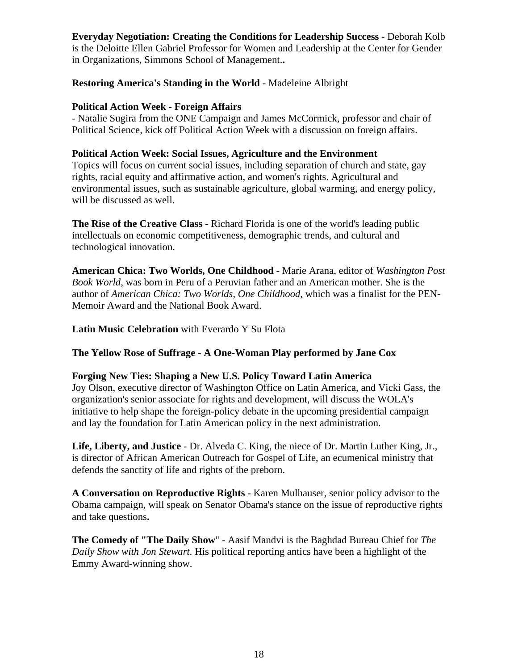**Everyday Negotiation: Creating the Conditions for Leadership Success** - Deborah Kolb is the Deloitte Ellen Gabriel Professor for Women and Leadership at the Center for Gender in Organizations, Simmons School of Management.**.**

## **Restoring America's Standing in the World** - Madeleine Albright

#### **Political Action Week - Foreign Affairs**

- Natalie Sugira from the ONE Campaign and James McCormick, professor and chair of Political Science, kick off Political Action Week with a discussion on foreign affairs.

#### **Political Action Week: Social Issues, Agriculture and the Environment**

Topics will focus on current social issues, including separation of church and state, gay rights, racial equity and affirmative action, and women's rights. Agricultural and environmental issues, such as sustainable agriculture, global warming, and energy policy, will be discussed as well.

**The Rise of the Creative Class** - Richard Florida is one of the world's leading public intellectuals on economic competitiveness, demographic trends, and cultural and technological innovation.

**American Chica: Two Worlds, One Childhood** - Marie Arana, editor of *Washington Post Book World,* was born in Peru of a Peruvian father and an American mother. She is the author of *American Chica: Two Worlds, One Childhood,* which was a finalist for the PEN-Memoir Award and the National Book Award.

**Latin Music Celebration** with Everardo Y Su Flota

## **The Yellow Rose of Suffrage - A One-Woman Play performed by Jane Cox**

#### **Forging New Ties: Shaping a New U.S. Policy Toward Latin America**

Joy Olson, executive director of Washington Office on Latin America, and Vicki Gass, the organization's senior associate for rights and development, will discuss the WOLA's initiative to help shape the foreign-policy debate in the upcoming presidential campaign and lay the foundation for Latin American policy in the next administration.

**Life, Liberty, and Justice** - Dr. Alveda C. King, the niece of Dr. Martin Luther King, Jr., is director of African American Outreach for Gospel of Life, an ecumenical ministry that defends the sanctity of life and rights of the preborn.

**A Conversation on Reproductive Rights** - Karen Mulhauser, senior policy advisor to the Obama campaign, will speak on Senator Obama's stance on the issue of reproductive rights and take questions**.**

**The Comedy of "The Daily Show**" - Aasif Mandvi is the Baghdad Bureau Chief for *The Daily Show with Jon Stewart.* His political reporting antics have been a highlight of the Emmy Award-winning show.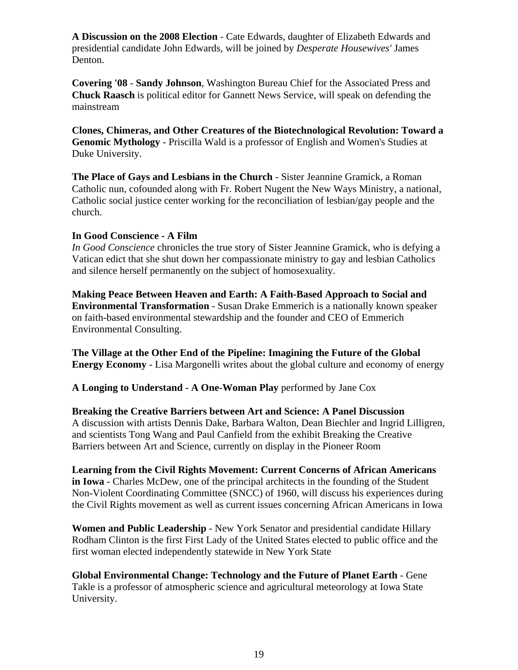**A Discussion on the 2008 Election** - Cate Edwards, daughter of Elizabeth Edwards and presidential candidate John Edwards, will be joined by *Desperate Housewives'* James Denton.

**Covering '08** - **Sandy Johnson**, Washington Bureau Chief for the Associated Press and **Chuck Raasch** is political editor for Gannett News Service, will speak on defending the mainstream

**Clones, Chimeras, and Other Creatures of the Biotechnological Revolution: Toward a Genomic Mythology** - Priscilla Wald is a professor of English and Women's Studies at Duke University.

**The Place of Gays and Lesbians in the Church** - Sister Jeannine Gramick, a Roman Catholic nun, cofounded along with Fr. Robert Nugent the New Ways Ministry, a national, Catholic social justice center working for the reconciliation of lesbian/gay people and the church.

## **In Good Conscience - A Film**

*In Good Conscience* chronicles the true story of Sister Jeannine Gramick, who is defying a Vatican edict that she shut down her compassionate ministry to gay and lesbian Catholics and silence herself permanently on the subject of homosexuality.

**Making Peace Between Heaven and Earth: A Faith-Based Approach to Social and Environmental Transformation** - Susan Drake Emmerich is a nationally known speaker on faith-based environmental stewardship and the founder and CEO of Emmerich Environmental Consulting.

**The Village at the Other End of the Pipeline: Imagining the Future of the Global Energy Economy** - Lisa Margonelli writes about the global culture and economy of energy

**A Longing to Understand - A One-Woman Play** performed by Jane Cox

**Breaking the Creative Barriers between Art and Science: A Panel Discussion** A discussion with artists Dennis Dake, Barbara Walton, Dean Biechler and Ingrid Lilligren, and scientists Tong Wang and Paul Canfield from the exhibit Breaking the Creative Barriers between Art and Science, currently on display in the Pioneer Room

**Learning from the Civil Rights Movement: Current Concerns of African Americans in Iowa** - Charles McDew, one of the principal architects in the founding of the Student Non-Violent Coordinating Committee (SNCC) of 1960, will discuss his experiences during the Civil Rights movement as well as current issues concerning African Americans in Iowa

**Women and Public Leadership** - New York Senator and presidential candidate Hillary Rodham Clinton is the first First Lady of the United States elected to public office and the first woman elected independently statewide in New York State

**Global Environmental Change: Technology and the Future of Planet Earth** - Gene Takle is a professor of atmospheric science and agricultural meteorology at Iowa State University.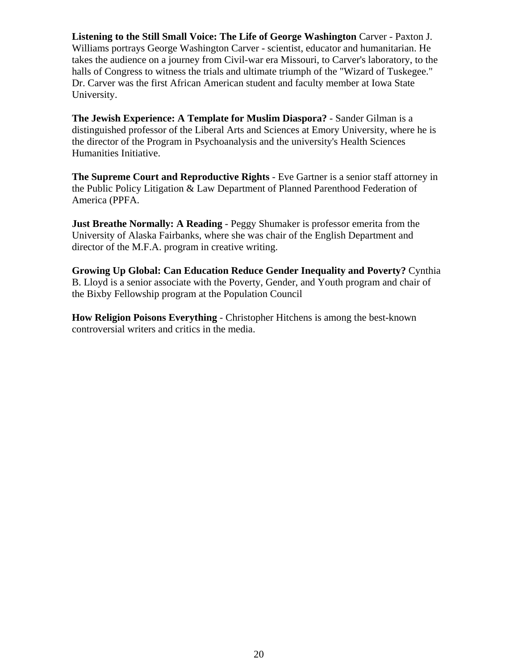**Listening to the Still Small Voice: The Life of George Washington** Carver - Paxton J. Williams portrays George Washington Carver - scientist, educator and humanitarian. He takes the audience on a journey from Civil-war era Missouri, to Carver's laboratory, to the halls of Congress to witness the trials and ultimate triumph of the "Wizard of Tuskegee." Dr. Carver was the first African American student and faculty member at Iowa State University.

**The Jewish Experience: A Template for Muslim Diaspora?** - Sander Gilman is a distinguished professor of the Liberal Arts and Sciences at Emory University, where he is the director of the Program in Psychoanalysis and the university's Health Sciences Humanities Initiative.

**The Supreme Court and Reproductive Rights** - Eve Gartner is a senior staff attorney in the Public Policy Litigation & Law Department of Planned Parenthood Federation of America (PPFA.

**Just Breathe Normally: A Reading - Peggy Shumaker is professor emerita from the** University of Alaska Fairbanks, where she was chair of the English Department and director of the M.F.A. program in creative writing.

**Growing Up Global: Can Education Reduce Gender Inequality and Poverty?** Cynthia B. Lloyd is a senior associate with the Poverty, Gender, and Youth program and chair of the Bixby Fellowship program at the Population Council

**How Religion Poisons Everything** - Christopher Hitchens is among the best-known controversial writers and critics in the media.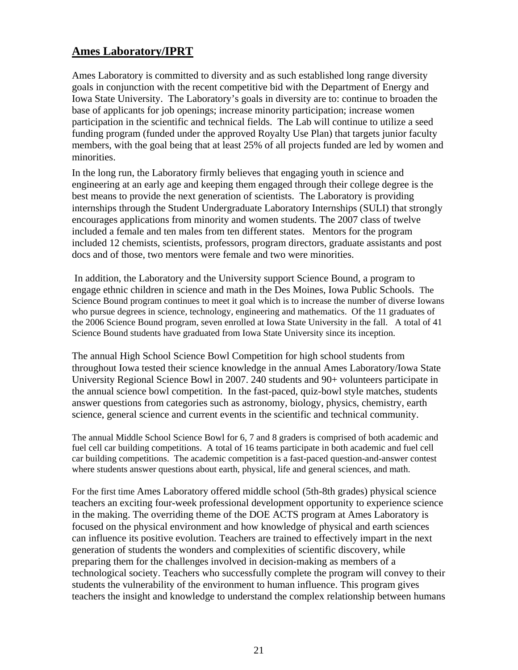# **Ames Laboratory/IPRT**

Ames Laboratory is committed to diversity and as such established long range diversity goals in conjunction with the recent competitive bid with the Department of Energy and Iowa State University. The Laboratory's goals in diversity are to: continue to broaden the base of applicants for job openings; increase minority participation; increase women participation in the scientific and technical fields. The Lab will continue to utilize a seed funding program (funded under the approved Royalty Use Plan) that targets junior faculty members, with the goal being that at least 25% of all projects funded are led by women and minorities.

In the long run, the Laboratory firmly believes that engaging youth in science and engineering at an early age and keeping them engaged through their college degree is the best means to provide the next generation of scientists. The Laboratory is providing internships through the Student Undergraduate Laboratory Internships (SULI) that strongly encourages applications from minority and women students. The 2007 class of twelve included a female and ten males from ten different states. Mentors for the program included 12 chemists, scientists, professors, program directors, graduate assistants and post docs and of those, two mentors were female and two were minorities.

 In addition, the Laboratory and the University support Science Bound, a program to engage ethnic children in science and math in the Des Moines, Iowa Public Schools. The Science Bound program continues to meet it goal which is to increase the number of diverse Iowans who pursue degrees in science, technology, engineering and mathematics. Of the 11 graduates of the 2006 Science Bound program, seven enrolled at Iowa State University in the fall. A total of 41 Science Bound students have graduated from Iowa State University since its inception.

The annual High School Science Bowl Competition for high school students from throughout Iowa tested their science knowledge in the annual Ames Laboratory/Iowa State University Regional Science Bowl in 2007. 240 students and 90+ volunteers participate in the annual science bowl competition. In the fast-paced, quiz-bowl style matches, students answer questions from categories such as astronomy, biology, physics, chemistry, earth science, general science and current events in the scientific and technical community.

The annual Middle School Science Bowl for 6, 7 and 8 graders is comprised of both academic and fuel cell car building competitions. A total of 16 teams participate in both academic and fuel cell car building competitions. The academic competition is a fast-paced question-and-answer contest where students answer questions about earth, physical, life and general sciences, and math.

For the first time Ames Laboratory offered middle school (5th-8th grades) physical science teachers an exciting four-week professional development opportunity to experience science in the making. The overriding theme of the DOE ACTS program at Ames Laboratory is focused on the physical environment and how knowledge of physical and earth sciences can influence its positive evolution. Teachers are trained to effectively impart in the next generation of students the wonders and complexities of scientific discovery, while preparing them for the challenges involved in decision-making as members of a technological society. Teachers who successfully complete the program will convey to their students the vulnerability of the environment to human influence. This program gives teachers the insight and knowledge to understand the complex relationship between humans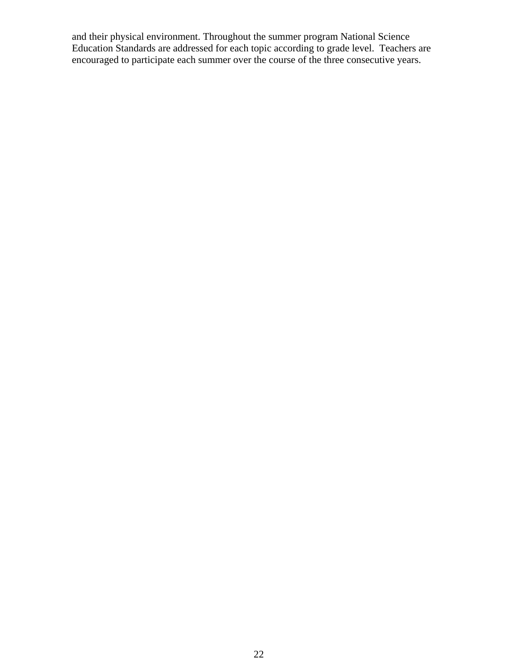and their physical environment. Throughout the summer program National Science Education Standards are addressed for each topic according to grade level. Teachers are encouraged to participate each summer over the course of the three consecutive years.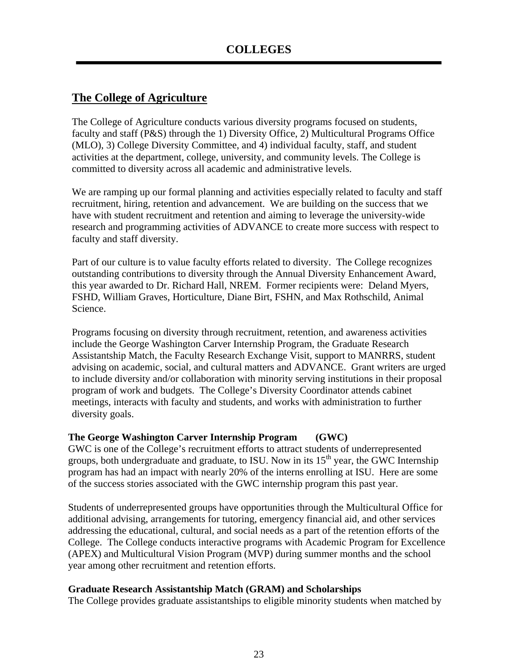# **The College of Agriculture**

The College of Agriculture conducts various diversity programs focused on students, faculty and staff (P&S) through the 1) Diversity Office, 2) Multicultural Programs Office (MLO), 3) College Diversity Committee, and 4) individual faculty, staff, and student activities at the department, college, university, and community levels. The College is committed to diversity across all academic and administrative levels.

We are ramping up our formal planning and activities especially related to faculty and staff recruitment, hiring, retention and advancement. We are building on the success that we have with student recruitment and retention and aiming to leverage the university-wide research and programming activities of ADVANCE to create more success with respect to faculty and staff diversity.

Part of our culture is to value faculty efforts related to diversity. The College recognizes outstanding contributions to diversity through the Annual Diversity Enhancement Award, this year awarded to Dr. Richard Hall, NREM. Former recipients were: Deland Myers, FSHD, William Graves, Horticulture, Diane Birt, FSHN, and Max Rothschild, Animal Science.

Programs focusing on diversity through recruitment, retention, and awareness activities include the George Washington Carver Internship Program, the Graduate Research Assistantship Match, the Faculty Research Exchange Visit, support to MANRRS, student advising on academic, social, and cultural matters and ADVANCE. Grant writers are urged to include diversity and/or collaboration with minority serving institutions in their proposal program of work and budgets. The College's Diversity Coordinator attends cabinet meetings, interacts with faculty and students, and works with administration to further diversity goals.

## **The George Washington Carver Internship Program (GWC)**

GWC is one of the College's recruitment efforts to attract students of underrepresented groups, both undergraduate and graduate, to ISU. Now in its  $15<sup>th</sup>$  year, the GWC Internship program has had an impact with nearly 20% of the interns enrolling at ISU. Here are some of the success stories associated with the GWC internship program this past year.

Students of underrepresented groups have opportunities through the Multicultural Office for additional advising, arrangements for tutoring, emergency financial aid, and other services addressing the educational, cultural, and social needs as a part of the retention efforts of the College. The College conducts interactive programs with Academic Program for Excellence (APEX) and Multicultural Vision Program (MVP) during summer months and the school year among other recruitment and retention efforts.

#### **Graduate Research Assistantship Match (GRAM) and Scholarships**

The College provides graduate assistantships to eligible minority students when matched by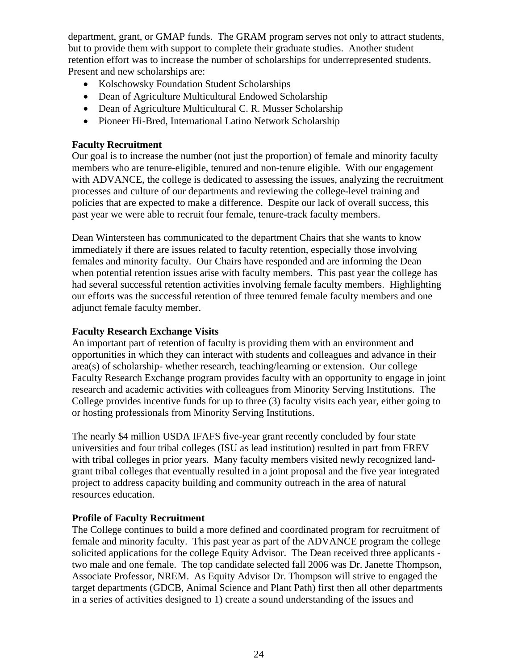department, grant, or GMAP funds. The GRAM program serves not only to attract students, but to provide them with support to complete their graduate studies. Another student retention effort was to increase the number of scholarships for underrepresented students. Present and new scholarships are:

- Kolschowsky Foundation Student Scholarships
- Dean of Agriculture Multicultural Endowed Scholarship
- Dean of Agriculture Multicultural C. R. Musser Scholarship
- Pioneer Hi-Bred, International Latino Network Scholarship

## **Faculty Recruitment**

Our goal is to increase the number (not just the proportion) of female and minority faculty members who are tenure-eligible, tenured and non-tenure eligible. With our engagement with ADVANCE, the college is dedicated to assessing the issues, analyzing the recruitment processes and culture of our departments and reviewing the college-level training and policies that are expected to make a difference. Despite our lack of overall success, this past year we were able to recruit four female, tenure-track faculty members.

Dean Wintersteen has communicated to the department Chairs that she wants to know immediately if there are issues related to faculty retention, especially those involving females and minority faculty. Our Chairs have responded and are informing the Dean when potential retention issues arise with faculty members. This past year the college has had several successful retention activities involving female faculty members. Highlighting our efforts was the successful retention of three tenured female faculty members and one adjunct female faculty member.

## **Faculty Research Exchange Visits**

An important part of retention of faculty is providing them with an environment and opportunities in which they can interact with students and colleagues and advance in their area(s) of scholarship- whether research, teaching/learning or extension. Our college Faculty Research Exchange program provides faculty with an opportunity to engage in joint research and academic activities with colleagues from Minority Serving Institutions. The College provides incentive funds for up to three (3) faculty visits each year, either going to or hosting professionals from Minority Serving Institutions.

The nearly \$4 million USDA IFAFS five-year grant recently concluded by four state universities and four tribal colleges (ISU as lead institution) resulted in part from FREV with tribal colleges in prior years. Many faculty members visited newly recognized landgrant tribal colleges that eventually resulted in a joint proposal and the five year integrated project to address capacity building and community outreach in the area of natural resources education.

## **Profile of Faculty Recruitment**

The College continues to build a more defined and coordinated program for recruitment of female and minority faculty. This past year as part of the ADVANCE program the college solicited applications for the college Equity Advisor. The Dean received three applicants two male and one female. The top candidate selected fall 2006 was Dr. Janette Thompson, Associate Professor, NREM. As Equity Advisor Dr. Thompson will strive to engaged the target departments (GDCB, Animal Science and Plant Path) first then all other departments in a series of activities designed to 1) create a sound understanding of the issues and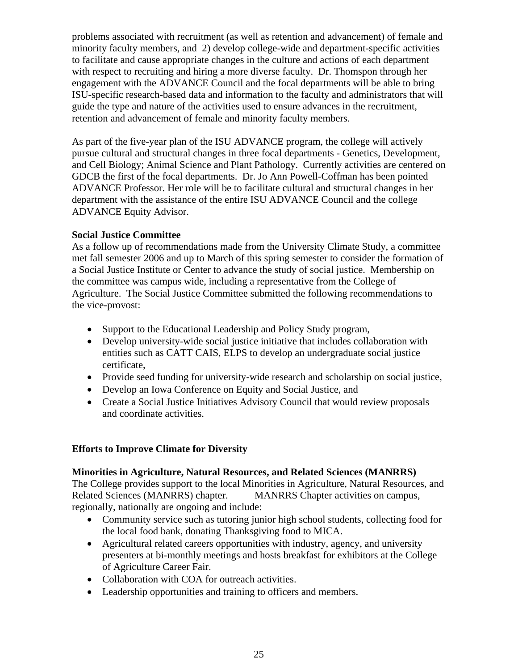problems associated with recruitment (as well as retention and advancement) of female and minority faculty members, and 2) develop college-wide and department-specific activities to facilitate and cause appropriate changes in the culture and actions of each department with respect to recruiting and hiring a more diverse faculty. Dr. Thomspon through her engagement with the ADVANCE Council and the focal departments will be able to bring ISU-specific research-based data and information to the faculty and administrators that will guide the type and nature of the activities used to ensure advances in the recruitment, retention and advancement of female and minority faculty members.

As part of the five-year plan of the ISU ADVANCE program, the college will actively pursue cultural and structural changes in three focal departments - Genetics, Development, and Cell Biology; Animal Science and Plant Pathology. Currently activities are centered on GDCB the first of the focal departments. Dr. Jo Ann Powell-Coffman has been pointed ADVANCE Professor. Her role will be to facilitate cultural and structural changes in her department with the assistance of the entire ISU ADVANCE Council and the college ADVANCE Equity Advisor.

## **Social Justice Committee**

As a follow up of recommendations made from the University Climate Study, a committee met fall semester 2006 and up to March of this spring semester to consider the formation of a Social Justice Institute or Center to advance the study of social justice. Membership on the committee was campus wide, including a representative from the College of Agriculture. The Social Justice Committee submitted the following recommendations to the vice-provost:

- Support to the Educational Leadership and Policy Study program,
- Develop university-wide social justice initiative that includes collaboration with entities such as CATT CAIS, ELPS to develop an undergraduate social justice certificate,
- Provide seed funding for university-wide research and scholarship on social justice,
- Develop an Iowa Conference on Equity and Social Justice, and
- Create a Social Justice Initiatives Advisory Council that would review proposals and coordinate activities.

# **Efforts to Improve Climate for Diversity**

## **Minorities in Agriculture, Natural Resources, and Related Sciences (MANRRS)**

The College provides support to the local Minorities in Agriculture, Natural Resources, and Related Sciences (MANRRS) chapter. MANRRS Chapter activities on campus, regionally, nationally are ongoing and include:

- Community service such as tutoring junior high school students, collecting food for the local food bank, donating Thanksgiving food to MICA.
- Agricultural related careers opportunities with industry, agency, and university presenters at bi-monthly meetings and hosts breakfast for exhibitors at the College of Agriculture Career Fair.
- Collaboration with COA for outreach activities.
- Leadership opportunities and training to officers and members.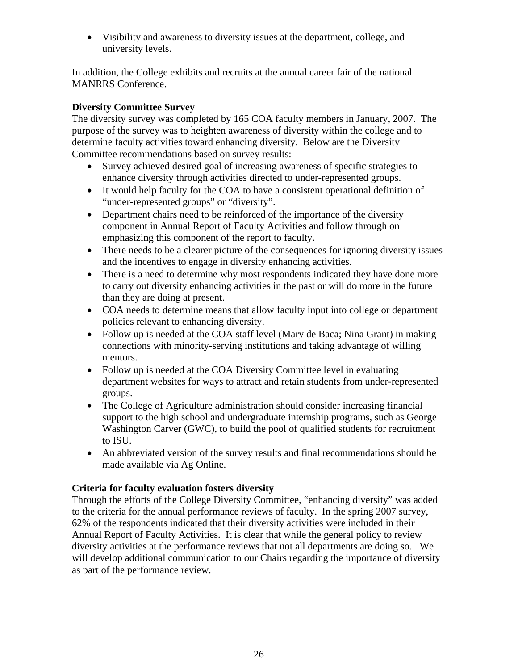• Visibility and awareness to diversity issues at the department, college, and university levels.

In addition, the College exhibits and recruits at the annual career fair of the national MANRRS Conference.

## **Diversity Committee Survey**

The diversity survey was completed by 165 COA faculty members in January, 2007. The purpose of the survey was to heighten awareness of diversity within the college and to determine faculty activities toward enhancing diversity. Below are the Diversity Committee recommendations based on survey results:

- Survey achieved desired goal of increasing awareness of specific strategies to enhance diversity through activities directed to under-represented groups.
- It would help faculty for the COA to have a consistent operational definition of "under-represented groups" or "diversity".
- Department chairs need to be reinforced of the importance of the diversity component in Annual Report of Faculty Activities and follow through on emphasizing this component of the report to faculty.
- There needs to be a clearer picture of the consequences for ignoring diversity issues and the incentives to engage in diversity enhancing activities.
- There is a need to determine why most respondents indicated they have done more to carry out diversity enhancing activities in the past or will do more in the future than they are doing at present.
- COA needs to determine means that allow faculty input into college or department policies relevant to enhancing diversity.
- Follow up is needed at the COA staff level (Mary de Baca; Nina Grant) in making connections with minority-serving institutions and taking advantage of willing mentors.
- Follow up is needed at the COA Diversity Committee level in evaluating department websites for ways to attract and retain students from under-represented groups.
- The College of Agriculture administration should consider increasing financial support to the high school and undergraduate internship programs, such as George Washington Carver (GWC), to build the pool of qualified students for recruitment to ISU.
- An abbreviated version of the survey results and final recommendations should be made available via Ag Online.

## **Criteria for faculty evaluation fosters diversity**

Through the efforts of the College Diversity Committee, "enhancing diversity" was added to the criteria for the annual performance reviews of faculty. In the spring 2007 survey, 62% of the respondents indicated that their diversity activities were included in their Annual Report of Faculty Activities. It is clear that while the general policy to review diversity activities at the performance reviews that not all departments are doing so. We will develop additional communication to our Chairs regarding the importance of diversity as part of the performance review.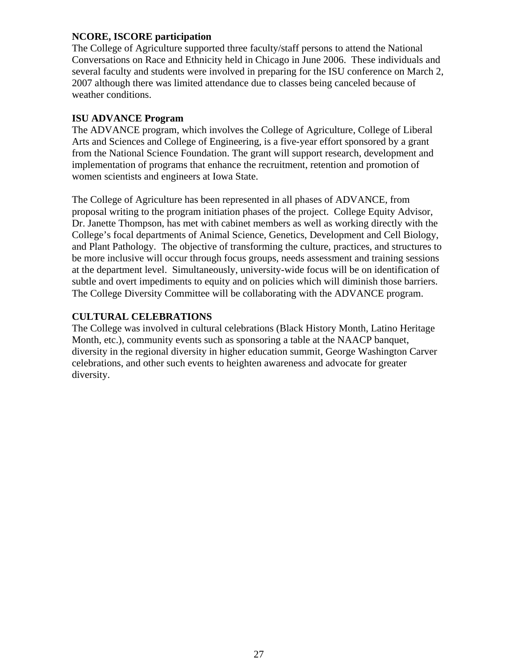## **NCORE, ISCORE participation**

The College of Agriculture supported three faculty/staff persons to attend the National Conversations on Race and Ethnicity held in Chicago in June 2006. These individuals and several faculty and students were involved in preparing for the ISU conference on March 2, 2007 although there was limited attendance due to classes being canceled because of weather conditions.

#### **ISU ADVANCE Program**

The ADVANCE program, which involves the College of Agriculture, College of Liberal Arts and Sciences and College of Engineering, is a five-year effort sponsored by a grant from the National Science Foundation. The grant will support research, development and implementation of programs that enhance the recruitment, retention and promotion of women scientists and engineers at Iowa State.

The College of Agriculture has been represented in all phases of ADVANCE, from proposal writing to the program initiation phases of the project. College Equity Advisor, Dr. Janette Thompson, has met with cabinet members as well as working directly with the College's focal departments of Animal Science, Genetics, Development and Cell Biology, and Plant Pathology. The objective of transforming the culture, practices, and structures to be more inclusive will occur through focus groups, needs assessment and training sessions at the department level. Simultaneously, university-wide focus will be on identification of subtle and overt impediments to equity and on policies which will diminish those barriers. The College Diversity Committee will be collaborating with the ADVANCE program.

## **CULTURAL CELEBRATIONS**

The College was involved in cultural celebrations (Black History Month, Latino Heritage Month, etc.), community events such as sponsoring a table at the NAACP banquet, diversity in the regional diversity in higher education summit, George Washington Carver celebrations, and other such events to heighten awareness and advocate for greater diversity.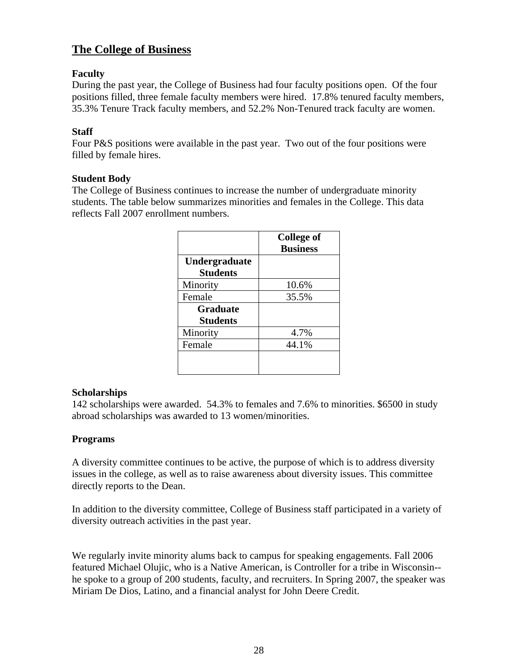# **The College of Business**

## **Faculty**

During the past year, the College of Business had four faculty positions open. Of the four positions filled, three female faculty members were hired. 17.8% tenured faculty members, 35.3% Tenure Track faculty members, and 52.2% Non-Tenured track faculty are women.

## **Staff**

Four P&S positions were available in the past year. Two out of the four positions were filled by female hires.

## **Student Body**

The College of Business continues to increase the number of undergraduate minority students. The table below summarizes minorities and females in the College. This data reflects Fall 2007 enrollment numbers.

|                                    | <b>College of</b><br><b>Business</b> |
|------------------------------------|--------------------------------------|
| Undergraduate<br><b>Students</b>   |                                      |
| Minority                           | 10.6%                                |
| Female                             | 35.5%                                |
| <b>Graduate</b><br><b>Students</b> |                                      |
| Minority                           | 4.7%                                 |
| Female                             | 44.1%                                |
|                                    |                                      |

## **Scholarships**

142 scholarships were awarded. 54.3% to females and 7.6% to minorities. \$6500 in study abroad scholarships was awarded to 13 women/minorities.

## **Programs**

A diversity committee continues to be active, the purpose of which is to address diversity issues in the college, as well as to raise awareness about diversity issues. This committee directly reports to the Dean.

In addition to the diversity committee, College of Business staff participated in a variety of diversity outreach activities in the past year.

We regularly invite minority alums back to campus for speaking engagements. Fall 2006 featured Michael Olujic, who is a Native American, is Controller for a tribe in Wisconsin- he spoke to a group of 200 students, faculty, and recruiters. In Spring 2007, the speaker was Miriam De Dios, Latino, and a financial analyst for John Deere Credit.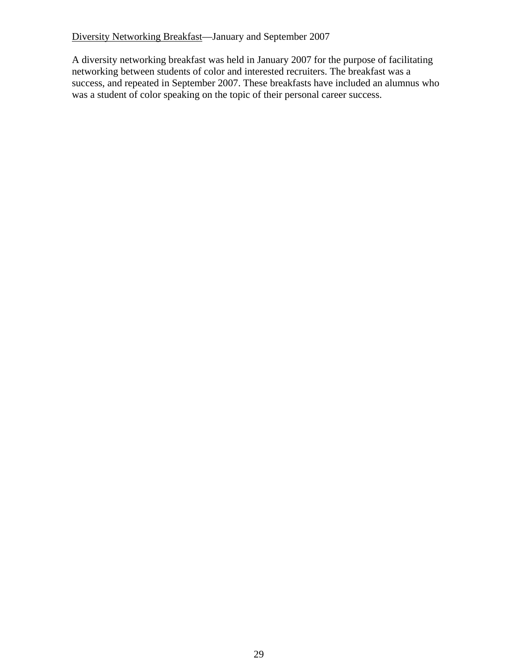Diversity Networking Breakfast—January and September 2007

A diversity networking breakfast was held in January 2007 for the purpose of facilitating networking between students of color and interested recruiters. The breakfast was a success, and repeated in September 2007. These breakfasts have included an alumnus who was a student of color speaking on the topic of their personal career success.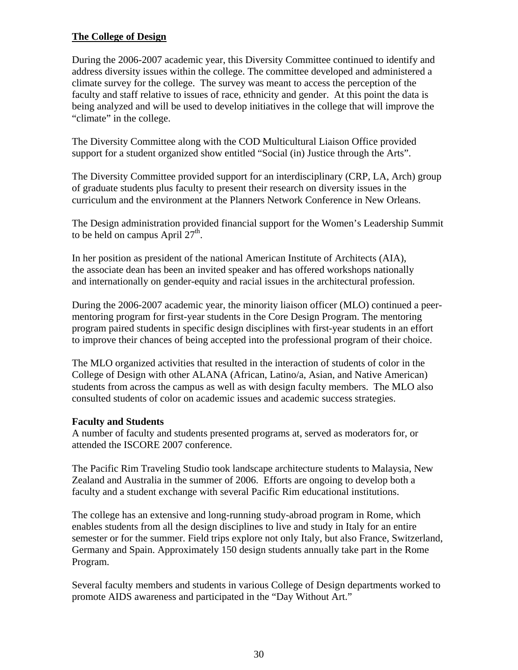## **The College of Design**

During the 2006-2007 academic year, this Diversity Committee continued to identify and address diversity issues within the college. The committee developed and administered a climate survey for the college. The survey was meant to access the perception of the faculty and staff relative to issues of race, ethnicity and gender. At this point the data is being analyzed and will be used to develop initiatives in the college that will improve the "climate" in the college.

The Diversity Committee along with the COD Multicultural Liaison Office provided support for a student organized show entitled "Social (in) Justice through the Arts".

The Diversity Committee provided support for an interdisciplinary (CRP, LA, Arch) group of graduate students plus faculty to present their research on diversity issues in the curriculum and the environment at the Planners Network Conference in New Orleans.

The Design administration provided financial support for the Women's Leadership Summit to be held on campus April  $27<sup>th</sup>$ .

In her position as president of the national American Institute of Architects (AIA), the associate dean has been an invited speaker and has offered workshops nationally and internationally on gender-equity and racial issues in the architectural profession.

During the 2006-2007 academic year, the minority liaison officer (MLO) continued a peermentoring program for first-year students in the Core Design Program. The mentoring program paired students in specific design disciplines with first-year students in an effort to improve their chances of being accepted into the professional program of their choice.

The MLO organized activities that resulted in the interaction of students of color in the College of Design with other ALANA (African, Latino/a, Asian, and Native American) students from across the campus as well as with design faculty members. The MLO also consulted students of color on academic issues and academic success strategies.

## **Faculty and Students**

A number of faculty and students presented programs at, served as moderators for, or attended the ISCORE 2007 conference.

The Pacific Rim Traveling Studio took landscape architecture students to Malaysia, New Zealand and Australia in the summer of 2006. Efforts are ongoing to develop both a faculty and a student exchange with several Pacific Rim educational institutions.

The college has an extensive and long-running study-abroad program in Rome, which enables students from all the design disciplines to live and study in Italy for an entire semester or for the summer. Field trips explore not only Italy, but also France, Switzerland, Germany and Spain. Approximately 150 design students annually take part in the Rome Program.

Several faculty members and students in various College of Design departments worked to promote AIDS awareness and participated in the "Day Without Art."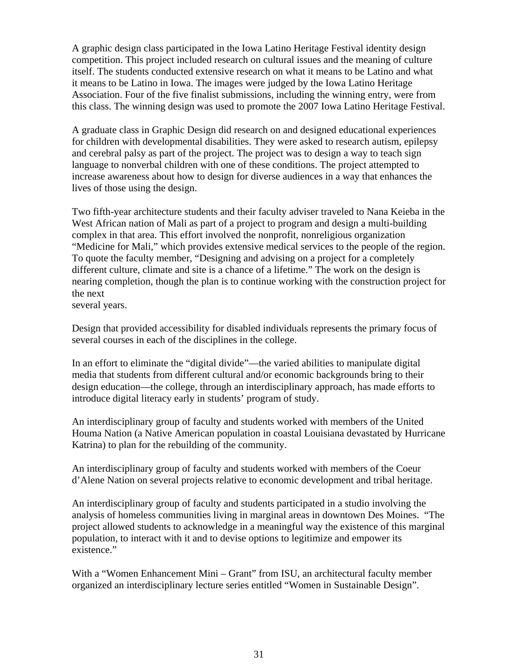A graphic design class participated in the Iowa Latino Heritage Festival identity design competition. This project included research on cultural issues and the meaning of culture itself. The students conducted extensive research on what it means to be Latino and what it means to be Latino in Iowa. The images were judged by the Iowa Latino Heritage Association. Four of the five finalist submissions, including the winning entry, were from this class. The winning design was used to promote the 2007 Iowa Latino Heritage Festival.

A graduate class in Graphic Design did research on and designed educational experiences for children with developmental disabilities. They were asked to research autism, epilepsy and cerebral palsy as part of the project. The project was to design a way to teach sign language to nonverbal children with one of these conditions. The project attempted to increase awareness about how to design for diverse audiences in a way that enhances the lives of those using the design.

Two fifth-year architecture students and their faculty adviser traveled to Nana Keieba in the West African nation of Mali as part of a project to program and design a multi-building complex in that area. This effort involved the nonprofit, nonreligious organization "Medicine for Mali," which provides extensive medical services to the people of the region. To quote the faculty member, "Designing and advising on a project for a completely different culture, climate and site is a chance of a lifetime." The work on the design is nearing completion, though the plan is to continue working with the construction project for the next

several years.

Design that provided accessibility for disabled individuals represents the primary focus of several courses in each of the disciplines in the college.

In an effort to eliminate the "digital divide"—the varied abilities to manipulate digital media that students from different cultural and/or economic backgrounds bring to their design education—the college, through an interdisciplinary approach, has made efforts to introduce digital literacy early in students' program of study.

An interdisciplinary group of faculty and students worked with members of the United Houma Nation (a Native American population in coastal Louisiana devastated by Hurricane Katrina) to plan for the rebuilding of the community.

An interdisciplinary group of faculty and students worked with members of the Coeur d'Alene Nation on several projects relative to economic development and tribal heritage.

An interdisciplinary group of faculty and students participated in a studio involving the analysis of homeless communities living in marginal areas in downtown Des Moines. "The project allowed students to acknowledge in a meaningful way the existence of this marginal population, to interact with it and to devise options to legitimize and empower its existence."

With a "Women Enhancement Mini – Grant" from ISU, an architectural faculty member organized an interdisciplinary lecture series entitled "Women in Sustainable Design".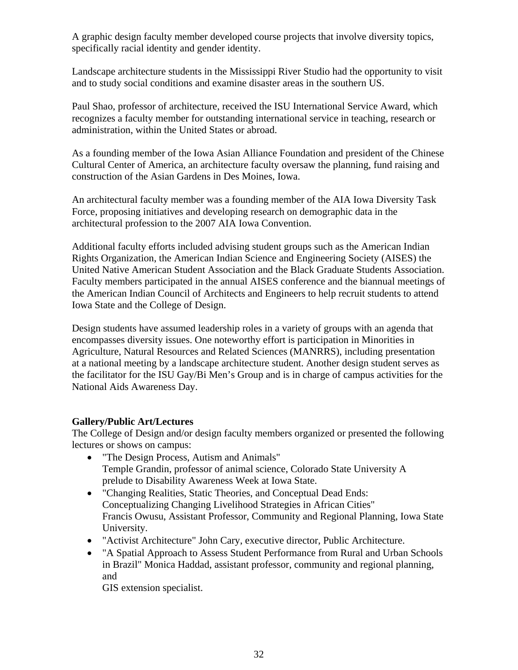A graphic design faculty member developed course projects that involve diversity topics, specifically racial identity and gender identity.

Landscape architecture students in the Mississippi River Studio had the opportunity to visit and to study social conditions and examine disaster areas in the southern US.

Paul Shao, professor of architecture, received the ISU International Service Award, which recognizes a faculty member for outstanding international service in teaching, research or administration, within the United States or abroad.

As a founding member of the Iowa Asian Alliance Foundation and president of the Chinese Cultural Center of America, an architecture faculty oversaw the planning, fund raising and construction of the Asian Gardens in Des Moines, Iowa.

An architectural faculty member was a founding member of the AIA Iowa Diversity Task Force, proposing initiatives and developing research on demographic data in the architectural profession to the 2007 AIA Iowa Convention.

Additional faculty efforts included advising student groups such as the American Indian Rights Organization, the American Indian Science and Engineering Society (AISES) the United Native American Student Association and the Black Graduate Students Association. Faculty members participated in the annual AISES conference and the biannual meetings of the American Indian Council of Architects and Engineers to help recruit students to attend Iowa State and the College of Design.

Design students have assumed leadership roles in a variety of groups with an agenda that encompasses diversity issues. One noteworthy effort is participation in Minorities in Agriculture, Natural Resources and Related Sciences (MANRRS), including presentation at a national meeting by a landscape architecture student. Another design student serves as the facilitator for the ISU Gay/Bi Men's Group and is in charge of campus activities for the National Aids Awareness Day.

## **Gallery/Public Art/Lectures**

The College of Design and/or design faculty members organized or presented the following lectures or shows on campus:

- "The Design Process, Autism and Animals" Temple Grandin, professor of animal science, Colorado State University A prelude to Disability Awareness Week at Iowa State.
- "Changing Realities, Static Theories, and Conceptual Dead Ends: Conceptualizing Changing Livelihood Strategies in African Cities" Francis Owusu, Assistant Professor, Community and Regional Planning, Iowa State University.
- "Activist Architecture" John Cary, executive director, Public Architecture.
- "A Spatial Approach to Assess Student Performance from Rural and Urban Schools in Brazil" Monica Haddad, assistant professor, community and regional planning, and

GIS extension specialist.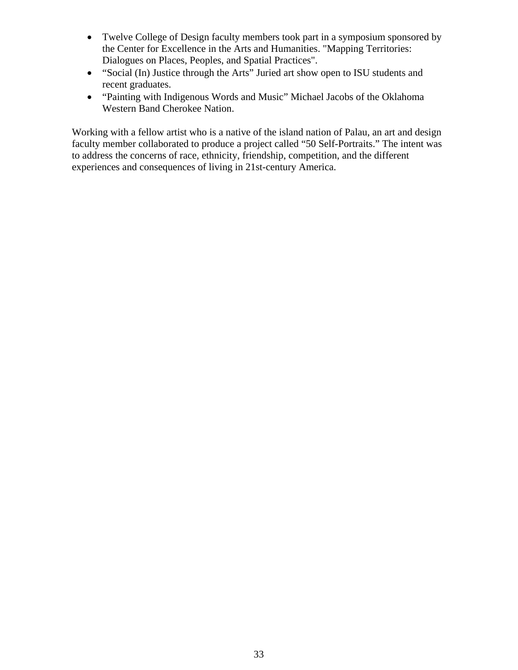- Twelve College of Design faculty members took part in a symposium sponsored by the Center for Excellence in the Arts and Humanities. "Mapping Territories: Dialogues on Places, Peoples, and Spatial Practices".
- "Social (In) Justice through the Arts" Juried art show open to ISU students and recent graduates.
- "Painting with Indigenous Words and Music" Michael Jacobs of the Oklahoma Western Band Cherokee Nation.

Working with a fellow artist who is a native of the island nation of Palau, an art and design faculty member collaborated to produce a project called "50 Self-Portraits." The intent was to address the concerns of race, ethnicity, friendship, competition, and the different experiences and consequences of living in 21st-century America.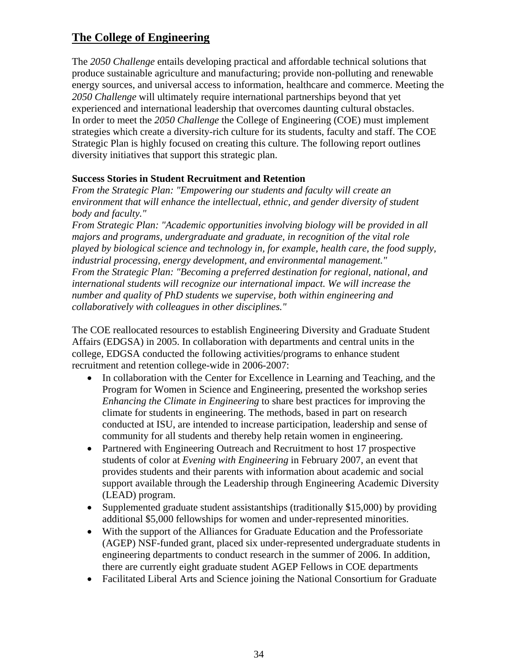# **The College of Engineering**

The *2050 Challenge* entails developing practical and affordable technical solutions that produce sustainable agriculture and manufacturing; provide non-polluting and renewable energy sources, and universal access to information, healthcare and commerce. Meeting the *2050 Challenge* will ultimately require international partnerships beyond that yet experienced and international leadership that overcomes daunting cultural obstacles. In order to meet the *2050 Challenge* the College of Engineering (COE) must implement strategies which create a diversity-rich culture for its students, faculty and staff. The COE Strategic Plan is highly focused on creating this culture. The following report outlines diversity initiatives that support this strategic plan.

## **Success Stories in Student Recruitment and Retention**

*From the Strategic Plan: "Empowering our students and faculty will create an environment that will enhance the intellectual, ethnic, and gender diversity of student body and faculty."* 

*From Strategic Plan: "Academic opportunities involving biology will be provided in all majors and programs, undergraduate and graduate, in recognition of the vital role played by biological science and technology in, for example, health care, the food supply, industrial processing, energy development, and environmental management." From the Strategic Plan: "Becoming a preferred destination for regional, national, and international students will recognize our international impact. We will increase the number and quality of PhD students we supervise, both within engineering and collaboratively with colleagues in other disciplines."* 

The COE reallocated resources to establish Engineering Diversity and Graduate Student Affairs (EDGSA) in 2005. In collaboration with departments and central units in the college, EDGSA conducted the following activities/programs to enhance student recruitment and retention college-wide in 2006-2007:

- In collaboration with the Center for Excellence in Learning and Teaching, and the Program for Women in Science and Engineering, presented the workshop series *Enhancing the Climate in Engineering* to share best practices for improving the climate for students in engineering. The methods, based in part on research conducted at ISU, are intended to increase participation, leadership and sense of community for all students and thereby help retain women in engineering.
- Partnered with Engineering Outreach and Recruitment to host 17 prospective students of color at *Evening with Engineering* in February 2007, an event that provides students and their parents with information about academic and social support available through the Leadership through Engineering Academic Diversity (LEAD) program.
- Supplemented graduate student assistantships (traditionally \$15,000) by providing additional \$5,000 fellowships for women and under-represented minorities.
- With the support of the Alliances for Graduate Education and the Professoriate (AGEP) NSF-funded grant, placed six under-represented undergraduate students in engineering departments to conduct research in the summer of 2006. In addition, there are currently eight graduate student AGEP Fellows in COE departments
- Facilitated Liberal Arts and Science joining the National Consortium for Graduate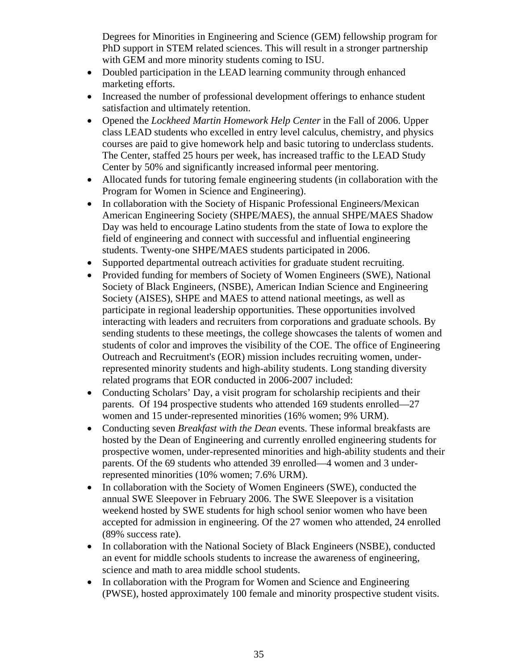Degrees for Minorities in Engineering and Science (GEM) fellowship program for PhD support in STEM related sciences. This will result in a stronger partnership with GEM and more minority students coming to ISU.

- Doubled participation in the LEAD learning community through enhanced marketing efforts.
- Increased the number of professional development offerings to enhance student satisfaction and ultimately retention.
- Opened the *Lockheed Martin Homework Help Center* in the Fall of 2006. Upper class LEAD students who excelled in entry level calculus, chemistry, and physics courses are paid to give homework help and basic tutoring to underclass students. The Center, staffed 25 hours per week, has increased traffic to the LEAD Study Center by 50% and significantly increased informal peer mentoring.
- Allocated funds for tutoring female engineering students (in collaboration with the Program for Women in Science and Engineering).
- In collaboration with the Society of Hispanic Professional Engineers/Mexican American Engineering Society (SHPE/MAES), the annual SHPE/MAES Shadow Day was held to encourage Latino students from the state of Iowa to explore the field of engineering and connect with successful and influential engineering students. Twenty-one SHPE/MAES students participated in 2006.
- Supported departmental outreach activities for graduate student recruiting.
- Provided funding for members of Society of Women Engineers (SWE), National Society of Black Engineers, (NSBE), American Indian Science and Engineering Society (AISES), SHPE and MAES to attend national meetings, as well as participate in regional leadership opportunities. These opportunities involved interacting with leaders and recruiters from corporations and graduate schools. By sending students to these meetings, the college showcases the talents of women and students of color and improves the visibility of the COE. The office of Engineering Outreach and Recruitment's (EOR) mission includes recruiting women, underrepresented minority students and high-ability students. Long standing diversity related programs that EOR conducted in 2006-2007 included:
- Conducting Scholars' Day, a visit program for scholarship recipients and their parents. Of 194 prospective students who attended 169 students enrolled—27 women and 15 under-represented minorities (16% women; 9% URM).
- Conducting seven *Breakfast with the Dean* events. These informal breakfasts are hosted by the Dean of Engineering and currently enrolled engineering students for prospective women, under-represented minorities and high-ability students and their parents. Of the 69 students who attended 39 enrolled—4 women and 3 underrepresented minorities (10% women; 7.6% URM).
- In collaboration with the Society of Women Engineers (SWE), conducted the annual SWE Sleepover in February 2006. The SWE Sleepover is a visitation weekend hosted by SWE students for high school senior women who have been accepted for admission in engineering. Of the 27 women who attended, 24 enrolled (89% success rate).
- In collaboration with the National Society of Black Engineers (NSBE), conducted an event for middle schools students to increase the awareness of engineering, science and math to area middle school students.
- In collaboration with the Program for Women and Science and Engineering (PWSE), hosted approximately 100 female and minority prospective student visits.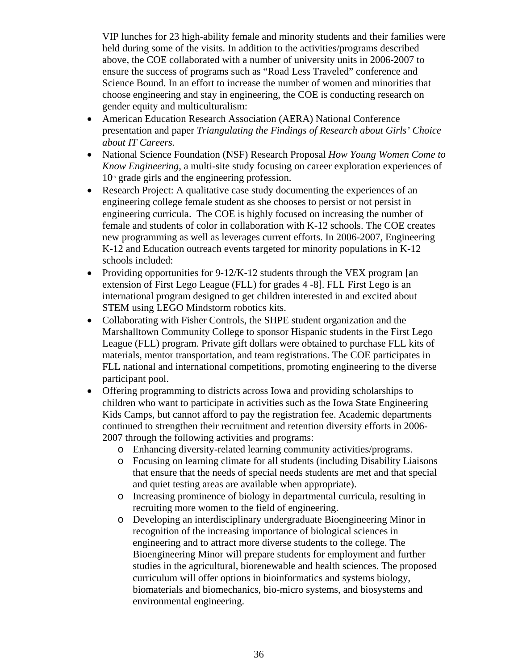VIP lunches for 23 high-ability female and minority students and their families were held during some of the visits. In addition to the activities/programs described above, the COE collaborated with a number of university units in 2006-2007 to ensure the success of programs such as "Road Less Traveled" conference and Science Bound. In an effort to increase the number of women and minorities that choose engineering and stay in engineering, the COE is conducting research on gender equity and multiculturalism:

- American Education Research Association (AERA) National Conference presentation and paper *Triangulating the Findings of Research about Girls' Choice about IT Careers.*
- National Science Foundation (NSF) Research Proposal *How Young Women Come to Know Engineering*, a multi-site study focusing on career exploration experiences of  $10<sup>th</sup>$  grade girls and the engineering profession.
- Research Project: A qualitative case study documenting the experiences of an engineering college female student as she chooses to persist or not persist in engineering curricula. The COE is highly focused on increasing the number of female and students of color in collaboration with K-12 schools. The COE creates new programming as well as leverages current efforts. In 2006-2007, Engineering K-12 and Education outreach events targeted for minority populations in K-12 schools included:
- Providing opportunities for 9-12/K-12 students through the VEX program [an extension of First Lego League (FLL) for grades 4 -8]. FLL First Lego is an international program designed to get children interested in and excited about STEM using LEGO Mindstorm robotics kits.
- Collaborating with Fisher Controls, the SHPE student organization and the Marshalltown Community College to sponsor Hispanic students in the First Lego League (FLL) program. Private gift dollars were obtained to purchase FLL kits of materials, mentor transportation, and team registrations. The COE participates in FLL national and international competitions, promoting engineering to the diverse participant pool.
- Offering programming to districts across Iowa and providing scholarships to children who want to participate in activities such as the Iowa State Engineering Kids Camps, but cannot afford to pay the registration fee. Academic departments continued to strengthen their recruitment and retention diversity efforts in 2006- 2007 through the following activities and programs:
	- o Enhancing diversity-related learning community activities/programs.
	- o Focusing on learning climate for all students (including Disability Liaisons that ensure that the needs of special needs students are met and that special and quiet testing areas are available when appropriate).
	- o Increasing prominence of biology in departmental curricula, resulting in recruiting more women to the field of engineering.
	- o Developing an interdisciplinary undergraduate Bioengineering Minor in recognition of the increasing importance of biological sciences in engineering and to attract more diverse students to the college. The Bioengineering Minor will prepare students for employment and further studies in the agricultural, biorenewable and health sciences. The proposed curriculum will offer options in bioinformatics and systems biology, biomaterials and biomechanics, bio-micro systems, and biosystems and environmental engineering.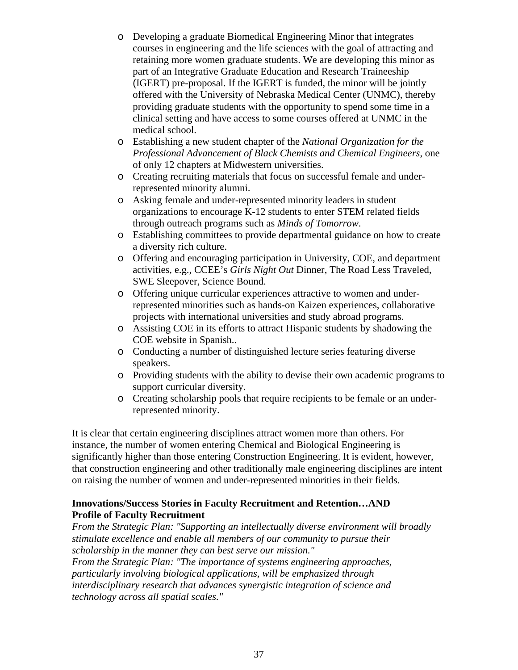- o Developing a graduate Biomedical Engineering Minor that integrates courses in engineering and the life sciences with the goal of attracting and retaining more women graduate students. We are developing this minor as part of an Integrative Graduate Education and Research Traineeship (IGERT) pre-proposal. If the IGERT is funded, the minor will be jointly offered with the University of Nebraska Medical Center (UNMC), thereby providing graduate students with the opportunity to spend some time in a clinical setting and have access to some courses offered at UNMC in the medical school.
- o Establishing a new student chapter of the *National Organization for the Professional Advancement of Black Chemists and Chemical Engineers*, one of only 12 chapters at Midwestern universities.
- o Creating recruiting materials that focus on successful female and underrepresented minority alumni.
- o Asking female and under-represented minority leaders in student organizations to encourage K-12 students to enter STEM related fields through outreach programs such as *Minds of Tomorrow*.
- o Establishing committees to provide departmental guidance on how to create a diversity rich culture.
- o Offering and encouraging participation in University, COE, and department activities, e.g., CCEE's *Girls Night Out* Dinner, The Road Less Traveled, SWE Sleepover, Science Bound.
- o Offering unique curricular experiences attractive to women and underrepresented minorities such as hands-on Kaizen experiences, collaborative projects with international universities and study abroad programs.
- o Assisting COE in its efforts to attract Hispanic students by shadowing the COE website in Spanish..
- o Conducting a number of distinguished lecture series featuring diverse speakers.
- o Providing students with the ability to devise their own academic programs to support curricular diversity.
- o Creating scholarship pools that require recipients to be female or an underrepresented minority.

It is clear that certain engineering disciplines attract women more than others. For instance, the number of women entering Chemical and Biological Engineering is significantly higher than those entering Construction Engineering. It is evident, however, that construction engineering and other traditionally male engineering disciplines are intent on raising the number of women and under-represented minorities in their fields.

## **Innovations/Success Stories in Faculty Recruitment and Retention…AND Profile of Faculty Recruitment**

*From the Strategic Plan: "Supporting an intellectually diverse environment will broadly stimulate excellence and enable all members of our community to pursue their scholarship in the manner they can best serve our mission." From the Strategic Plan: "The importance of systems engineering approaches, particularly involving biological applications, will be emphasized through interdisciplinary research that advances synergistic integration of science and technology across all spatial scales."*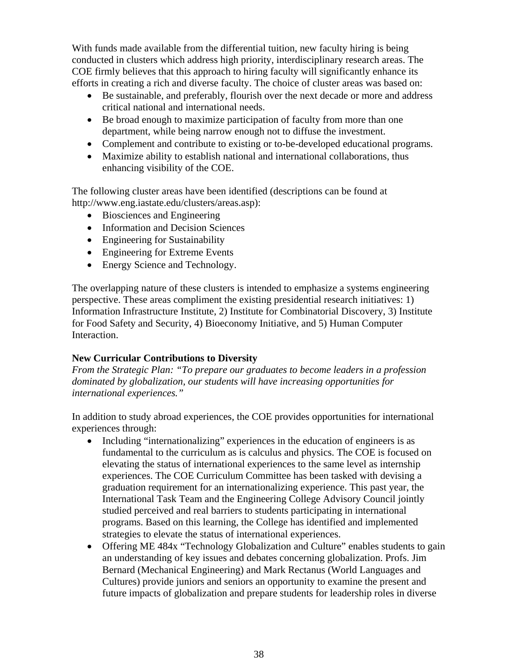With funds made available from the differential tuition, new faculty hiring is being conducted in clusters which address high priority, interdisciplinary research areas. The COE firmly believes that this approach to hiring faculty will significantly enhance its efforts in creating a rich and diverse faculty. The choice of cluster areas was based on:

- Be sustainable, and preferably, flourish over the next decade or more and address critical national and international needs.
- Be broad enough to maximize participation of faculty from more than one department, while being narrow enough not to diffuse the investment.
- Complement and contribute to existing or to-be-developed educational programs.
- Maximize ability to establish national and international collaborations, thus enhancing visibility of the COE.

The following cluster areas have been identified (descriptions can be found at http://www.eng.iastate.edu/clusters/areas.asp):

- Biosciences and Engineering
- Information and Decision Sciences
- Engineering for Sustainability
- Engineering for Extreme Events
- Energy Science and Technology.

The overlapping nature of these clusters is intended to emphasize a systems engineering perspective. These areas compliment the existing presidential research initiatives: 1) Information Infrastructure Institute, 2) Institute for Combinatorial Discovery, 3) Institute for Food Safety and Security, 4) Bioeconomy Initiative, and 5) Human Computer Interaction.

## **New Curricular Contributions to Diversity**

*From the Strategic Plan: "To prepare our graduates to become leaders in a profession dominated by globalization, our students will have increasing opportunities for international experiences."* 

In addition to study abroad experiences, the COE provides opportunities for international experiences through:

- Including "internationalizing" experiences in the education of engineers is as fundamental to the curriculum as is calculus and physics. The COE is focused on elevating the status of international experiences to the same level as internship experiences. The COE Curriculum Committee has been tasked with devising a graduation requirement for an internationalizing experience. This past year, the International Task Team and the Engineering College Advisory Council jointly studied perceived and real barriers to students participating in international programs. Based on this learning, the College has identified and implemented strategies to elevate the status of international experiences.
- Offering ME 484x "Technology Globalization and Culture" enables students to gain an understanding of key issues and debates concerning globalization. Profs. Jim Bernard (Mechanical Engineering) and Mark Rectanus (World Languages and Cultures) provide juniors and seniors an opportunity to examine the present and future impacts of globalization and prepare students for leadership roles in diverse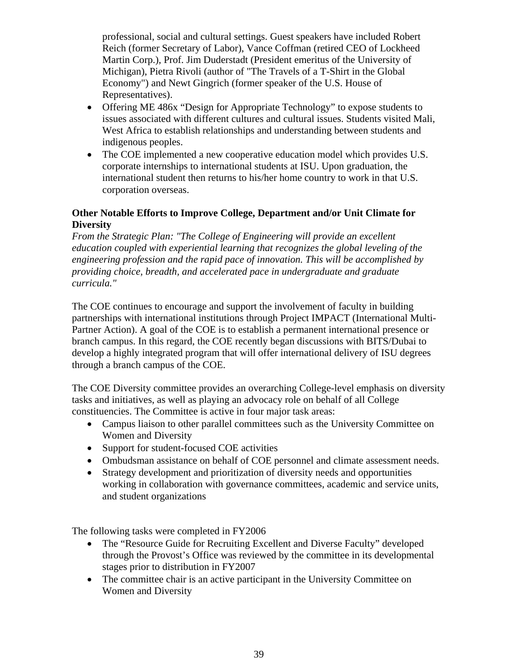professional, social and cultural settings. Guest speakers have included Robert Reich (former Secretary of Labor), Vance Coffman (retired CEO of Lockheed Martin Corp.), Prof. Jim Duderstadt (President emeritus of the University of Michigan), Pietra Rivoli (author of "The Travels of a T-Shirt in the Global Economy") and Newt Gingrich (former speaker of the U.S. House of Representatives).

- Offering ME 486x "Design for Appropriate Technology" to expose students to issues associated with different cultures and cultural issues. Students visited Mali, West Africa to establish relationships and understanding between students and indigenous peoples.
- The COE implemented a new cooperative education model which provides U.S. corporate internships to international students at ISU. Upon graduation, the international student then returns to his/her home country to work in that U.S. corporation overseas.

## **Other Notable Efforts to Improve College, Department and/or Unit Climate for Diversity**

*From the Strategic Plan: "The College of Engineering will provide an excellent education coupled with experiential learning that recognizes the global leveling of the engineering profession and the rapid pace of innovation. This will be accomplished by providing choice, breadth, and accelerated pace in undergraduate and graduate curricula."* 

The COE continues to encourage and support the involvement of faculty in building partnerships with international institutions through Project IMPACT (International Multi-Partner Action). A goal of the COE is to establish a permanent international presence or branch campus. In this regard, the COE recently began discussions with BITS/Dubai to develop a highly integrated program that will offer international delivery of ISU degrees through a branch campus of the COE.

The COE Diversity committee provides an overarching College-level emphasis on diversity tasks and initiatives, as well as playing an advocacy role on behalf of all College constituencies. The Committee is active in four major task areas:

- Campus liaison to other parallel committees such as the University Committee on Women and Diversity
- Support for student-focused COE activities
- Ombudsman assistance on behalf of COE personnel and climate assessment needs.
- Strategy development and prioritization of diversity needs and opportunities working in collaboration with governance committees, academic and service units, and student organizations

The following tasks were completed in FY2006

- The "Resource Guide for Recruiting Excellent and Diverse Faculty" developed through the Provost's Office was reviewed by the committee in its developmental stages prior to distribution in FY2007
- The committee chair is an active participant in the University Committee on Women and Diversity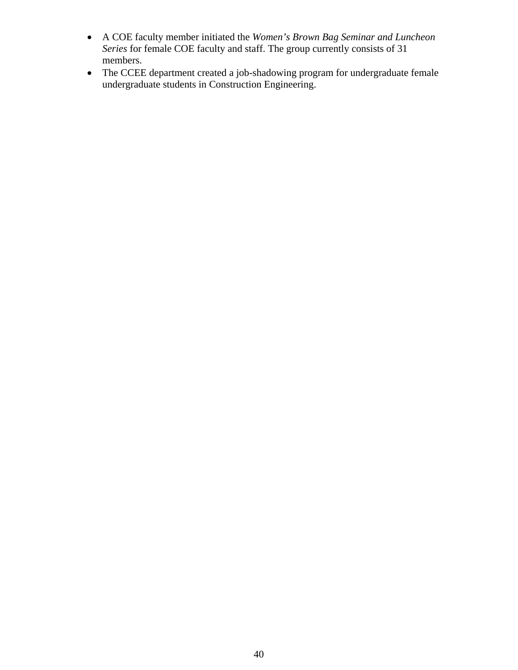- A COE faculty member initiated the *Women's Brown Bag Seminar and Luncheon Series* for female COE faculty and staff. The group currently consists of 31 members.
- The CCEE department created a job-shadowing program for undergraduate female undergraduate students in Construction Engineering.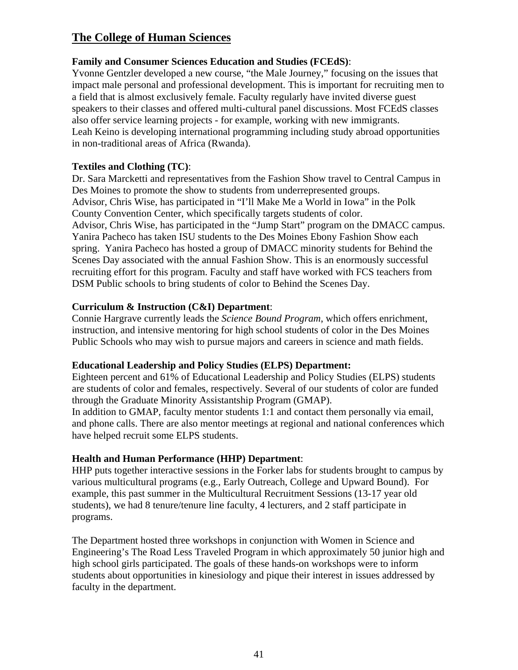# **The College of Human Sciences**

## **Family and Consumer Sciences Education and Studies (FCEdS)**:

Yvonne Gentzler developed a new course, "the Male Journey," focusing on the issues that impact male personal and professional development. This is important for recruiting men to a field that is almost exclusively female. Faculty regularly have invited diverse guest speakers to their classes and offered multi-cultural panel discussions. Most FCEdS classes also offer service learning projects - for example, working with new immigrants. Leah Keino is developing international programming including study abroad opportunities in non-traditional areas of Africa (Rwanda).

## **Textiles and Clothing (TC)**:

Dr. Sara Marcketti and representatives from the Fashion Show travel to Central Campus in Des Moines to promote the show to students from underrepresented groups. Advisor, Chris Wise, has participated in "I'll Make Me a World in Iowa" in the Polk County Convention Center, which specifically targets students of color. Advisor, Chris Wise, has participated in the "Jump Start" program on the DMACC campus. Yanira Pacheco has taken ISU students to the Des Moines Ebony Fashion Show each spring. Yanira Pacheco has hosted a group of DMACC minority students for Behind the Scenes Day associated with the annual Fashion Show. This is an enormously successful recruiting effort for this program. Faculty and staff have worked with FCS teachers from DSM Public schools to bring students of color to Behind the Scenes Day.

## **Curriculum & Instruction (C&I) Department**:

Connie Hargrave currently leads the *Science Bound Program*, which offers enrichment, instruction, and intensive mentoring for high school students of color in the Des Moines Public Schools who may wish to pursue majors and careers in science and math fields.

## **Educational Leadership and Policy Studies (ELPS) Department:**

Eighteen percent and 61% of Educational Leadership and Policy Studies (ELPS) students are students of color and females, respectively. Several of our students of color are funded through the Graduate Minority Assistantship Program (GMAP).

In addition to GMAP, faculty mentor students 1:1 and contact them personally via email, and phone calls. There are also mentor meetings at regional and national conferences which have helped recruit some ELPS students.

## **Health and Human Performance (HHP) Department**:

HHP puts together interactive sessions in the Forker labs for students brought to campus by various multicultural programs (e.g., Early Outreach, College and Upward Bound). For example, this past summer in the Multicultural Recruitment Sessions (13-17 year old students), we had 8 tenure/tenure line faculty, 4 lecturers, and 2 staff participate in programs.

The Department hosted three workshops in conjunction with Women in Science and Engineering's The Road Less Traveled Program in which approximately 50 junior high and high school girls participated. The goals of these hands-on workshops were to inform students about opportunities in kinesiology and pique their interest in issues addressed by faculty in the department.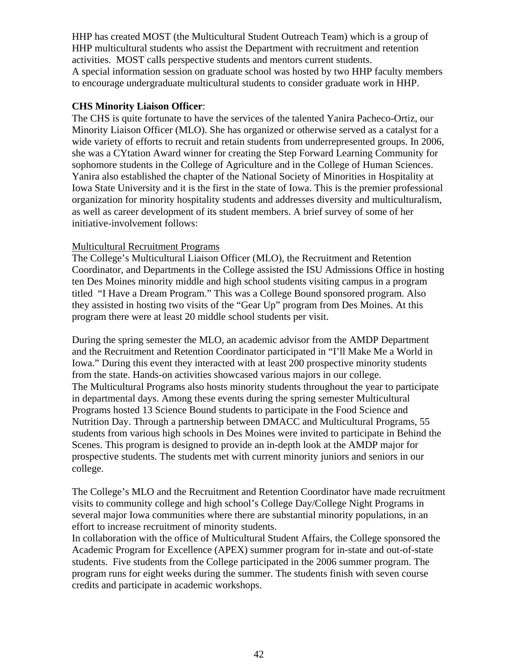HHP has created MOST (the Multicultural Student Outreach Team) which is a group of HHP multicultural students who assist the Department with recruitment and retention activities. MOST calls perspective students and mentors current students. A special information session on graduate school was hosted by two HHP faculty members to encourage undergraduate multicultural students to consider graduate work in HHP.

#### **CHS Minority Liaison Officer**:

The CHS is quite fortunate to have the services of the talented Yanira Pacheco-Ortiz, our Minority Liaison Officer (MLO). She has organized or otherwise served as a catalyst for a wide variety of efforts to recruit and retain students from underrepresented groups. In 2006, she was a CYtation Award winner for creating the Step Forward Learning Community for sophomore students in the College of Agriculture and in the College of Human Sciences. Yanira also established the chapter of the National Society of Minorities in Hospitality at Iowa State University and it is the first in the state of Iowa. This is the premier professional organization for minority hospitality students and addresses diversity and multiculturalism, as well as career development of its student members. A brief survey of some of her initiative-involvement follows:

## Multicultural Recruitment Programs

The College's Multicultural Liaison Officer (MLO), the Recruitment and Retention Coordinator, and Departments in the College assisted the ISU Admissions Office in hosting ten Des Moines minority middle and high school students visiting campus in a program titled "I Have a Dream Program." This was a College Bound sponsored program. Also they assisted in hosting two visits of the "Gear Up" program from Des Moines. At this program there were at least 20 middle school students per visit.

During the spring semester the MLO, an academic advisor from the AMDP Department and the Recruitment and Retention Coordinator participated in "I'll Make Me a World in Iowa." During this event they interacted with at least 200 prospective minority students from the state. Hands-on activities showcased various majors in our college. The Multicultural Programs also hosts minority students throughout the year to participate in departmental days. Among these events during the spring semester Multicultural Programs hosted 13 Science Bound students to participate in the Food Science and Nutrition Day. Through a partnership between DMACC and Multicultural Programs, 55 students from various high schools in Des Moines were invited to participate in Behind the Scenes. This program is designed to provide an in-depth look at the AMDP major for prospective students. The students met with current minority juniors and seniors in our college.

The College's MLO and the Recruitment and Retention Coordinator have made recruitment visits to community college and high school's College Day/College Night Programs in several major Iowa communities where there are substantial minority populations, in an effort to increase recruitment of minority students.

In collaboration with the office of Multicultural Student Affairs, the College sponsored the Academic Program for Excellence (APEX) summer program for in-state and out-of-state students. Five students from the College participated in the 2006 summer program. The program runs for eight weeks during the summer. The students finish with seven course credits and participate in academic workshops.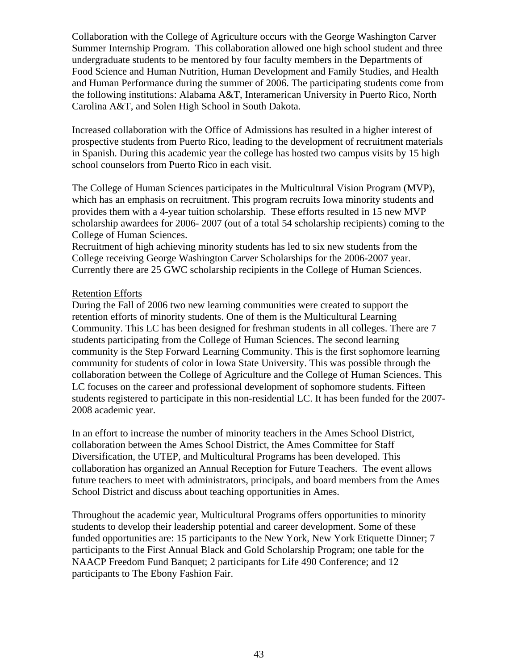Collaboration with the College of Agriculture occurs with the George Washington Carver Summer Internship Program. This collaboration allowed one high school student and three undergraduate students to be mentored by four faculty members in the Departments of Food Science and Human Nutrition, Human Development and Family Studies, and Health and Human Performance during the summer of 2006. The participating students come from the following institutions: Alabama A&T, Interamerican University in Puerto Rico, North Carolina A&T, and Solen High School in South Dakota.

Increased collaboration with the Office of Admissions has resulted in a higher interest of prospective students from Puerto Rico, leading to the development of recruitment materials in Spanish. During this academic year the college has hosted two campus visits by 15 high school counselors from Puerto Rico in each visit.

The College of Human Sciences participates in the Multicultural Vision Program (MVP), which has an emphasis on recruitment. This program recruits Iowa minority students and provides them with a 4-year tuition scholarship. These efforts resulted in 15 new MVP scholarship awardees for 2006- 2007 (out of a total 54 scholarship recipients) coming to the College of Human Sciences.

Recruitment of high achieving minority students has led to six new students from the College receiving George Washington Carver Scholarships for the 2006-2007 year. Currently there are 25 GWC scholarship recipients in the College of Human Sciences.

#### Retention Efforts

During the Fall of 2006 two new learning communities were created to support the retention efforts of minority students. One of them is the Multicultural Learning Community. This LC has been designed for freshman students in all colleges. There are 7 students participating from the College of Human Sciences. The second learning community is the Step Forward Learning Community. This is the first sophomore learning community for students of color in Iowa State University. This was possible through the collaboration between the College of Agriculture and the College of Human Sciences. This LC focuses on the career and professional development of sophomore students. Fifteen students registered to participate in this non-residential LC. It has been funded for the 2007- 2008 academic year.

In an effort to increase the number of minority teachers in the Ames School District, collaboration between the Ames School District, the Ames Committee for Staff Diversification, the UTEP, and Multicultural Programs has been developed. This collaboration has organized an Annual Reception for Future Teachers. The event allows future teachers to meet with administrators, principals, and board members from the Ames School District and discuss about teaching opportunities in Ames.

Throughout the academic year, Multicultural Programs offers opportunities to minority students to develop their leadership potential and career development. Some of these funded opportunities are: 15 participants to the New York, New York Etiquette Dinner; 7 participants to the First Annual Black and Gold Scholarship Program; one table for the NAACP Freedom Fund Banquet; 2 participants for Life 490 Conference; and 12 participants to The Ebony Fashion Fair.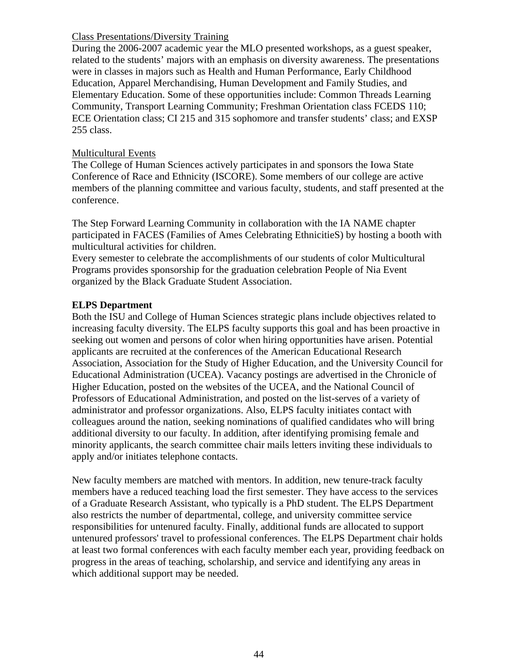#### Class Presentations/Diversity Training

During the 2006-2007 academic year the MLO presented workshops, as a guest speaker, related to the students' majors with an emphasis on diversity awareness. The presentations were in classes in majors such as Health and Human Performance, Early Childhood Education, Apparel Merchandising, Human Development and Family Studies, and Elementary Education. Some of these opportunities include: Common Threads Learning Community, Transport Learning Community; Freshman Orientation class FCEDS 110; ECE Orientation class; CI 215 and 315 sophomore and transfer students' class; and EXSP 255 class.

## Multicultural Events

The College of Human Sciences actively participates in and sponsors the Iowa State Conference of Race and Ethnicity (ISCORE). Some members of our college are active members of the planning committee and various faculty, students, and staff presented at the conference.

The Step Forward Learning Community in collaboration with the IA NAME chapter participated in FACES (Families of Ames Celebrating EthnicitieS) by hosting a booth with multicultural activities for children.

Every semester to celebrate the accomplishments of our students of color Multicultural Programs provides sponsorship for the graduation celebration People of Nia Event organized by the Black Graduate Student Association.

## **ELPS Department**

Both the ISU and College of Human Sciences strategic plans include objectives related to increasing faculty diversity. The ELPS faculty supports this goal and has been proactive in seeking out women and persons of color when hiring opportunities have arisen. Potential applicants are recruited at the conferences of the American Educational Research Association, Association for the Study of Higher Education, and the University Council for Educational Administration (UCEA). Vacancy postings are advertised in the Chronicle of Higher Education, posted on the websites of the UCEA, and the National Council of Professors of Educational Administration, and posted on the list-serves of a variety of administrator and professor organizations. Also, ELPS faculty initiates contact with colleagues around the nation, seeking nominations of qualified candidates who will bring additional diversity to our faculty. In addition, after identifying promising female and minority applicants, the search committee chair mails letters inviting these individuals to apply and/or initiates telephone contacts.

New faculty members are matched with mentors. In addition, new tenure-track faculty members have a reduced teaching load the first semester. They have access to the services of a Graduate Research Assistant, who typically is a PhD student. The ELPS Department also restricts the number of departmental, college, and university committee service responsibilities for untenured faculty. Finally, additional funds are allocated to support untenured professors' travel to professional conferences. The ELPS Department chair holds at least two formal conferences with each faculty member each year, providing feedback on progress in the areas of teaching, scholarship, and service and identifying any areas in which additional support may be needed.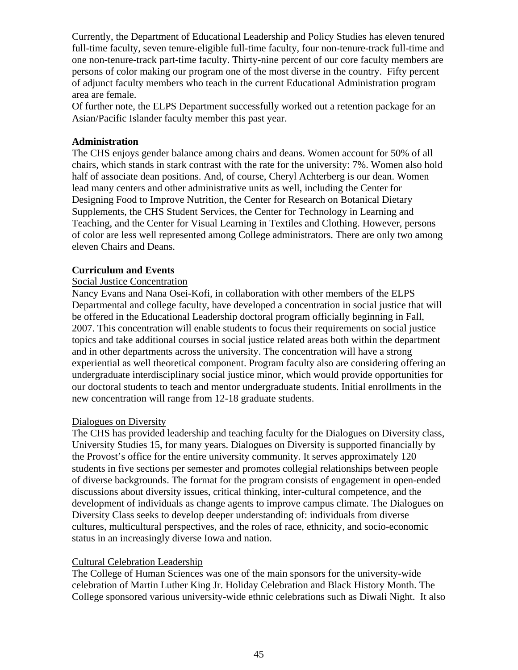Currently, the Department of Educational Leadership and Policy Studies has eleven tenured full-time faculty, seven tenure-eligible full-time faculty, four non-tenure-track full-time and one non-tenure-track part-time faculty. Thirty-nine percent of our core faculty members are persons of color making our program one of the most diverse in the country. Fifty percent of adjunct faculty members who teach in the current Educational Administration program area are female.

Of further note, the ELPS Department successfully worked out a retention package for an Asian/Pacific Islander faculty member this past year.

#### **Administration**

The CHS enjoys gender balance among chairs and deans. Women account for 50% of all chairs, which stands in stark contrast with the rate for the university: 7%. Women also hold half of associate dean positions. And, of course, Cheryl Achterberg is our dean. Women lead many centers and other administrative units as well, including the Center for Designing Food to Improve Nutrition, the Center for Research on Botanical Dietary Supplements, the CHS Student Services, the Center for Technology in Learning and Teaching, and the Center for Visual Learning in Textiles and Clothing. However, persons of color are less well represented among College administrators. There are only two among eleven Chairs and Deans.

#### **Curriculum and Events**

#### Social Justice Concentration

Nancy Evans and Nana Osei-Kofi, in collaboration with other members of the ELPS Departmental and college faculty, have developed a concentration in social justice that will be offered in the Educational Leadership doctoral program officially beginning in Fall, 2007. This concentration will enable students to focus their requirements on social justice topics and take additional courses in social justice related areas both within the department and in other departments across the university. The concentration will have a strong experiential as well theoretical component. Program faculty also are considering offering an undergraduate interdisciplinary social justice minor, which would provide opportunities for our doctoral students to teach and mentor undergraduate students. Initial enrollments in the new concentration will range from 12-18 graduate students.

#### Dialogues on Diversity

The CHS has provided leadership and teaching faculty for the Dialogues on Diversity class, University Studies 15, for many years. Dialogues on Diversity is supported financially by the Provost's office for the entire university community. It serves approximately 120 students in five sections per semester and promotes collegial relationships between people of diverse backgrounds. The format for the program consists of engagement in open-ended discussions about diversity issues, critical thinking, inter-cultural competence, and the development of individuals as change agents to improve campus climate. The Dialogues on Diversity Class seeks to develop deeper understanding of: individuals from diverse cultures, multicultural perspectives, and the roles of race, ethnicity, and socio-economic status in an increasingly diverse Iowa and nation.

#### Cultural Celebration Leadership

The College of Human Sciences was one of the main sponsors for the university-wide celebration of Martin Luther King Jr. Holiday Celebration and Black History Month. The College sponsored various university-wide ethnic celebrations such as Diwali Night. It also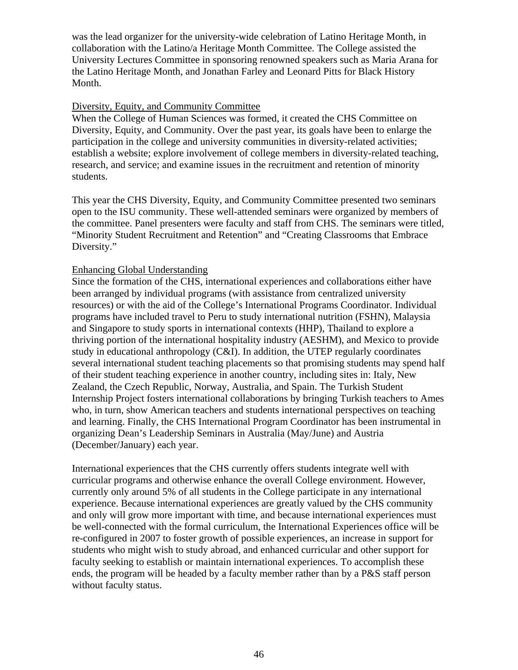was the lead organizer for the university-wide celebration of Latino Heritage Month, in collaboration with the Latino/a Heritage Month Committee. The College assisted the University Lectures Committee in sponsoring renowned speakers such as Maria Arana for the Latino Heritage Month, and Jonathan Farley and Leonard Pitts for Black History Month.

#### Diversity, Equity, and Community Committee

When the College of Human Sciences was formed, it created the CHS Committee on Diversity, Equity, and Community. Over the past year, its goals have been to enlarge the participation in the college and university communities in diversity-related activities; establish a website; explore involvement of college members in diversity-related teaching, research, and service; and examine issues in the recruitment and retention of minority students.

This year the CHS Diversity, Equity, and Community Committee presented two seminars open to the ISU community. These well-attended seminars were organized by members of the committee. Panel presenters were faculty and staff from CHS. The seminars were titled, "Minority Student Recruitment and Retention" and "Creating Classrooms that Embrace Diversity."

#### Enhancing Global Understanding

Since the formation of the CHS, international experiences and collaborations either have been arranged by individual programs (with assistance from centralized university resources) or with the aid of the College's International Programs Coordinator. Individual programs have included travel to Peru to study international nutrition (FSHN), Malaysia and Singapore to study sports in international contexts (HHP), Thailand to explore a thriving portion of the international hospitality industry (AESHM), and Mexico to provide study in educational anthropology (C&I). In addition, the UTEP regularly coordinates several international student teaching placements so that promising students may spend half of their student teaching experience in another country, including sites in: Italy, New Zealand, the Czech Republic, Norway, Australia, and Spain. The Turkish Student Internship Project fosters international collaborations by bringing Turkish teachers to Ames who, in turn, show American teachers and students international perspectives on teaching and learning. Finally, the CHS International Program Coordinator has been instrumental in organizing Dean's Leadership Seminars in Australia (May/June) and Austria (December/January) each year.

International experiences that the CHS currently offers students integrate well with curricular programs and otherwise enhance the overall College environment. However, currently only around 5% of all students in the College participate in any international experience. Because international experiences are greatly valued by the CHS community and only will grow more important with time, and because international experiences must be well-connected with the formal curriculum, the International Experiences office will be re-configured in 2007 to foster growth of possible experiences, an increase in support for students who might wish to study abroad, and enhanced curricular and other support for faculty seeking to establish or maintain international experiences. To accomplish these ends, the program will be headed by a faculty member rather than by a P&S staff person without faculty status.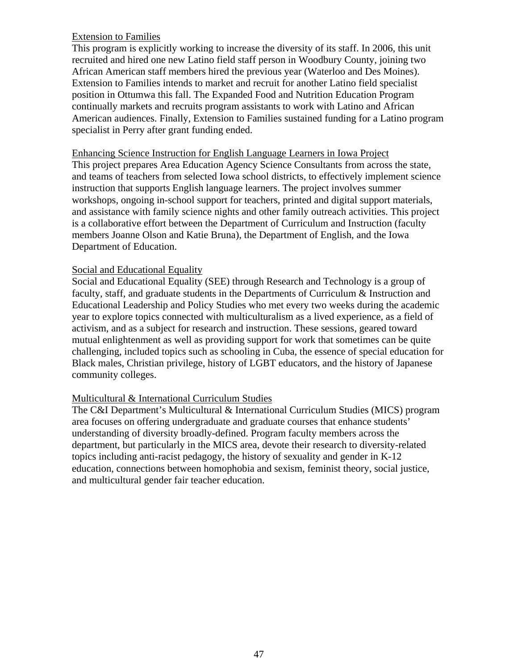## Extension to Families

This program is explicitly working to increase the diversity of its staff. In 2006, this unit recruited and hired one new Latino field staff person in Woodbury County, joining two African American staff members hired the previous year (Waterloo and Des Moines). Extension to Families intends to market and recruit for another Latino field specialist position in Ottumwa this fall. The Expanded Food and Nutrition Education Program continually markets and recruits program assistants to work with Latino and African American audiences. Finally, Extension to Families sustained funding for a Latino program specialist in Perry after grant funding ended.

#### Enhancing Science Instruction for English Language Learners in Iowa Project

This project prepares Area Education Agency Science Consultants from across the state, and teams of teachers from selected Iowa school districts, to effectively implement science instruction that supports English language learners. The project involves summer workshops, ongoing in-school support for teachers, printed and digital support materials, and assistance with family science nights and other family outreach activities. This project is a collaborative effort between the Department of Curriculum and Instruction (faculty members Joanne Olson and Katie Bruna), the Department of English, and the Iowa Department of Education.

#### Social and Educational Equality

Social and Educational Equality (SEE) through Research and Technology is a group of faculty, staff, and graduate students in the Departments of Curriculum & Instruction and Educational Leadership and Policy Studies who met every two weeks during the academic year to explore topics connected with multiculturalism as a lived experience, as a field of activism, and as a subject for research and instruction. These sessions, geared toward mutual enlightenment as well as providing support for work that sometimes can be quite challenging, included topics such as schooling in Cuba, the essence of special education for Black males, Christian privilege, history of LGBT educators, and the history of Japanese community colleges.

## Multicultural & International Curriculum Studies

The C&I Department's Multicultural & International Curriculum Studies (MICS) program area focuses on offering undergraduate and graduate courses that enhance students' understanding of diversity broadly-defined. Program faculty members across the department, but particularly in the MICS area, devote their research to diversity-related topics including anti-racist pedagogy, the history of sexuality and gender in K-12 education, connections between homophobia and sexism, feminist theory, social justice, and multicultural gender fair teacher education.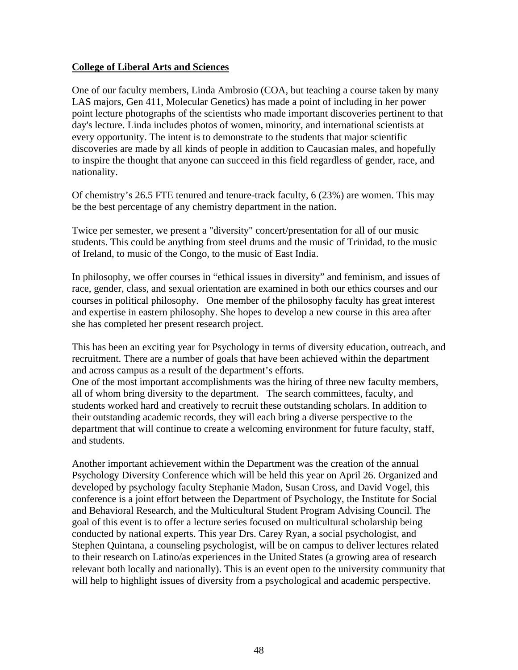#### **College of Liberal Arts and Sciences**

One of our faculty members, Linda Ambrosio (COA, but teaching a course taken by many LAS majors, Gen 411, Molecular Genetics) has made a point of including in her power point lecture photographs of the scientists who made important discoveries pertinent to that day's lecture. Linda includes photos of women, minority, and international scientists at every opportunity. The intent is to demonstrate to the students that major scientific discoveries are made by all kinds of people in addition to Caucasian males, and hopefully to inspire the thought that anyone can succeed in this field regardless of gender, race, and nationality.

Of chemistry's 26.5 FTE tenured and tenure-track faculty, 6 (23%) are women. This may be the best percentage of any chemistry department in the nation.

Twice per semester, we present a "diversity" concert/presentation for all of our music students. This could be anything from steel drums and the music of Trinidad, to the music of Ireland, to music of the Congo, to the music of East India.

In philosophy, we offer courses in "ethical issues in diversity" and feminism, and issues of race, gender, class, and sexual orientation are examined in both our ethics courses and our courses in political philosophy. One member of the philosophy faculty has great interest and expertise in eastern philosophy. She hopes to develop a new course in this area after she has completed her present research project.

This has been an exciting year for Psychology in terms of diversity education, outreach, and recruitment. There are a number of goals that have been achieved within the department and across campus as a result of the department's efforts.

One of the most important accomplishments was the hiring of three new faculty members, all of whom bring diversity to the department. The search committees, faculty, and students worked hard and creatively to recruit these outstanding scholars. In addition to their outstanding academic records, they will each bring a diverse perspective to the department that will continue to create a welcoming environment for future faculty, staff, and students.

Another important achievement within the Department was the creation of the annual Psychology Diversity Conference which will be held this year on April 26. Organized and developed by psychology faculty Stephanie Madon, Susan Cross, and David Vogel, this conference is a joint effort between the Department of Psychology, the Institute for Social and Behavioral Research, and the Multicultural Student Program Advising Council. The goal of this event is to offer a lecture series focused on multicultural scholarship being conducted by national experts. This year Drs. Carey Ryan, a social psychologist, and Stephen Quintana, a counseling psychologist, will be on campus to deliver lectures related to their research on Latino/as experiences in the United States (a growing area of research relevant both locally and nationally). This is an event open to the university community that will help to highlight issues of diversity from a psychological and academic perspective.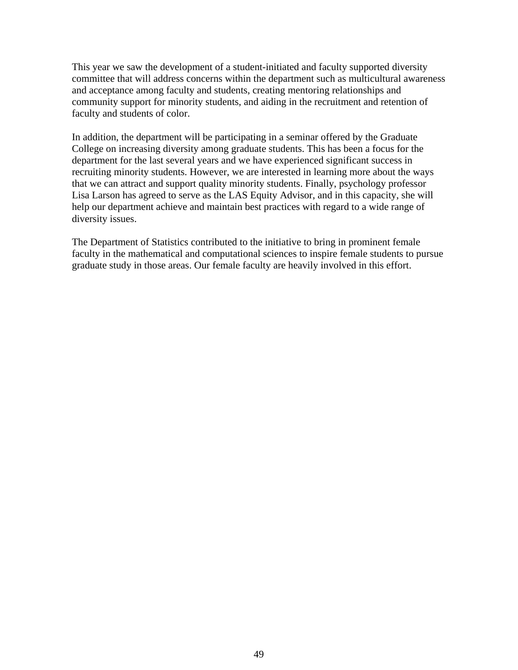This year we saw the development of a student-initiated and faculty supported diversity committee that will address concerns within the department such as multicultural awareness and acceptance among faculty and students, creating mentoring relationships and community support for minority students, and aiding in the recruitment and retention of faculty and students of color.

In addition, the department will be participating in a seminar offered by the Graduate College on increasing diversity among graduate students. This has been a focus for the department for the last several years and we have experienced significant success in recruiting minority students. However, we are interested in learning more about the ways that we can attract and support quality minority students. Finally, psychology professor Lisa Larson has agreed to serve as the LAS Equity Advisor, and in this capacity, she will help our department achieve and maintain best practices with regard to a wide range of diversity issues.

The Department of Statistics contributed to the initiative to bring in prominent female faculty in the mathematical and computational sciences to inspire female students to pursue graduate study in those areas. Our female faculty are heavily involved in this effort.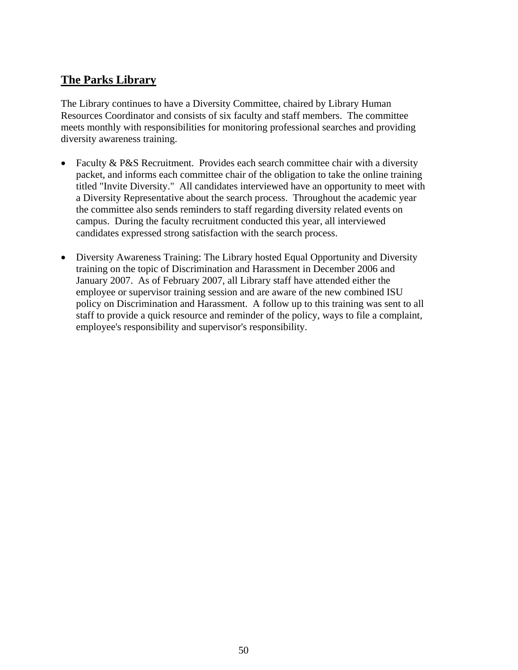# **The Parks Library**

The Library continues to have a Diversity Committee, chaired by Library Human Resources Coordinator and consists of six faculty and staff members. The committee meets monthly with responsibilities for monitoring professional searches and providing diversity awareness training.

- Faculty & P&S Recruitment. Provides each search committee chair with a diversity packet, and informs each committee chair of the obligation to take the online training titled "Invite Diversity." All candidates interviewed have an opportunity to meet with a Diversity Representative about the search process. Throughout the academic year the committee also sends reminders to staff regarding diversity related events on campus. During the faculty recruitment conducted this year, all interviewed candidates expressed strong satisfaction with the search process.
- Diversity Awareness Training: The Library hosted Equal Opportunity and Diversity training on the topic of Discrimination and Harassment in December 2006 and January 2007. As of February 2007, all Library staff have attended either the employee or supervisor training session and are aware of the new combined ISU policy on Discrimination and Harassment. A follow up to this training was sent to all staff to provide a quick resource and reminder of the policy, ways to file a complaint, employee's responsibility and supervisor's responsibility.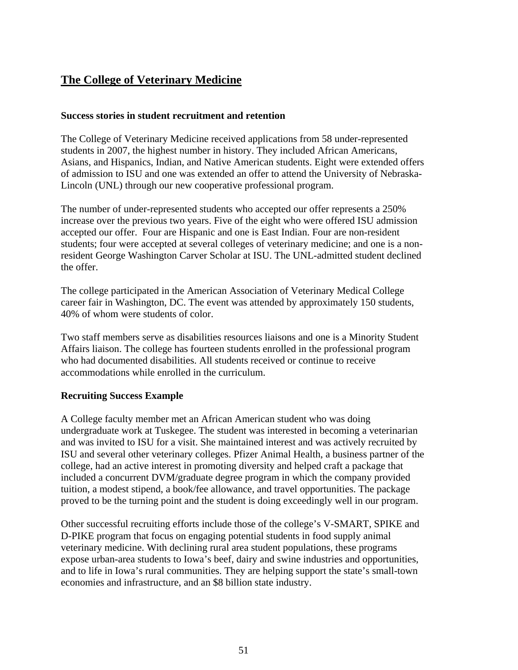# **The College of Veterinary Medicine**

# **Success stories in student recruitment and retention**

The College of Veterinary Medicine received applications from 58 under-represented students in 2007, the highest number in history. They included African Americans, Asians, and Hispanics, Indian, and Native American students. Eight were extended offers of admission to ISU and one was extended an offer to attend the University of Nebraska-Lincoln (UNL) through our new cooperative professional program.

The number of under-represented students who accepted our offer represents a 250% increase over the previous two years. Five of the eight who were offered ISU admission accepted our offer. Four are Hispanic and one is East Indian. Four are non-resident students; four were accepted at several colleges of veterinary medicine; and one is a nonresident George Washington Carver Scholar at ISU. The UNL-admitted student declined the offer.

The college participated in the American Association of Veterinary Medical College career fair in Washington, DC. The event was attended by approximately 150 students, 40% of whom were students of color.

Two staff members serve as disabilities resources liaisons and one is a Minority Student Affairs liaison. The college has fourteen students enrolled in the professional program who had documented disabilities. All students received or continue to receive accommodations while enrolled in the curriculum.

## **Recruiting Success Example**

A College faculty member met an African American student who was doing undergraduate work at Tuskegee. The student was interested in becoming a veterinarian and was invited to ISU for a visit. She maintained interest and was actively recruited by ISU and several other veterinary colleges. Pfizer Animal Health, a business partner of the college, had an active interest in promoting diversity and helped craft a package that included a concurrent DVM/graduate degree program in which the company provided tuition, a modest stipend, a book/fee allowance, and travel opportunities. The package proved to be the turning point and the student is doing exceedingly well in our program.

Other successful recruiting efforts include those of the college's V-SMART, SPIKE and D-PIKE program that focus on engaging potential students in food supply animal veterinary medicine. With declining rural area student populations, these programs expose urban-area students to Iowa's beef, dairy and swine industries and opportunities, and to life in Iowa's rural communities. They are helping support the state's small-town economies and infrastructure, and an \$8 billion state industry.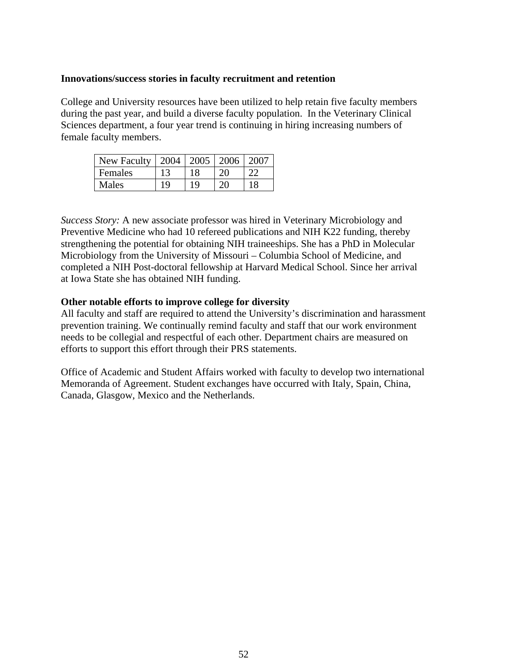### **Innovations/success stories in faculty recruitment and retention**

College and University resources have been utilized to help retain five faculty members during the past year, and build a diverse faculty population. In the Veterinary Clinical Sciences department, a four year trend is continuing in hiring increasing numbers of female faculty members.

| <b>New Faculty</b> | 2004 | 2005 | 12006 |  |
|--------------------|------|------|-------|--|
| <b>Females</b>     |      |      |       |  |
| Males              | 1 Q  | 1 Q  | -111  |  |

*Success Story:* A new associate professor was hired in Veterinary Microbiology and Preventive Medicine who had 10 refereed publications and NIH K22 funding, thereby strengthening the potential for obtaining NIH traineeships. She has a PhD in Molecular Microbiology from the University of Missouri – Columbia School of Medicine, and completed a NIH Post-doctoral fellowship at Harvard Medical School. Since her arrival at Iowa State she has obtained NIH funding.

### **Other notable efforts to improve college for diversity**

All faculty and staff are required to attend the University's discrimination and harassment prevention training. We continually remind faculty and staff that our work environment needs to be collegial and respectful of each other. Department chairs are measured on efforts to support this effort through their PRS statements.

Office of Academic and Student Affairs worked with faculty to develop two international Memoranda of Agreement. Student exchanges have occurred with Italy, Spain, China, Canada, Glasgow, Mexico and the Netherlands.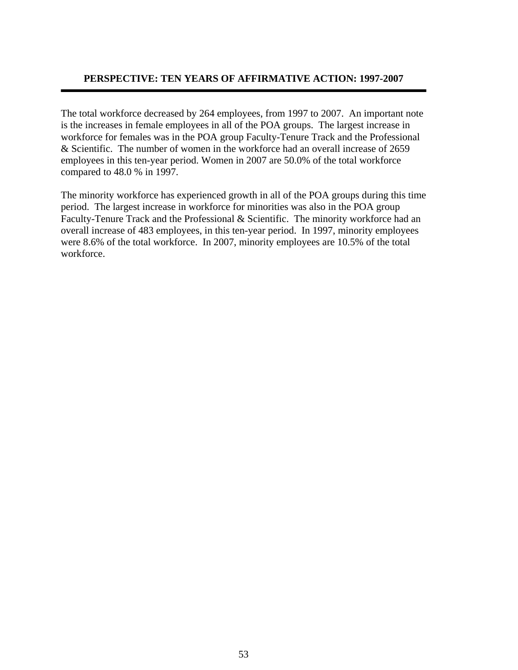# **PERSPECTIVE: TEN YEARS OF AFFIRMATIVE ACTION: 1997-2007**

The total workforce decreased by 264 employees, from 1997 to 2007. An important note is the increases in female employees in all of the POA groups. The largest increase in workforce for females was in the POA group Faculty-Tenure Track and the Professional & Scientific. The number of women in the workforce had an overall increase of 2659 employees in this ten-year period. Women in 2007 are 50.0% of the total workforce compared to 48.0 % in 1997.

The minority workforce has experienced growth in all of the POA groups during this time period. The largest increase in workforce for minorities was also in the POA group Faculty-Tenure Track and the Professional & Scientific. The minority workforce had an overall increase of 483 employees, in this ten-year period. In 1997, minority employees were 8.6% of the total workforce. In 2007, minority employees are 10.5% of the total workforce.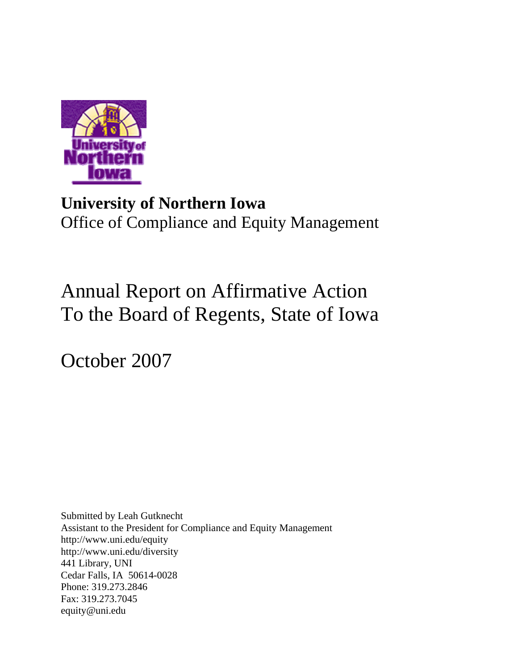

# **University of Northern Iowa**  Office of Compliance and Equity Management

# Annual Report on Affirmative Action To the Board of Regents, State of Iowa

October 2007

Submitted by Leah Gutknecht Assistant to the President for Compliance and Equity Management <http://www.uni.edu/equity> http://www.uni.edu/diversity 441 Library, UNI Cedar Falls, IA 50614-0028 Phone: 319.273.2846 Fax: 319.273.7045 [equity@uni.edu](mailto:equity@uni.edu)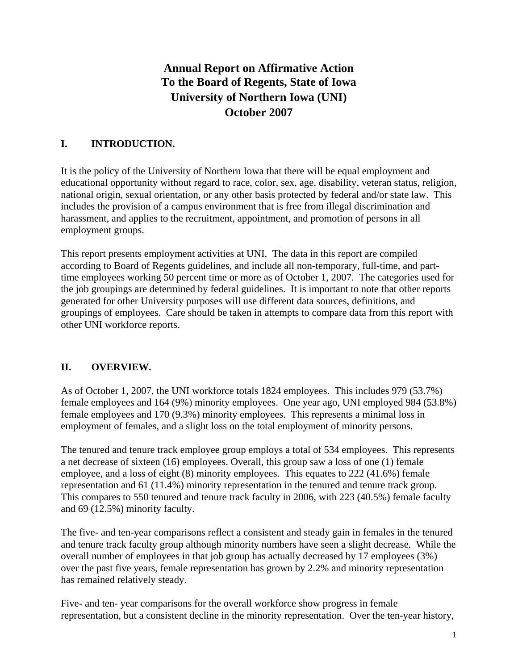# **Annual Report on Affirmative Action To the Board of Regents, State of Iowa University of Northern Iowa (UNI) October 2007**

# **I. INTRODUCTION.**

It is the policy of the University of Northern Iowa that there will be equal employment and educational opportunity without regard to race, color, sex, age, disability, veteran status, religion, national origin, sexual orientation, or any other basis protected by federal and/or state law. This includes the provision of a campus environment that is free from illegal discrimination and harassment, and applies to the recruitment, appointment, and promotion of persons in all employment groups.

This report presents employment activities at UNI. The data in this report are compiled according to Board of Regents guidelines, and include all non-temporary, full-time, and parttime employees working 50 percent time or more as of October 1, 2007. The categories used for the job groupings are determined by federal guidelines. It is important to note that other reports generated for other University purposes will use different data sources, definitions, and groupings of employees. Care should be taken in attempts to compare data from this report with other UNI workforce reports.

# **II. OVERVIEW.**

As of October 1, 2007, the UNI workforce totals 1824 employees. This includes 979 (53.7%) female employees and 164 (9%) minority employees. One year ago, UNI employed 984 (53.8%) female employees and 170 (9.3%) minority employees. This represents a minimal loss in employment of females, and a slight loss on the total employment of minority persons.

The tenured and tenure track employee group employs a total of 534 employees. This represents a net decrease of sixteen (16) employees. Overall, this group saw a loss of one (1) female employee, and a loss of eight (8) minority employees. This equates to 222 (41.6%) female representation and 61 (11.4%) minority representation in the tenured and tenure track group. This compares to 550 tenured and tenure track faculty in 2006, with 223 (40.5%) female faculty and 69 (12.5%) minority faculty.

The five- and ten-year comparisons reflect a consistent and steady gain in females in the tenured and tenure track faculty group although minority numbers have seen a slight decrease. While the overall number of employees in that job group has actually decreased by 17 employees (3%) over the past five years, female representation has grown by 2.2% and minority representation has remained relatively steady.

Five- and ten- year comparisons for the overall workforce show progress in female representation, but a consistent decline in the minority representation. Over the ten-year history,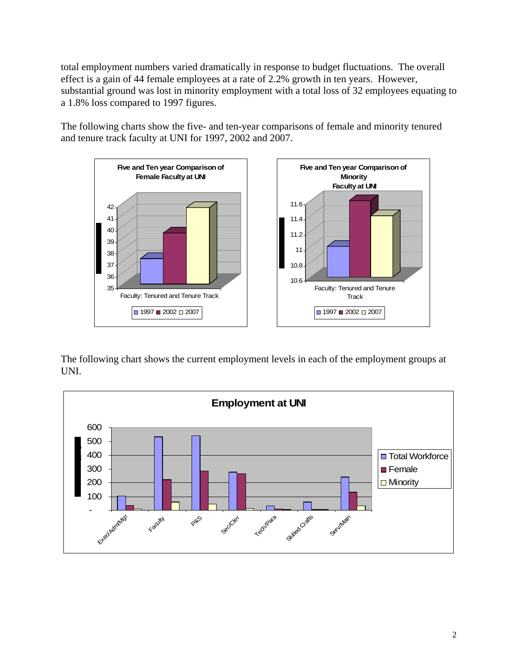total employment numbers varied dramatically in response to budget fluctuations. The overall effect is a gain of 44 female employees at a rate of 2.2% growth in ten years. However, substantial ground was lost in minority employment with a total loss of 32 employees equating to a 1.8% loss compared to 1997 figures.

The following charts show the five- and ten-year comparisons of female and minority tenured and tenure track faculty at UNI for 1997, 2002 and 2007.



The following chart shows the current employment levels in each of the employment groups at UNI.

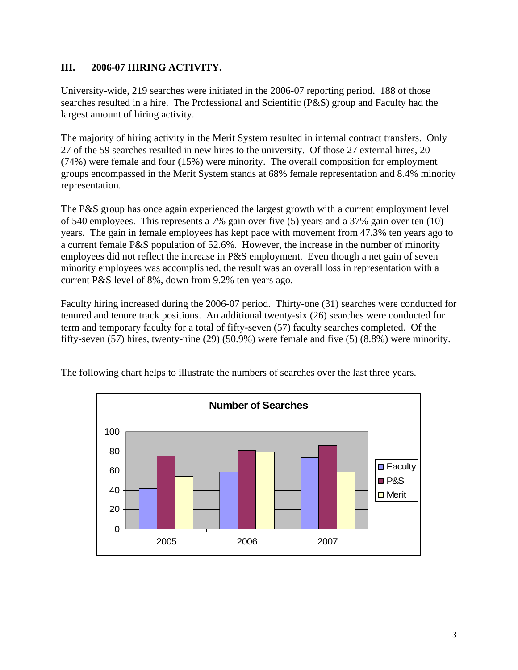# **III. 2006-07 HIRING ACTIVITY.**

University-wide, 219 searches were initiated in the 2006-07 reporting period. 188 of those searches resulted in a hire. The Professional and Scientific (P&S) group and Faculty had the largest amount of hiring activity.

The majority of hiring activity in the Merit System resulted in internal contract transfers. Only 27 of the 59 searches resulted in new hires to the university. Of those 27 external hires, 20 (74%) were female and four (15%) were minority. The overall composition for employment groups encompassed in the Merit System stands at 68% female representation and 8.4% minority representation.

The P&S group has once again experienced the largest growth with a current employment level of 540 employees. This represents a 7% gain over five (5) years and a 37% gain over ten (10) years. The gain in female employees has kept pace with movement from 47.3% ten years ago to a current female P&S population of 52.6%. However, the increase in the number of minority employees did not reflect the increase in P&S employment. Even though a net gain of seven minority employees was accomplished, the result was an overall loss in representation with a current P&S level of 8%, down from 9.2% ten years ago.

Faculty hiring increased during the 2006-07 period. Thirty-one (31) searches were conducted for tenured and tenure track positions. An additional twenty-six (26) searches were conducted for term and temporary faculty for a total of fifty-seven (57) faculty searches completed. Of the fifty-seven (57) hires, twenty-nine (29) (50.9%) were female and five (5) (8.8%) were minority.



The following chart helps to illustrate the numbers of searches over the last three years.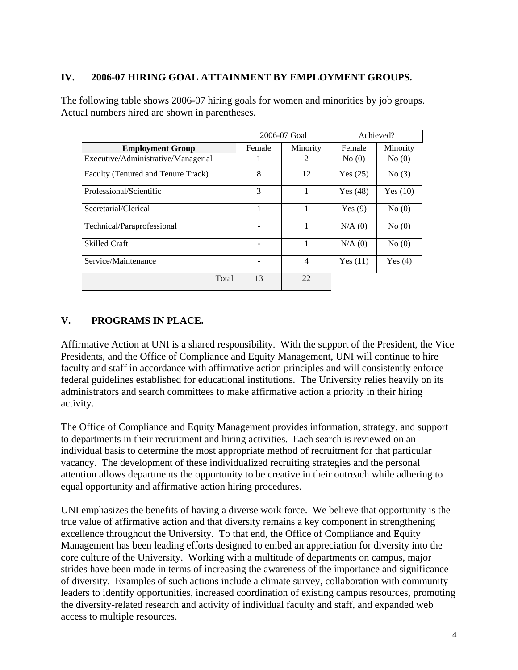# **IV. 2006-07 HIRING GOAL ATTAINMENT BY EMPLOYMENT GROUPS.**

The following table shows 2006-07 hiring goals for women and minorities by job groups. Actual numbers hired are shown in parentheses.

|                                     | 2006-07 Goal |                | Achieved?  |            |
|-------------------------------------|--------------|----------------|------------|------------|
| <b>Employment Group</b>             | Female       | Minority       | Female     | Minority   |
| Executive/Administrative/Managerial |              | 2              | No(0)      | No(0)      |
| Faculty (Tenured and Tenure Track)  | 8            | 12             | Yes $(25)$ | No(3)      |
| Professional/Scientific             | 3            |                | Yes $(48)$ | Yes $(10)$ |
| Secretarial/Clerical                |              |                | Yes $(9)$  | No(0)      |
| Technical/Paraprofessional          |              |                | N/A(0)     | No(0)      |
| <b>Skilled Craft</b>                |              |                | $N/A$ (0)  | No(0)      |
| Service/Maintenance                 |              | $\overline{4}$ | Yes $(11)$ | Yes $(4)$  |
| Total                               | 13           | 22             |            |            |

# **V. PROGRAMS IN PLACE.**

Affirmative Action at UNI is a shared responsibility. With the support of the President, the Vice Presidents, and the Office of Compliance and Equity Management, UNI will continue to hire faculty and staff in accordance with affirmative action principles and will consistently enforce federal guidelines established for educational institutions. The University relies heavily on its administrators and search committees to make affirmative action a priority in their hiring activity.

The Office of Compliance and Equity Management provides information, strategy, and support to departments in their recruitment and hiring activities. Each search is reviewed on an individual basis to determine the most appropriate method of recruitment for that particular vacancy. The development of these individualized recruiting strategies and the personal attention allows departments the opportunity to be creative in their outreach while adhering to equal opportunity and affirmative action hiring procedures.

UNI emphasizes the benefits of having a diverse work force. We believe that opportunity is the true value of affirmative action and that diversity remains a key component in strengthening excellence throughout the University. To that end, the Office of Compliance and Equity Management has been leading efforts designed to embed an appreciation for diversity into the core culture of the University. Working with a multitude of departments on campus, major strides have been made in terms of increasing the awareness of the importance and significance of diversity. Examples of such actions include a climate survey, collaboration with community leaders to identify opportunities, increased coordination of existing campus resources, promoting the diversity-related research and activity of individual faculty and staff, and expanded web access to multiple resources.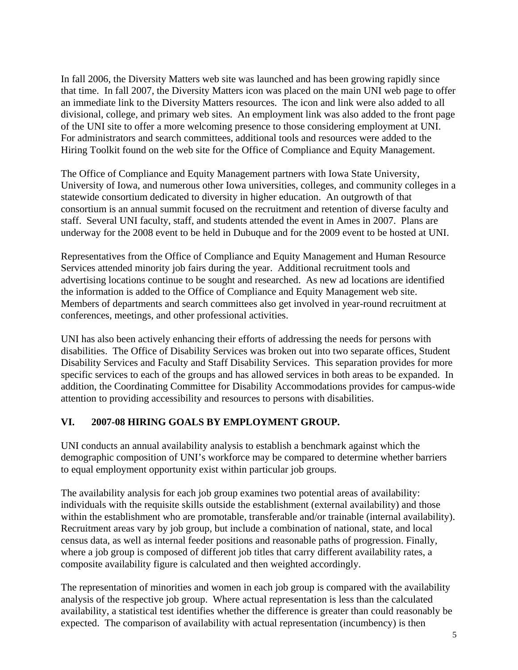In fall 2006, the Diversity Matters web site was launched and has been growing rapidly since that time. In fall 2007, the Diversity Matters icon was placed on the main UNI web page to offer an immediate link to the Diversity Matters resources. The icon and link were also added to all divisional, college, and primary web sites. An employment link was also added to the front page of the UNI site to offer a more welcoming presence to those considering employment at UNI. For administrators and search committees, additional tools and resources were added to the Hiring Toolkit found on the web site for the Office of Compliance and Equity Management.

The Office of Compliance and Equity Management partners with Iowa State University, University of Iowa, and numerous other Iowa universities, colleges, and community colleges in a statewide consortium dedicated to diversity in higher education. An outgrowth of that consortium is an annual summit focused on the recruitment and retention of diverse faculty and staff. Several UNI faculty, staff, and students attended the event in Ames in 2007. Plans are underway for the 2008 event to be held in Dubuque and for the 2009 event to be hosted at UNI.

Representatives from the Office of Compliance and Equity Management and Human Resource Services attended minority job fairs during the year. Additional recruitment tools and advertising locations continue to be sought and researched. As new ad locations are identified the information is added to the Office of Compliance and Equity Management web site. Members of departments and search committees also get involved in year-round recruitment at conferences, meetings, and other professional activities.

UNI has also been actively enhancing their efforts of addressing the needs for persons with disabilities. The Office of Disability Services was broken out into two separate offices, Student Disability Services and Faculty and Staff Disability Services. This separation provides for more specific services to each of the groups and has allowed services in both areas to be expanded. In addition, the Coordinating Committee for Disability Accommodations provides for campus-wide attention to providing accessibility and resources to persons with disabilities.

# **VI. 2007-08 HIRING GOALS BY EMPLOYMENT GROUP.**

UNI conducts an annual availability analysis to establish a benchmark against which the demographic composition of UNI's workforce may be compared to determine whether barriers to equal employment opportunity exist within particular job groups.

The availability analysis for each job group examines two potential areas of availability: individuals with the requisite skills outside the establishment (external availability) and those within the establishment who are promotable, transferable and/or trainable (internal availability). Recruitment areas vary by job group, but include a combination of national, state, and local census data, as well as internal feeder positions and reasonable paths of progression. Finally, where a job group is composed of different job titles that carry different availability rates, a composite availability figure is calculated and then weighted accordingly.

The representation of minorities and women in each job group is compared with the availability analysis of the respective job group. Where actual representation is less than the calculated availability, a statistical test identifies whether the difference is greater than could reasonably be expected. The comparison of availability with actual representation (incumbency) is then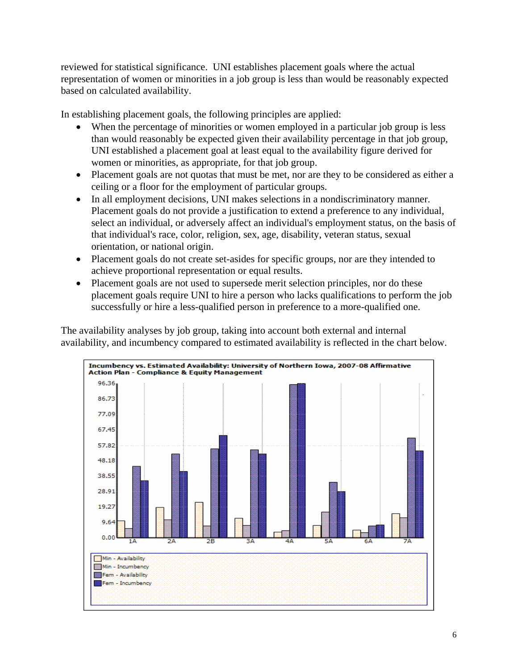reviewed for statistical significance. UNI establishes placement goals where the actual representation of women or minorities in a job group is less than would be reasonably expected based on calculated availability.

In establishing placement goals, the following principles are applied:

- When the percentage of minorities or women employed in a particular job group is less than would reasonably be expected given their availability percentage in that job group, UNI established a placement goal at least equal to the availability figure derived for women or minorities, as appropriate, for that job group.
- Placement goals are not quotas that must be met, nor are they to be considered as either a ceiling or a floor for the employment of particular groups.
- In all employment decisions, UNI makes selections in a nondiscriminatory manner. Placement goals do not provide a justification to extend a preference to any individual, select an individual, or adversely affect an individual's employment status, on the basis of that individual's race, color, religion, sex, age, disability, veteran status, sexual orientation, or national origin.
- Placement goals do not create set-asides for specific groups, nor are they intended to achieve proportional representation or equal results.
- Placement goals are not used to supersede merit selection principles, nor do these placement goals require UNI to hire a person who lacks qualifications to perform the job successfully or hire a less-qualified person in preference to a more-qualified one.

The availability analyses by job group, taking into account both external and internal availability, and incumbency compared to estimated availability is reflected in the chart below.

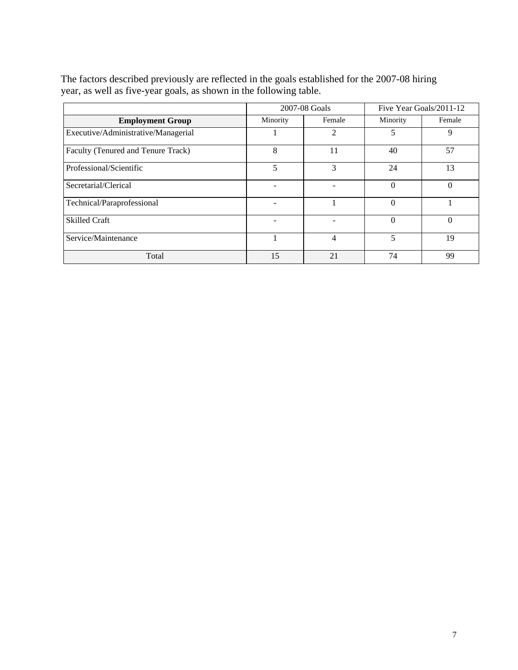|                                     | 2007-08 Goals |               | Five Year Goals/2011-12 |          |
|-------------------------------------|---------------|---------------|-------------------------|----------|
| <b>Employment Group</b>             | Minority      | Female        |                         | Female   |
| Executive/Administrative/Managerial |               | $\mathcal{D}$ | 5                       | 9        |
| Faculty (Tenured and Tenure Track)  | 8             | 11            | 40                      | 57       |
| Professional/Scientific             | 5             | 3             | 24                      | 13       |
| Secretarial/Clerical                |               |               | $\Omega$                | $\Omega$ |
| Technical/Paraprofessional          |               |               | $\Omega$                |          |
| <b>Skilled Craft</b>                |               |               | $\Omega$                | $\Omega$ |
| Service/Maintenance                 |               | 4             | 5                       | 19       |
| Total                               | 15            | 21            | 74                      | 99       |

The factors described previously are reflected in the goals established for the 2007-08 hiring year, as well as five-year goals, as shown in the following table.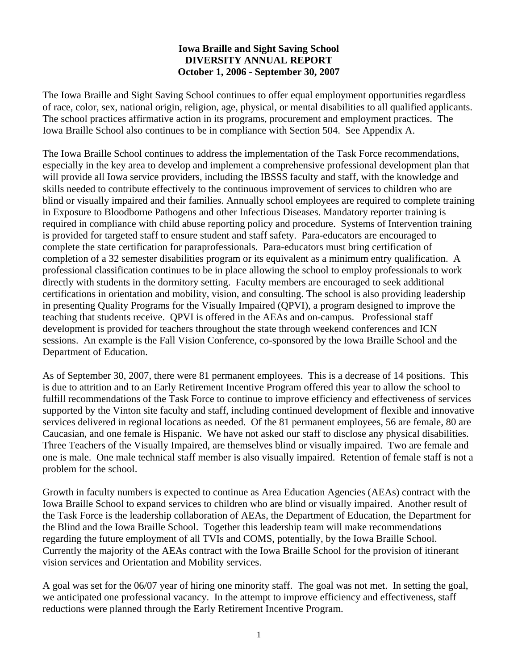# **Iowa Braille and Sight Saving School DIVERSITY ANNUAL REPORT October 1, 2006 - September 30, 2007**

The Iowa Braille and Sight Saving School continues to offer equal employment opportunities regardless of race, color, sex, national origin, religion, age, physical, or mental disabilities to all qualified applicants. The school practices affirmative action in its programs, procurement and employment practices. The Iowa Braille School also continues to be in compliance with Section 504. See Appendix A.

The Iowa Braille School continues to address the implementation of the Task Force recommendations, especially in the key area to develop and implement a comprehensive professional development plan that will provide all Iowa service providers, including the IBSSS faculty and staff, with the knowledge and skills needed to contribute effectively to the continuous improvement of services to children who are blind or visually impaired and their families. Annually school employees are required to complete training in Exposure to Bloodborne Pathogens and other Infectious Diseases. Mandatory reporter training is required in compliance with child abuse reporting policy and procedure. Systems of Intervention training is provided for targeted staff to ensure student and staff safety. Para-educators are encouraged to complete the state certification for paraprofessionals. Para-educators must bring certification of completion of a 32 semester disabilities program or its equivalent as a minimum entry qualification. A professional classification continues to be in place allowing the school to employ professionals to work directly with students in the dormitory setting. Faculty members are encouraged to seek additional certifications in orientation and mobility, vision, and consulting. The school is also providing leadership in presenting Quality Programs for the Visually Impaired (QPVI), a program designed to improve the teaching that students receive. QPVI is offered in the AEAs and on-campus. Professional staff development is provided for teachers throughout the state through weekend conferences and ICN sessions. An example is the Fall Vision Conference, co-sponsored by the Iowa Braille School and the Department of Education.

As of September 30, 2007, there were 81 permanent employees. This is a decrease of 14 positions. This is due to attrition and to an Early Retirement Incentive Program offered this year to allow the school to fulfill recommendations of the Task Force to continue to improve efficiency and effectiveness of services supported by the Vinton site faculty and staff, including continued development of flexible and innovative services delivered in regional locations as needed. Of the 81 permanent employees, 56 are female, 80 are Caucasian, and one female is Hispanic. We have not asked our staff to disclose any physical disabilities. Three Teachers of the Visually Impaired, are themselves blind or visually impaired. Two are female and one is male. One male technical staff member is also visually impaired. Retention of female staff is not a problem for the school.

Growth in faculty numbers is expected to continue as Area Education Agencies (AEAs) contract with the Iowa Braille School to expand services to children who are blind or visually impaired. Another result of the Task Force is the leadership collaboration of AEAs, the Department of Education, the Department for the Blind and the Iowa Braille School. Together this leadership team will make recommendations regarding the future employment of all TVIs and COMS, potentially, by the Iowa Braille School. Currently the majority of the AEAs contract with the Iowa Braille School for the provision of itinerant vision services and Orientation and Mobility services.

A goal was set for the 06/07 year of hiring one minority staff. The goal was not met. In setting the goal, we anticipated one professional vacancy. In the attempt to improve efficiency and effectiveness, staff reductions were planned through the Early Retirement Incentive Program.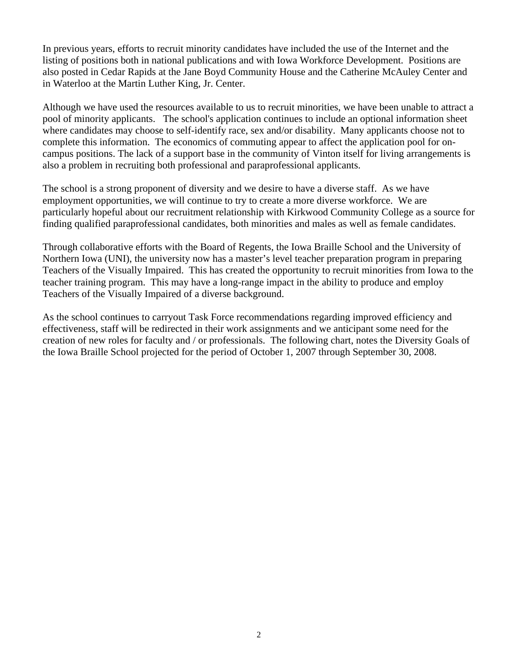In previous years, efforts to recruit minority candidates have included the use of the Internet and the listing of positions both in national publications and with Iowa Workforce Development. Positions are also posted in Cedar Rapids at the Jane Boyd Community House and the Catherine McAuley Center and in Waterloo at the Martin Luther King, Jr. Center.

Although we have used the resources available to us to recruit minorities, we have been unable to attract a pool of minority applicants. The school's application continues to include an optional information sheet where candidates may choose to self-identify race, sex and/or disability. Many applicants choose not to complete this information. The economics of commuting appear to affect the application pool for oncampus positions. The lack of a support base in the community of Vinton itself for living arrangements is also a problem in recruiting both professional and paraprofessional applicants.

The school is a strong proponent of diversity and we desire to have a diverse staff. As we have employment opportunities, we will continue to try to create a more diverse workforce. We are particularly hopeful about our recruitment relationship with Kirkwood Community College as a source for finding qualified paraprofessional candidates, both minorities and males as well as female candidates.

Through collaborative efforts with the Board of Regents, the Iowa Braille School and the University of Northern Iowa (UNI), the university now has a master's level teacher preparation program in preparing Teachers of the Visually Impaired. This has created the opportunity to recruit minorities from Iowa to the teacher training program. This may have a long-range impact in the ability to produce and employ Teachers of the Visually Impaired of a diverse background.

As the school continues to carryout Task Force recommendations regarding improved efficiency and effectiveness, staff will be redirected in their work assignments and we anticipant some need for the creation of new roles for faculty and / or professionals. The following chart, notes the Diversity Goals of the Iowa Braille School projected for the period of October 1, 2007 through September 30, 2008.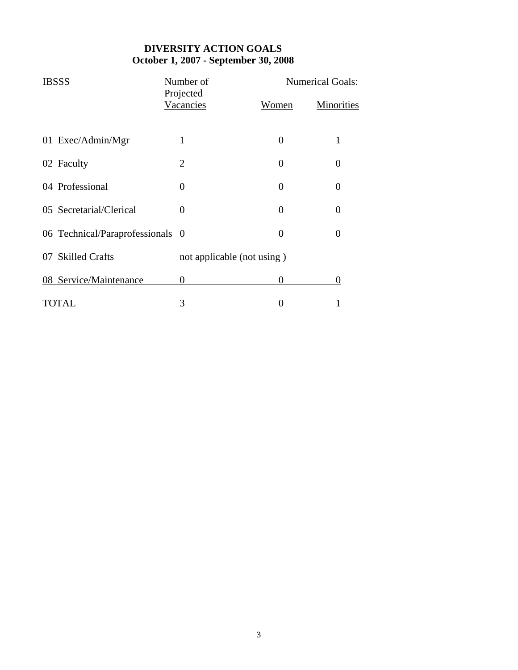# **DIVERSITY ACTION GOALS October 1, 2007 - September 30, 2008**

| <b>IBSSS</b>                     | Number of                  |              | <b>Numerical Goals:</b> |  |  |
|----------------------------------|----------------------------|--------------|-------------------------|--|--|
|                                  | Projected<br>Vacancies     | <u>Women</u> | <b>Minorities</b>       |  |  |
| 01 Exec/Admin/Mgr                |                            | 0            | 1                       |  |  |
| 02 Faculty                       | 2                          | 0            | 0                       |  |  |
| 04 Professional                  | $\theta$                   | 0            | 0                       |  |  |
| 05 Secretarial/Clerical          | $\Omega$                   | $\theta$     | 0                       |  |  |
| 06 Technical/Paraprofessionals 0 |                            | 0            | 0                       |  |  |
| 07 Skilled Crafts                | not applicable (not using) |              |                         |  |  |
| 08 Service/Maintenance           | $\theta$                   | 0            | 0                       |  |  |
| TOTAL                            | 3                          |              |                         |  |  |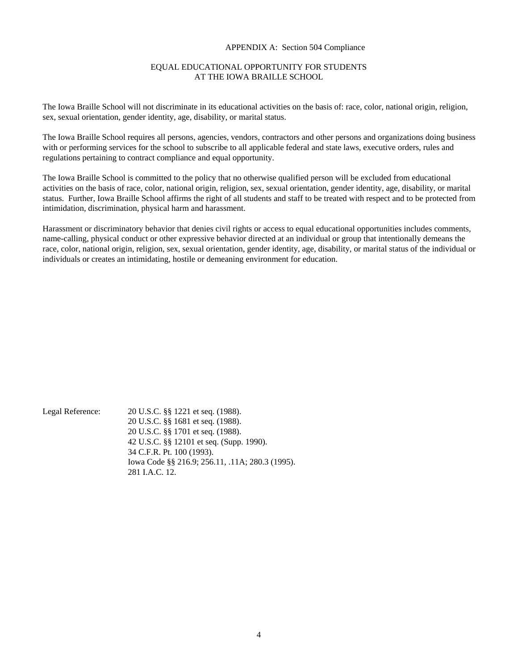#### APPENDIX A: Section 504 Compliance

#### EQUAL EDUCATIONAL OPPORTUNITY FOR STUDENTS AT THE IOWA BRAILLE SCHOOL

The Iowa Braille School will not discriminate in its educational activities on the basis of: race, color, national origin, religion, sex, sexual orientation, gender identity, age, disability, or marital status.

The Iowa Braille School requires all persons, agencies, vendors, contractors and other persons and organizations doing business with or performing services for the school to subscribe to all applicable federal and state laws, executive orders, rules and regulations pertaining to contract compliance and equal opportunity.

The Iowa Braille School is committed to the policy that no otherwise qualified person will be excluded from educational activities on the basis of race, color, national origin, religion, sex, sexual orientation, gender identity, age, disability, or marital status. Further, Iowa Braille School affirms the right of all students and staff to be treated with respect and to be protected from intimidation, discrimination, physical harm and harassment.

Harassment or discriminatory behavior that denies civil rights or access to equal educational opportunities includes comments, name-calling, physical conduct or other expressive behavior directed at an individual or group that intentionally demeans the race, color, national origin, religion, sex, sexual orientation, gender identity, age, disability, or marital status of the individual or individuals or creates an intimidating, hostile or demeaning environment for education.

Legal Reference: 20 U.S.C. §§ 1221 et seq. (1988). 20 U.S.C. §§ 1681 et seq. (1988). 20 U.S.C. §§ 1701 et seq. (1988). 42 U.S.C. §§ 12101 et seq. (Supp. 1990). 34 C.F.R. Pt. 100 (1993). Iowa Code §§ 216.9; 256.11, .11A; 280.3 (1995). 281 I.A.C. 12.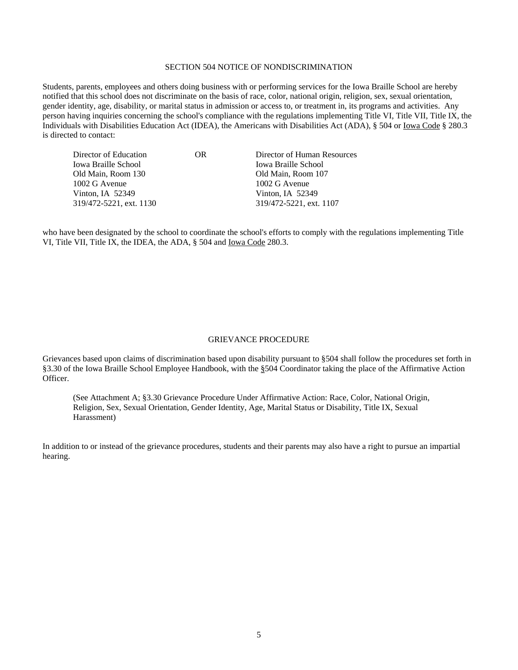#### SECTION 504 NOTICE OF NONDISCRIMINATION

Students, parents, employees and others doing business with or performing services for the Iowa Braille School are hereby notified that this school does not discriminate on the basis of race, color, national origin, religion, sex, sexual orientation, gender identity, age, disability, or marital status in admission or access to, or treatment in, its programs and activities. Any person having inquiries concerning the school's compliance with the regulations implementing Title VI, Title VII, Title IX, the Individuals with Disabilities Education Act (IDEA), the Americans with Disabilities Act (ADA), § 504 or Iowa Code § 280.3 is directed to contact:

| Director of Education   | OR | Director of Human Resources |
|-------------------------|----|-----------------------------|
| Iowa Braille School     |    | <b>Iowa Braille School</b>  |
| Old Main, Room 130      |    | Old Main, Room 107          |
| 1002 G Avenue           |    | 1002 G Avenue               |
| Vinton, IA 52349        |    | Vinton, IA $52349$          |
| 319/472-5221, ext. 1130 |    | 319/472-5221, ext. 1107     |
|                         |    |                             |

who have been designated by the school to coordinate the school's efforts to comply with the regulations implementing Title VI, Title VII, Title IX, the IDEA, the ADA, § 504 and Iowa Code 280.3.

#### GRIEVANCE PROCEDURE

Grievances based upon claims of discrimination based upon disability pursuant to §504 shall follow the procedures set forth in §3.30 of the Iowa Braille School Employee Handbook, with the §504 Coordinator taking the place of the Affirmative Action Officer.

(See Attachment A; §3.30 Grievance Procedure Under Affirmative Action: Race, Color, National Origin, Religion, Sex, Sexual Orientation, Gender Identity, Age, Marital Status or Disability, Title IX, Sexual Harassment)

In addition to or instead of the grievance procedures, students and their parents may also have a right to pursue an impartial hearing.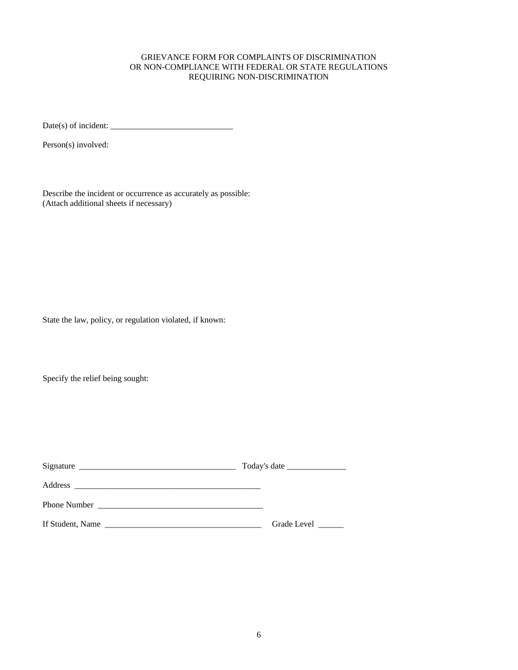#### GRIEVANCE FORM FOR COMPLAINTS OF DISCRIMINATION OR NON-COMPLIANCE WITH FEDERAL OR STATE REGULATIONS REQUIRING NON-DISCRIMINATION

Date(s) of incident: \_\_\_\_\_\_\_\_\_\_\_\_\_\_\_\_\_\_\_\_\_\_\_\_\_\_\_\_\_

Person(s) involved:

Describe the incident or occurrence as accurately as possible: (Attach additional sheets if necessary)

State the law, policy, or regulation violated, if known:

Specify the relief being sought:

| Signature           |             |
|---------------------|-------------|
| Address             |             |
| <b>Phone Number</b> |             |
| If Student, Name    | Grade Level |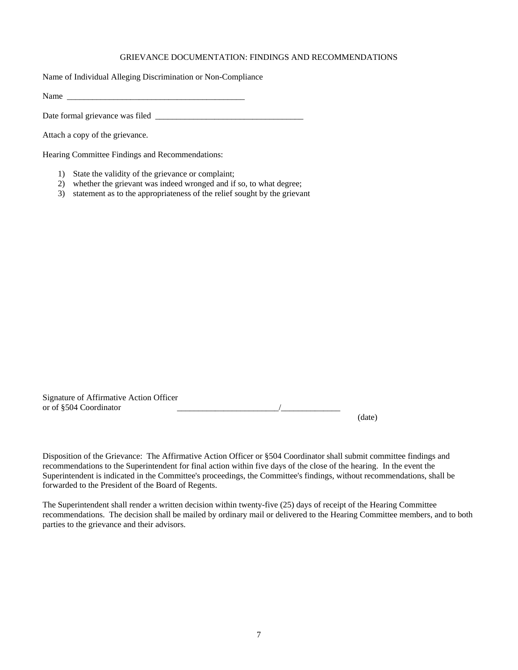#### GRIEVANCE DOCUMENTATION: FINDINGS AND RECOMMENDATIONS

Name of Individual Alleging Discrimination or Non-Compliance

Name \_\_\_\_\_\_\_\_\_\_\_\_\_\_\_\_\_\_\_\_\_\_\_\_\_\_\_\_\_\_\_\_\_\_\_\_\_\_\_\_\_\_

Date formal grievance was filed \_\_\_\_\_\_\_\_\_\_\_\_\_\_\_\_\_\_\_\_\_\_\_\_\_\_\_\_\_\_\_\_\_\_\_

Attach a copy of the grievance.

Hearing Committee Findings and Recommendations:

- 1) State the validity of the grievance or complaint;
- 2) whether the grievant was indeed wronged and if so, to what degree;
- 3) statement as to the appropriateness of the relief sought by the grievant

| Signature of Affirmative Action Officer |        |
|-----------------------------------------|--------|
| or of §504 Coordinator                  |        |
|                                         | (date) |

Disposition of the Grievance: The Affirmative Action Officer or §504 Coordinator shall submit committee findings and recommendations to the Superintendent for final action within five days of the close of the hearing. In the event the Superintendent is indicated in the Committee's proceedings, the Committee's findings, without recommendations, shall be forwarded to the President of the Board of Regents.

The Superintendent shall render a written decision within twenty-five (25) days of receipt of the Hearing Committee recommendations. The decision shall be mailed by ordinary mail or delivered to the Hearing Committee members, and to both parties to the grievance and their advisors.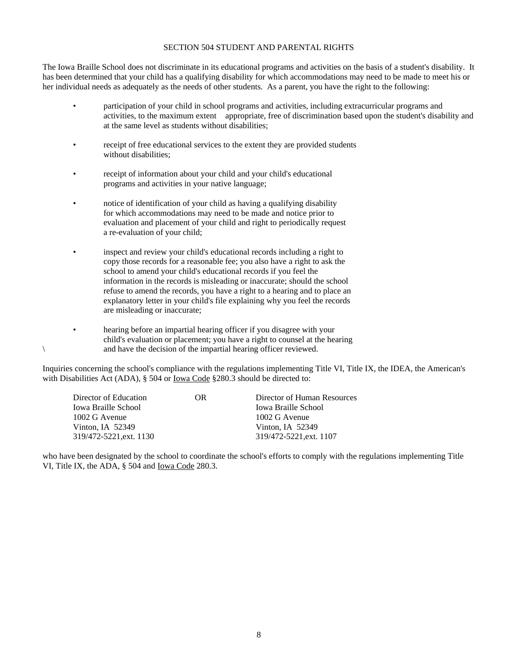#### SECTION 504 STUDENT AND PARENTAL RIGHTS

The Iowa Braille School does not discriminate in its educational programs and activities on the basis of a student's disability. It has been determined that your child has a qualifying disability for which accommodations may need to be made to meet his or her individual needs as adequately as the needs of other students. As a parent, you have the right to the following:

- participation of your child in school programs and activities, including extracurricular programs and activities, to the maximum extent appropriate, free of discrimination based upon the student's disability and at the same level as students without disabilities;
- receipt of free educational services to the extent they are provided students without disabilities;
- receipt of information about your child and your child's educational programs and activities in your native language;
- notice of identification of your child as having a qualifying disability for which accommodations may need to be made and notice prior to evaluation and placement of your child and right to periodically request a re-evaluation of your child;
- inspect and review your child's educational records including a right to copy those records for a reasonable fee; you also have a right to ask the school to amend your child's educational records if you feel the information in the records is misleading or inaccurate; should the school refuse to amend the records, you have a right to a hearing and to place an explanatory letter in your child's file explaining why you feel the records are misleading or inaccurate;
- hearing before an impartial hearing officer if you disagree with your child's evaluation or placement; you have a right to counsel at the hearing \ and have the decision of the impartial hearing officer reviewed.

Inquiries concerning the school's compliance with the regulations implementing Title VI, Title IX, the IDEA, the American's with Disabilities Act (ADA), § 504 or Iowa Code §280.3 should be directed to:

| Director of Education   | OR. | Director of Human Resources |
|-------------------------|-----|-----------------------------|
| Iowa Braille School     |     | <b>Iowa Braille School</b>  |
| 1002 G Avenue           |     | 1002 G Avenue               |
| Vinton, IA $52349$      |     | Vinton, IA $52349$          |
| 319/472-5221, ext. 1130 |     | 319/472-5221, ext. 1107     |

who have been designated by the school to coordinate the school's efforts to comply with the regulations implementing Title VI, Title IX, the ADA, § 504 and Iowa Code 280.3.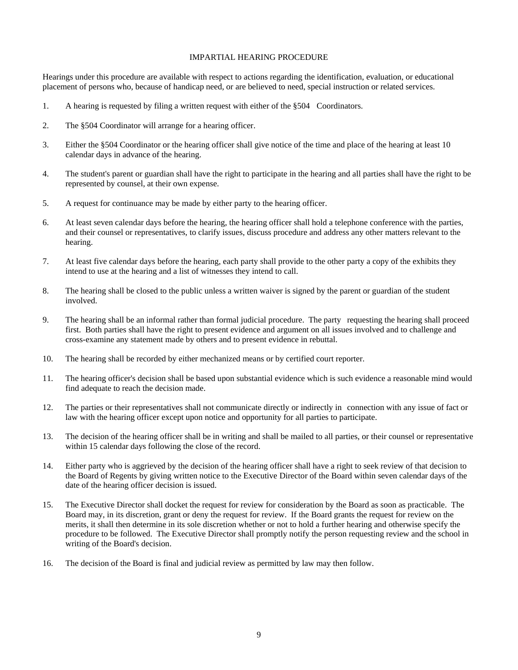#### IMPARTIAL HEARING PROCEDURE

Hearings under this procedure are available with respect to actions regarding the identification, evaluation, or educational placement of persons who, because of handicap need, or are believed to need, special instruction or related services.

- 1. A hearing is requested by filing a written request with either of the §504 Coordinators.
- 2. The §504 Coordinator will arrange for a hearing officer.
- 3. Either the §504 Coordinator or the hearing officer shall give notice of the time and place of the hearing at least 10 calendar days in advance of the hearing.
- 4. The student's parent or guardian shall have the right to participate in the hearing and all parties shall have the right to be represented by counsel, at their own expense.
- 5. A request for continuance may be made by either party to the hearing officer.
- 6. At least seven calendar days before the hearing, the hearing officer shall hold a telephone conference with the parties, and their counsel or representatives, to clarify issues, discuss procedure and address any other matters relevant to the hearing.
- 7. At least five calendar days before the hearing, each party shall provide to the other party a copy of the exhibits they intend to use at the hearing and a list of witnesses they intend to call.
- 8. The hearing shall be closed to the public unless a written waiver is signed by the parent or guardian of the student involved.
- 9. The hearing shall be an informal rather than formal judicial procedure. The party requesting the hearing shall proceed first. Both parties shall have the right to present evidence and argument on all issues involved and to challenge and cross-examine any statement made by others and to present evidence in rebuttal.
- 10. The hearing shall be recorded by either mechanized means or by certified court reporter.
- 11. The hearing officer's decision shall be based upon substantial evidence which is such evidence a reasonable mind would find adequate to reach the decision made.
- 12. The parties or their representatives shall not communicate directly or indirectly in connection with any issue of fact or law with the hearing officer except upon notice and opportunity for all parties to participate.
- 13. The decision of the hearing officer shall be in writing and shall be mailed to all parties, or their counsel or representative within 15 calendar days following the close of the record.
- 14. Either party who is aggrieved by the decision of the hearing officer shall have a right to seek review of that decision to the Board of Regents by giving written notice to the Executive Director of the Board within seven calendar days of the date of the hearing officer decision is issued.
- 15. The Executive Director shall docket the request for review for consideration by the Board as soon as practicable. The Board may, in its discretion, grant or deny the request for review. If the Board grants the request for review on the merits, it shall then determine in its sole discretion whether or not to hold a further hearing and otherwise specify the procedure to be followed. The Executive Director shall promptly notify the person requesting review and the school in writing of the Board's decision.
- 16. The decision of the Board is final and judicial review as permitted by law may then follow.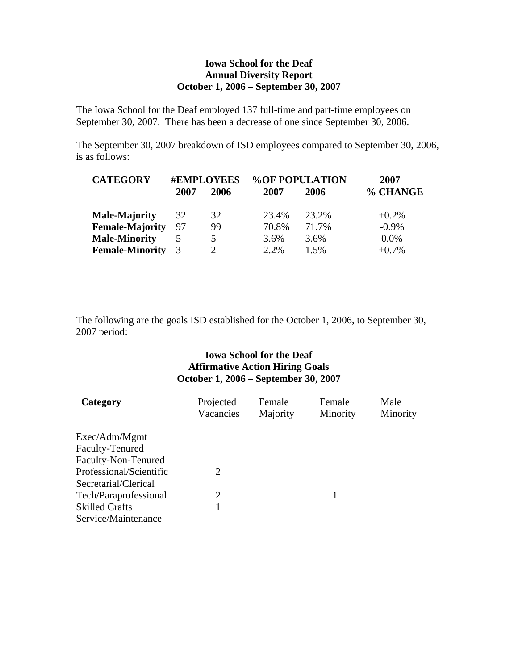# **Iowa School for the Deaf Annual Diversity Report October 1, 2006 – September 30, 2007**

The Iowa School for the Deaf employed 137 full-time and part-time employees on September 30, 2007. There has been a decrease of one since September 30, 2006.

The September 30, 2007 breakdown of ISD employees compared to September 30, 2006, is as follows:

| <b>CATEGORY</b>        | <b>#EMPLOYEES</b> |      | <b>%OF POPULATION</b> |       | 2007     |
|------------------------|-------------------|------|-----------------------|-------|----------|
|                        | 2007              | 2006 | 2007                  | 2006  | % CHANGE |
| <b>Male-Majority</b>   | 32                | 32   | 23.4%                 | 23.2% | $+0.2\%$ |
| <b>Female-Majority</b> | 97                | 99   | 70.8%                 | 71.7% | $-0.9\%$ |
| <b>Male-Minority</b>   |                   | 5    | 3.6%                  | 3.6%  | $0.0\%$  |
| <b>Female-Minority</b> |                   |      | 2.2%                  | 1.5%  | $+0.7\%$ |

The following are the goals ISD established for the October 1, 2006, to September 30, 2007 period:

# **Iowa School for the Deaf Affirmative Action Hiring Goals October 1, 2006 – September 30, 2007**

| Category                | Projected<br>Vacancies | Female<br>Majority | Female<br>Minority | Male<br>Minority |
|-------------------------|------------------------|--------------------|--------------------|------------------|
| Exec/Adm/Mgmt           |                        |                    |                    |                  |
| Faculty-Tenured         |                        |                    |                    |                  |
| Faculty-Non-Tenured     |                        |                    |                    |                  |
| Professional/Scientific | 2                      |                    |                    |                  |
| Secretarial/Clerical    |                        |                    |                    |                  |
| Tech/Paraprofessional   | 2                      |                    |                    |                  |
| <b>Skilled Crafts</b>   |                        |                    |                    |                  |
| Service/Maintenance     |                        |                    |                    |                  |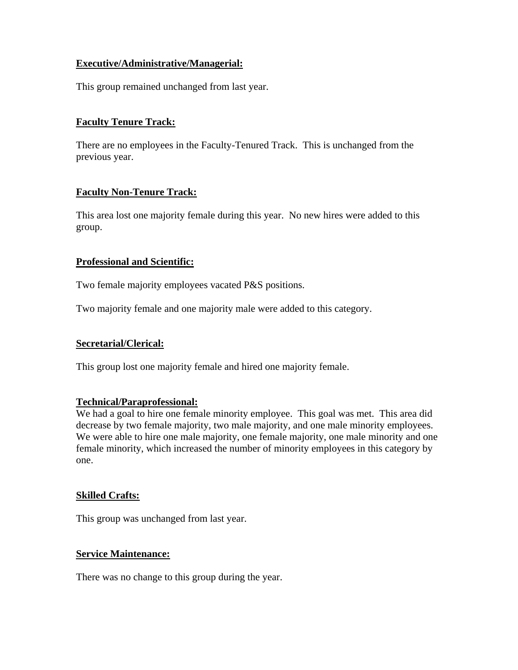# **Executive/Administrative/Managerial:**

This group remained unchanged from last year.

# **Faculty Tenure Track:**

There are no employees in the Faculty-Tenured Track. This is unchanged from the previous year.

# **Faculty Non-Tenure Track:**

This area lost one majority female during this year. No new hires were added to this group.

# **Professional and Scientific:**

Two female majority employees vacated P&S positions.

Two majority female and one majority male were added to this category.

## **Secretarial/Clerical:**

This group lost one majority female and hired one majority female.

## **Technical/Paraprofessional:**

We had a goal to hire one female minority employee. This goal was met. This area did decrease by two female majority, two male majority, and one male minority employees. We were able to hire one male majority, one female majority, one male minority and one female minority, which increased the number of minority employees in this category by one.

## **Skilled Crafts:**

This group was unchanged from last year.

## **Service Maintenance:**

There was no change to this group during the year.